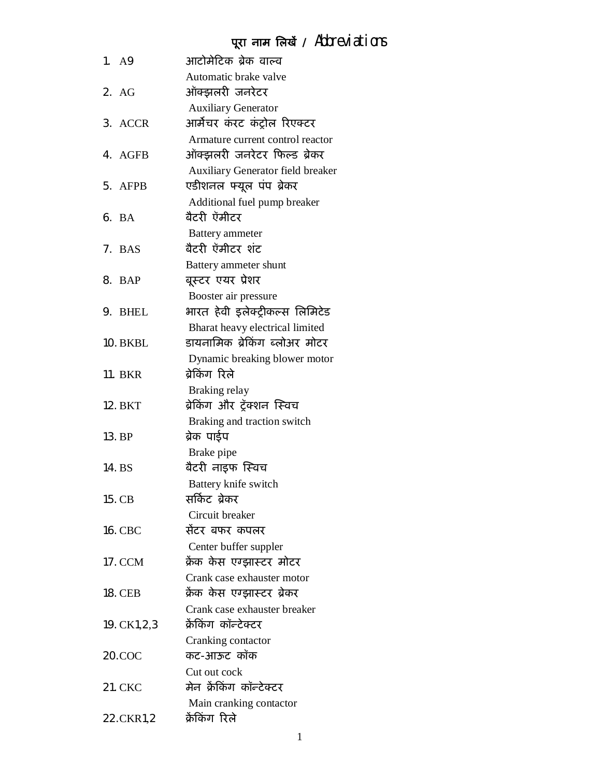# **पूरा नाम िलखɅ /** Abbreviations

|    | 1. A9        | आटोमेटिक ब्रेक वाल्व                     |
|----|--------------|------------------------------------------|
|    |              | Automatic brake valve                    |
|    | 2. AG        | ऑक्झलरी जनरेटर                           |
|    |              | <b>Auxiliary Generator</b>               |
|    | 3. ACCR      | आर्मेचर कंरट कंट्रोल रिएक्टर             |
|    |              | Armature current control reactor         |
|    | 4. AGFB      | ऑक्झलरी जनरेटर फिल्ड ब्रेकर              |
|    |              | <b>Auxiliary Generator field breaker</b> |
|    | 5. AFPB      | एडीशनल फ्यूल पंप ब्रेकर                  |
|    |              | Additional fuel pump breaker             |
|    | 6. BA        | बैटरी ऍमीटर                              |
|    |              | <b>Battery</b> ammeter                   |
|    | 7. BAS       | बैटरी ऍमीटर शंट                          |
|    |              | Battery ammeter shunt                    |
|    | 8. BAP       | बूस्टर एयर प्रेशर                        |
|    |              | Booster air pressure                     |
| 9. | <b>BHEL</b>  | भारत हेवी इलेक्ट्रीकल्स लिमिटेड          |
|    |              | Bharat heavy electrical limited          |
|    | 10. BKBL     | डायनामिक ब्रेकिंग ब्लोअर मोटर            |
|    |              | Dynamic breaking blower motor            |
|    | 11. BKR      | बेकिंग रिले                              |
|    |              | Braking relay                            |
|    | 12. BKT      | ब्रेकिंग और ट्रॅक्शन स्विच               |
|    |              | Braking and traction switch              |
|    | 13. BP       | ब्रेक पाईप                               |
|    |              | Brake pipe                               |
|    | 14. BS       | बैटरी नाइफ स्विच                         |
|    |              | Battery knife switch                     |
|    | 15. CB       | सर्किट ब्रेकर                            |
|    |              | Circuit breaker                          |
|    | 16. CBC      | सेंटर बफर कपलर                           |
|    |              | Center buffer suppler                    |
|    | 17. CCM      | क्रेंक केस एग्झास्टर मोटर                |
|    |              | Crank case exhauster motor               |
|    | 18. CEB      | क्रेंक केस एग्झास्टर ब्रेकर              |
|    |              | Crank case exhauster breaker             |
|    | 19. CK1,2,3  | क्रेंकिंग कॉन्टेक्टर                     |
|    |              | Cranking contactor                       |
|    | $20$ . $COC$ | कट-आऊट कॉक                               |
|    |              | Cut out cock                             |
|    | 21. CKC      | मेन क्रेकिंग कॉन्टेक्टर                  |
|    |              | Main cranking contactor                  |
|    | 22.CKR1,2    | क्रैकिंग रिले                            |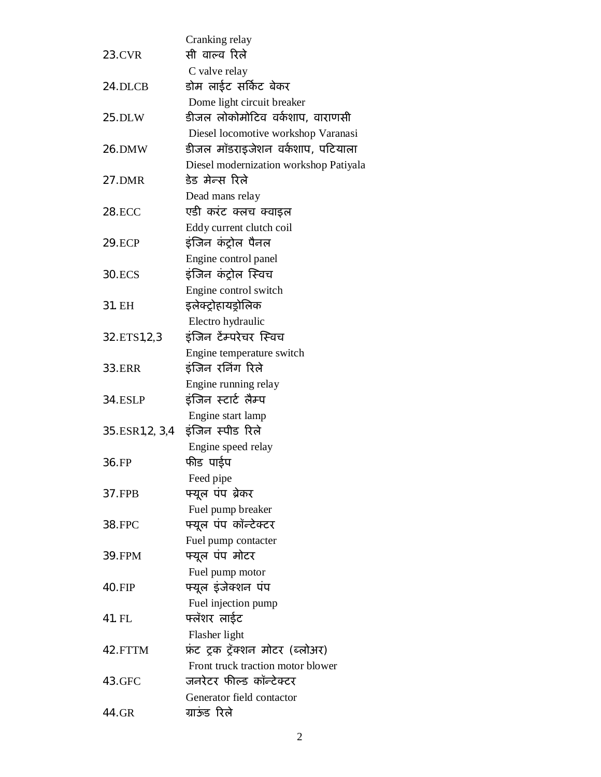|                  | Cranking relay                              |
|------------------|---------------------------------------------|
| 23.CVR           | सी वाल्व रिले                               |
|                  | C valve relay                               |
| 24.DLCB          | डोम लाईट सर्किट बेकर                        |
|                  | Dome light circuit breaker                  |
| 25.DLW           | डीजल लोकोमोटिव वर्कशाप, वाराणसी             |
|                  | Diesel locomotive workshop Varanasi         |
| 26.DMW           | डीजल मॉडराइजेशन वर्कशाप, पटियाला            |
|                  | Diesel modernization workshop Patiyala      |
| 27.DMR           | डेड मेन्स रिले                              |
|                  | Dead mans relay                             |
| <b>28.ECC</b>    | एडी करंट क्लच क्वाइल                        |
|                  | Eddy current clutch coil                    |
| <b>29.ECP</b>    | इंजिन कंट्रोल पैनल                          |
| 30.ECS           | Engine control panel<br>इंजिन कंट्रोल स्विच |
|                  | Engine control switch                       |
| 31. EH           | इलेक्ट्रोहायड्रोलिक                         |
|                  | Electro hydraulic                           |
| 32.ETS1,2,3      | इंजिन टेंम्परेचर स्विच                      |
|                  | Engine temperature switch                   |
| <b>33.ERR</b>    | इंजिन रनिंग रिले                            |
|                  | Engine running relay                        |
| <b>34.ESLP</b>   | इंजिन स्टार्ट लैम्प                         |
|                  | Engine start lamp                           |
| 35.ESR1, 2, 3, 4 | इंजिन स्पीड रिले                            |
|                  | Engine speed relay                          |
| 36.FP            | फीड पाईप                                    |
|                  | Feed pipe                                   |
| 37.FPB           | फ्यूल पंप ब्रेकर                            |
|                  | Fuel pump breaker                           |
| 38.FPC           | फ्यूल पंप कॉन्टेक्टर                        |
|                  | Fuel pump contacter                         |
| 39.FPM           | फ्यूल पंप मोटर                              |
|                  | Fuel pump motor                             |
| 40.FIP           | फ्यूल इंजेक्शन पंप                          |
| 41. FL           | Fuel injection pump<br>फ्लॅशर लाईट          |
|                  | Flasher light                               |
| 42.FTTM          | फ्रंट ट्रक ट्रॅक्शन मोटर (ब्लोअर)           |
|                  | Front truck traction motor blower           |
| 43.GFC           | जनरेटर फील्ड कॉन्टेक्टर                     |
|                  | Generator field contactor                   |
| 44.GR            | ग्राऊंड रिले                                |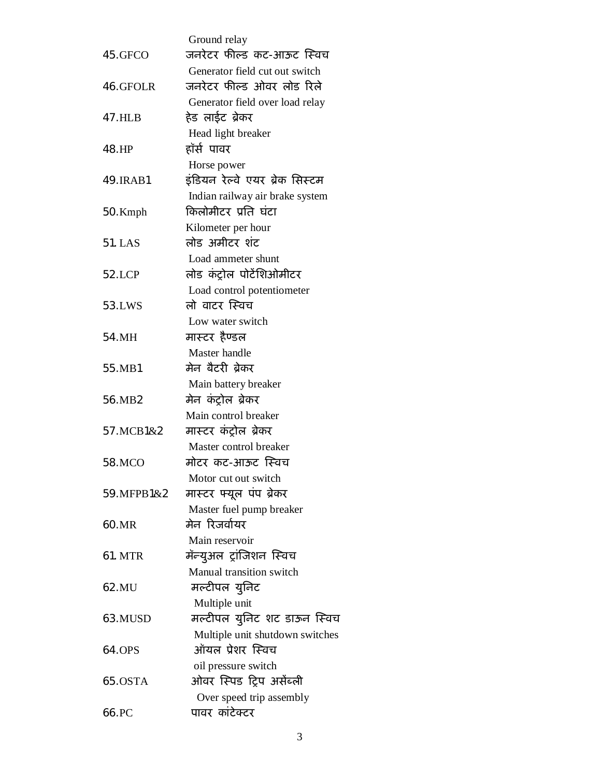|            | Ground relay                                         |
|------------|------------------------------------------------------|
| 45.GFCO    | जनरेटर फील्ड कट-आऊट स्विच                            |
|            | Generator field cut out switch                       |
| 46.GFOLR   | जनरेटर फील्ड ओवर लोड रिले                            |
|            | Generator field over load relay                      |
| 47.HLB     | हेड लाईट ब्रेकर                                      |
|            | Head light breaker                                   |
| 48.HP      | हॉर्स पावर                                           |
| 49. IRAB1  | Horse power<br>इंडियन रेल्वे एयर ब्रेक सिस्टम        |
|            | Indian railway air brake system                      |
| 50. Kmph   | किलोमीटर प्रति घंटा                                  |
|            | Kilometer per hour                                   |
| 51. LAS    | लोड अमीटर शंट                                        |
|            | Load ammeter shunt                                   |
| 52.LCP     | लोड कंट्रोल पोटेंशिओमीटर                             |
|            | Load control potentiometer                           |
| 53.LWS     | लो वाटर स्विच                                        |
|            | Low water switch                                     |
| 54.MH      | मास्टर हैण्डल                                        |
|            | Master handle                                        |
| 55.MB1     | मेन बैटरी ब्रेकर                                     |
|            | Main battery breaker                                 |
| 56.MB2     | मेन कंट्रोल ब्रेकर                                   |
|            | Main control breaker                                 |
| 57. MCB1&2 | मास्टर कंट्रोल ब्रेकर                                |
|            | Master control breaker                               |
| 58.MCO     | मोटर कट-आऊट स्विच                                    |
|            | Motor cut out switch                                 |
| 59.MFPB1&2 | मास्टर फ्यूल पंप ब्रेकर                              |
|            | Master fuel pump breaker                             |
| 60.MR      | मेन रिजर्वायर                                        |
|            | Main reservoir                                       |
| 61. MTR    | मॅन्युअल ट्रांजिशन स्विच<br>Manual transition switch |
| 62.MU      | मल्टीपल युनिट                                        |
|            | Multiple unit                                        |
| 63.MUSD    | मल्टीपल युनिट शट डाऊन स्विच                          |
|            | Multiple unit shutdown switches                      |
| 64.OPS     | ऑयल प्रेशर स्विच                                     |
|            | oil pressure switch                                  |
| 65.0STA    | ओवर स्पिड ट्रिप असेंब्ली                             |
|            | Over speed trip assembly                             |
| 66.PC      | पावर कांटेक्टर                                       |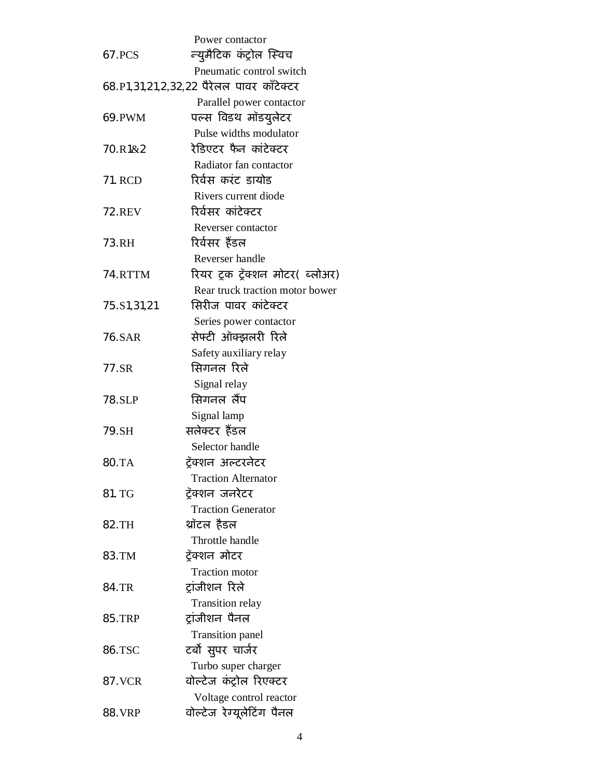|               | Power contactor                          |
|---------------|------------------------------------------|
| 67.PCS        | न्युमैटिक कंट्रोल स्विच                  |
|               | Pneumatic control switch                 |
|               | 68.P1,31,21,2,32,22 पैरेलल पावर कॉटेक्टर |
|               | Parallel power contactor                 |
| 69.PWM        | पल्स विडथ मॉडयुलेटर                      |
|               | Pulse widths modulator                   |
| 70.R1&2       | रेडिएटर फैन कांटेक्टर                    |
|               | Radiator fan contactor                   |
| 71. RCD       | रिर्वस करंट डायोड                        |
|               | Rivers current diode                     |
| <b>72.REV</b> | रिर्वसर कांटेक्टर                        |
|               | Reverser contactor                       |
| 73.RH         | रिर्वसर हैंडल                            |
|               | Reverser handle                          |
| 74.RTTM       | रियर ट्रक ट्रॅक्शन मोटर( ब्लोअर)         |
|               | Rear truck traction motor bower          |
| 75.S1,31,21   | सिरीज पावर कांटेक्टर                     |
|               | Series power contactor                   |
| 76.SAR        | सेफ्टी ऑक्झलरी रिले                      |
|               | Safety auxiliary relay                   |
| 77.SR         | सिगनल रिले                               |
|               | Signal relay                             |
| 78.SLP        | सिगनल लैंप                               |
|               | Signal lamp                              |
| 79.SH         | सलेक्टर हैंडल                            |
|               | Selector handle                          |
| 80.TA         | ट्रॅक्शन अल्टरनेटर                       |
|               | <b>Traction Alternator</b>               |
| 81. TG        | टॅक्शन जनरेटर                            |
|               | <b>Traction Generator</b>                |
| 82.TH         | थ्रॉटल हैडल                              |
|               | Throttle handle                          |
| 83.TM         | ट्रॅक्शन मोटर                            |
|               | <b>Traction motor</b>                    |
| 84.TR         | ट्रांजीशन रिले                           |
|               | <b>Transition relay</b>                  |
| <b>85.TRP</b> | ट्रांजीशन पैनल                           |
|               | <b>Transition panel</b>                  |
| 86.TSC        | टर्बो सुपर चार्जर                        |
|               | Turbo super charger                      |
| 87. VCR       | वोल्टेज कंट्रोल रिएक्टर                  |
|               | Voltage control reactor                  |
| 88. VRP       | वोल्टेज रेग्यूलेटिंग पैनल                |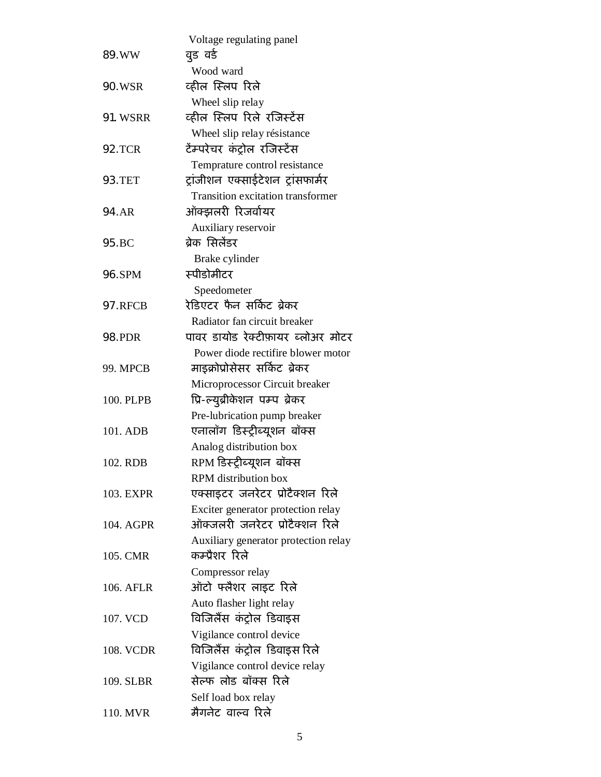|                  | Voltage regulating panel                            |
|------------------|-----------------------------------------------------|
| 89.WW            | वूड वर्ड                                            |
|                  | Wood ward                                           |
| <b>90.WSR</b>    | व्हील स्लिप रिले                                    |
|                  | Wheel slip relay                                    |
| <b>91. WSRR</b>  | व्हील स्लिप रिले रजिस्टेंस                          |
|                  | Wheel slip relay résistance                         |
| <b>92.TCR</b>    | टैम्परेचर कंट्रोल रजिस्टेंस                         |
|                  | Temprature control resistance                       |
| <b>93.TET</b>    | ट्रांजीशन एक्साईटेशन ट्रांसफार्मर                   |
|                  | <b>Transition excitation transformer</b>            |
| 94.AR            | ऑक्झलरी रिजर्वायर                                   |
| 95.BC            | Auxiliary reservoir<br>ब्रेक सिलेंडर                |
|                  |                                                     |
| 96.SPM           | Brake cylinder<br>स्पीडोमीटर                        |
|                  | Speedometer                                         |
| 97.RFCB          | रेडिएटर फैन सर्किट ब्रेकर                           |
|                  | Radiator fan circuit breaker                        |
| <b>98.PDR</b>    | पावर डायोड रेक्टीफ़ायर ब्लोअर मोटर                  |
|                  | Power diode rectifire blower motor                  |
| <b>99. MPCB</b>  | माइक्रोप्रोसेसर सर्किट ब्रेकर                       |
|                  | Microprocessor Circuit breaker                      |
| 100. PLPB        | प्रि-ल्युब्रीकेशन पम्प ब्रेकर                       |
|                  | Pre-lubrication pump breaker                        |
| 101. ADB         | एनालॉग डिस्ट्रीब्यूशन बॉक्स                         |
|                  | Analog distribution box                             |
| 102. RDB         | RPM डिस्ट्रीब्यूशन  बॉक्स                           |
|                  | RPM distribution box                                |
| 103. EXPR        | एक्साइटर जनरेटर प्रोटैक्शन रिले                     |
|                  | Exciter generator protection relay                  |
| 104. AGPR        | ऑक्जलरी जनरेटर प्रोटैक्शन रिले                      |
|                  | Auxiliary generator protection relay                |
| 105. CMR         | कम्प्रैशर रिले                                      |
|                  | Compressor relay                                    |
| 106. AFLR        | ऑटो फ्लैशर लाइट रिले                                |
| 107. VCD         | Auto flasher light relay<br>विजिलैंस कंट्रोल डिवाइस |
|                  | Vigilance control device                            |
| <b>108. VCDR</b> | विजिलैंस कंट्रोल डिवाइस रिले                        |
|                  | Vigilance control device relay                      |
| 109. SLBR        | सेल्फ लोड बॉक्स रिले                                |
|                  | Self load box relay                                 |
| 110. MVR         | मैगनेट वाल्व रिले                                   |
|                  |                                                     |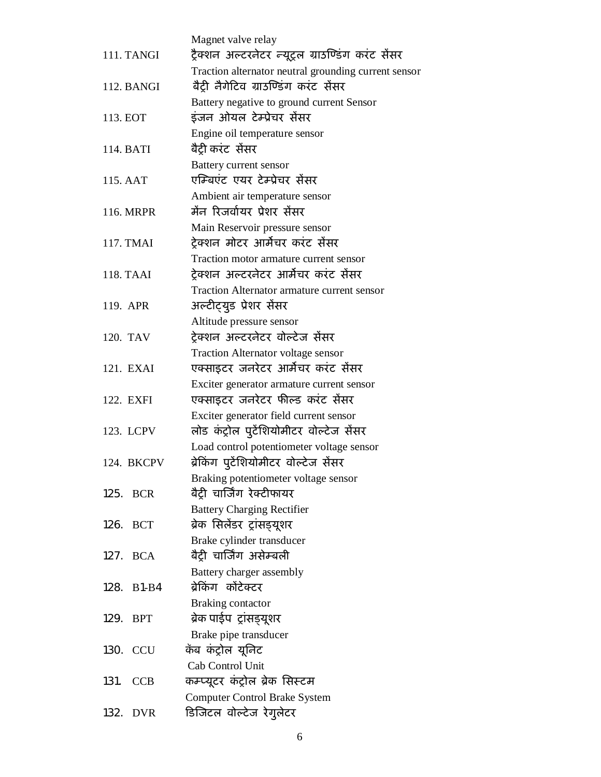|                    | Magnet valve relay                                                 |
|--------------------|--------------------------------------------------------------------|
| 111. TANGI         | ट्रैक्शन अल्टरनेटर न्यूट्रल ग्राउण्डिंग करंट सैंसर                 |
|                    | Traction alternator neutral grounding current sensor               |
| 112. BANGI         | बैट्री नैगेटिव ग्राउण्डिंग करंट सेंसर                              |
|                    | Battery negative to ground current Sensor                          |
| 113. EOT           | इंजन ओयल टेम्प्रेचर सेंसर                                          |
|                    | Engine oil temperature sensor                                      |
| 114. BATI          | बैट्री करंट  सेंसर                                                 |
|                    | Battery current sensor                                             |
| 115. AAT           | एम्बिएंट एयर टेम्प्रेचर सेंसर                                      |
|                    | Ambient air temperature sensor                                     |
| 116. MRPR          | मैंन रिजर्वायर प्रेशर सैंसर                                        |
|                    | Main Reservoir pressure sensor                                     |
| 117. TMAI          | ट्रेक्शन मोटर आर्मेचर करंट सेंसर                                   |
|                    | Traction motor armature current sensor                             |
| 118. TAAI          | ट्रेक्शन अल्टरनेटर आर्मेचर करंट सेंसर                              |
|                    | Traction Alternator armature current sensor                        |
| 119. APR           | अल्टीट्युड प्रेशर सेंसर                                            |
|                    | Altitude pressure sensor                                           |
| 120. TAV           | ट्रेक्शन अल्टरनेटर वोल्टेज सेंसर                                   |
|                    | Traction Alternator voltage sensor                                 |
| 121. EXAI          | एक्साइटर जनरेटर आर्मेचर करंट सेंसर                                 |
|                    | Exciter generator armature current sensor                          |
| 122. EXFI          | एक्साइटर जनरेटर फील्ड करंट सेंसर                                   |
|                    | Exciter generator field current sensor                             |
| 123. LCPV          | लोड कंट्रोल पुटेंशियोमीटर वोल्टेज सेंसर                            |
|                    | Load control potentiometer voltage sensor                          |
| 124. BKCPV         | ब्रेकिंग पुटेंशियोमीटर वोल्टेज सेंसर                               |
| 125.<br><b>BCR</b> | Braking potentiometer voltage sensor<br>बैट्री चार्जिंग रेक्टीफायर |
|                    |                                                                    |
| <b>BCT</b><br>126. | <b>Battery Charging Rectifier</b><br>ब्रेक सिलेंडर ट्रांसड्यूशर    |
|                    | Brake cylinder transducer                                          |
| <b>BCA</b><br>127. | बैट्री चार्जिंग असेम्बली                                           |
|                    | Battery charger assembly                                           |
| 128.<br>$B1-B4$    | ब्रेकिंग कोंटेक्टर                                                 |
|                    | Braking contactor                                                  |
| 129.<br><b>BPT</b> | ब्रेक पाईप ट्रांसड्यूशर                                            |
|                    | Brake pipe transducer                                              |
| 130.<br><b>CCU</b> | कॅब कंट्रोल यूनिट                                                  |
|                    | Cab Control Unit                                                   |
| 131.<br><b>CCB</b> | कम्प्यूटर कंट्रोल ब्रेक सिस्टम                                     |
|                    | <b>Computer Control Brake System</b>                               |
| 132.<br><b>DVR</b> | डिजिटल वोल्टेज रेगुलेटर                                            |
|                    |                                                                    |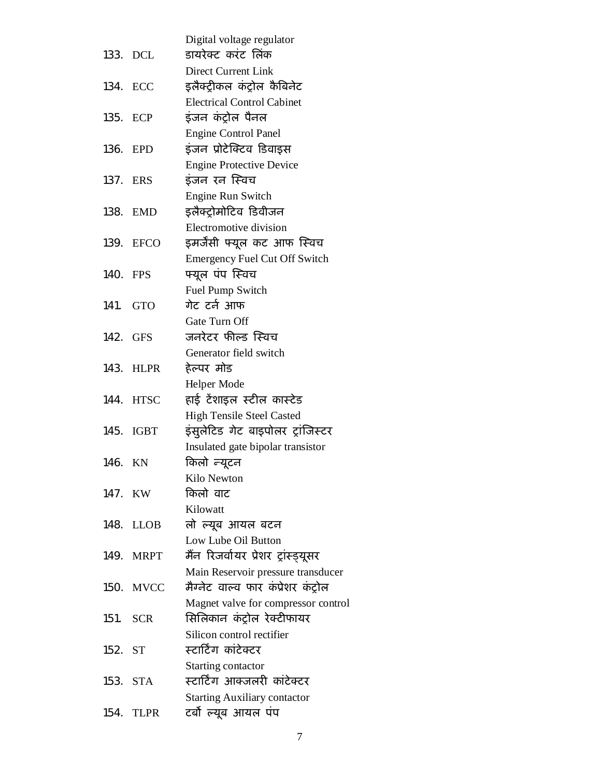|         |             | Digital voltage regulator            |
|---------|-------------|--------------------------------------|
|         | 133. DCL    | डायरेक्ट करंट लिंक                   |
|         |             | <b>Direct Current Link</b>           |
| 134.    | ECC         | इलैक्ट्रीकल कंट्रोल कैबिनेट          |
|         |             | <b>Electrical Control Cabinet</b>    |
| 135.    | ECP         | इंजन कंट्रोल पैनल                    |
|         |             | <b>Engine Control Panel</b>          |
| 136.    | EPD         | इंजन प्रोटेक्टिव डिवाइस              |
|         |             | <b>Engine Protective Device</b>      |
| 137.    | ERS         | इंजन रन स्विच                        |
|         |             | Engine Run Switch                    |
| 138.    | <b>EMD</b>  | इलैक्ट्रोमोटिव डिवीजन                |
|         |             | Electromotive division               |
|         | 139. EFCO   | इमर्जेंसी फ्यूल कट आफ स्विच          |
|         |             | <b>Emergency Fuel Cut Off Switch</b> |
| 140.    | <b>FPS</b>  | फ्यूल पंप स्विच                      |
|         |             | Fuel Pump Switch                     |
| 141.    | <b>GTO</b>  | गेट टर्न आफ                          |
|         |             | Gate Turn Off                        |
|         | 142. GFS    | जनरेटर फील्ड स्विच                   |
|         |             | Generator field switch               |
| 143.    | <b>HLPR</b> | हेल्पर मोड                           |
|         |             | Helper Mode                          |
| 144.    | <b>HTSC</b> | हाई टेंशाइल स्टील कास्टेड            |
|         |             | <b>High Tensile Steel Casted</b>     |
| 145.    | <b>IGBT</b> | इंसुलेटिड गेट बाइपोलर ट्रांजिस्टर    |
|         |             | Insulated gate bipolar transistor    |
| 146.    | KN          | किलो <i>न्यू</i> टन                  |
|         |             | Kilo Newton                          |
| 147. KW |             | किलो वाट                             |
|         |             | Kilowatt                             |
|         | 148. LLOB   | लो ल्यूब आयल बटन                     |
|         |             | Low Lube Oil Button                  |
|         | 149. MRPT   | मैंन रिजर्वायर प्रेशर ट्रांस्ड्यूसर  |
|         |             | Main Reservoir pressure transducer   |
|         | 150. MVCC   | मैग्नेट वाल्व फार कंप्रेशर कंट्रोल   |
|         |             | Magnet valve for compressor control  |
|         | 151. SCR    | सिलिकान कंट्रोल रेक्टीफायर           |
|         |             | Silicon control rectifier            |
| 152. ST |             | स्टार्टिंग कांटेक्टर                 |
|         |             | Starting contactor                   |
| 153.    | STA         | स्टार्टिंग आक्जलरी कांटेक्टर         |
|         |             | <b>Starting Auxiliary contactor</b>  |
| 154.    | <b>TLPR</b> | टर्बो ल्यूब आयल पंप                  |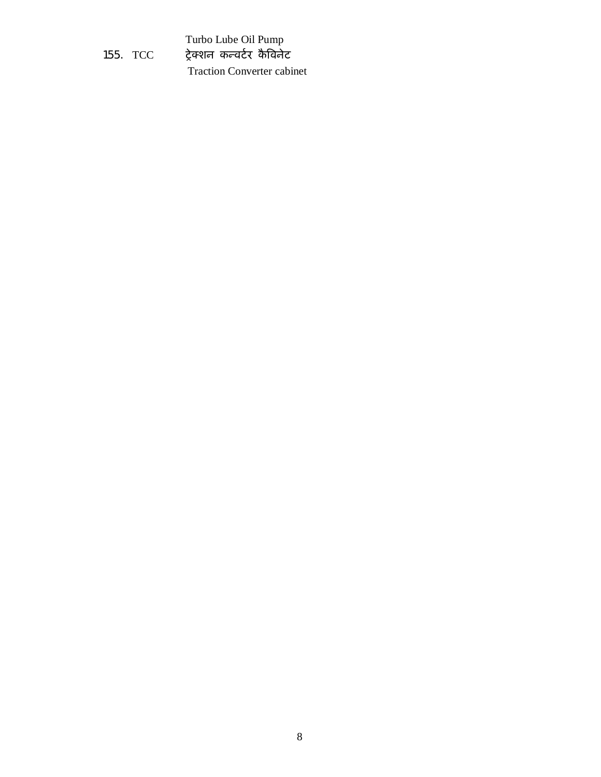|          | Turbo Lube Oil Pump               |
|----------|-----------------------------------|
| 155. TCC | ट्रेक्शन कन्चर्टर कैविनेट         |
|          | <b>Traction Converter cabinet</b> |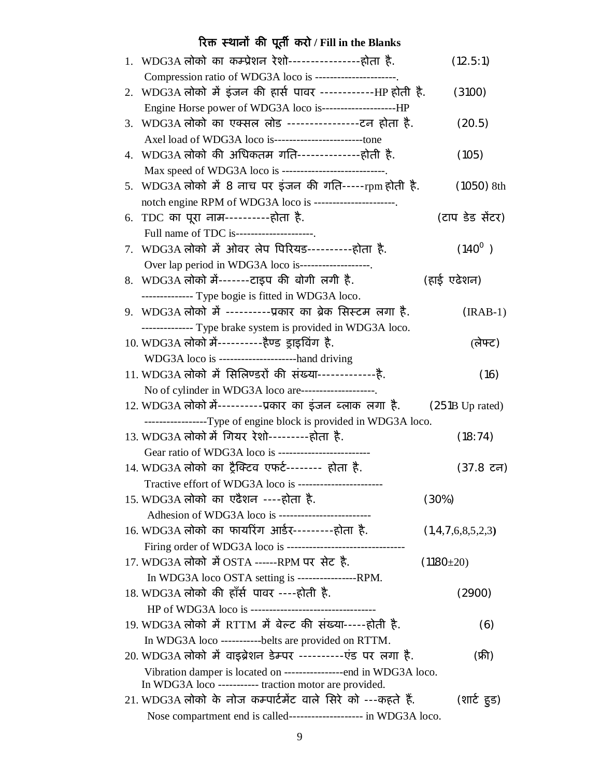# **ǐरƠ èथानɉ कȧ पूतȸ करो / Fill in the Blanks**

|    | 1. WDG3A लोको का कम्प्रेशन रेशो-----------------होता है.                 | (12.5:1)          |
|----|--------------------------------------------------------------------------|-------------------|
|    | Compression ratio of WDG3A loco is ---------------------.                |                   |
|    | 2. WDG3A लोको में इंजन की हार्स पावर ------------HP होती है.             | (3100)            |
|    |                                                                          |                   |
|    | 3. WDG3A लोको का एक्सल लोड ----------------टन होता है.                   | (20.5)            |
|    |                                                                          |                   |
|    | 4.   WDG3A लोको  की  अधिकतम  गति---------------होती  है.                 | (105)             |
|    | Max speed of WDG3A loco is ----------------------------.                 |                   |
|    | 5. WDG3A लोको में 8 नाच पर इंजन की गति-----rpm होती है.                  | $(1050)$ 8th      |
|    | notch engine RPM of WDG3A loco is ----------------------.                |                   |
|    | 6. TDC का पूरा नाम-----------होता है.                                    | (टाप डेड सेंटर)   |
|    | Full name of TDC is---------------------                                 |                   |
| 7. | WDG3A लोको में ओवर लेप पिरियड----------होता है.                          | $(140^0)$         |
|    | Over lap period in WDG3A loco is-------------------.                     |                   |
|    | 8. WDG3A लोको में-------टाइप की बोगी लगी है.                             | (हाई एढेशन)       |
|    | -------------- Type bogie is fitted in WDG3A loco.                       |                   |
|    | 9. WDG3A लोको में ----------प्रकार का ब्रेक सिस्टम लगा है.               | $(IRAB-1)$        |
|    | -------------- Type brake system is provided in WDG3A loco.              |                   |
|    | 10. WDG3A लोको में-----------हैण्ड ड्राइविंग है.                         | (लेफ्ट)           |
|    | WDG3A loco is ---------------------hand driving                          |                   |
|    | 11. WDG3A लोको में सिलिण्डरों की संख्या--------------है.                 | (16)              |
|    | No of cylinder in WDG3A loco are--------------------.                    |                   |
|    | 12. WDG3A लोको में----------प्रकार का इंजन ब्लाक लगा है. (251B Up rated) |                   |
|    | -----------------Type of engine block is provided in WDG3A loco.         |                   |
|    | 13. WDG3A लोको में गियर रेशो---------होता है.                            | (18:74)           |
|    | Gear ratio of WDG3A loco is --------------------------                   |                   |
|    | 14. WDG3A लोको का ट्रैक्टिव एफर्ट-------- होता है.                       | (37.8 टन)         |
|    | Tractive effort of WDG3A loco is ------------------------                |                   |
|    | 15. WDG3A लोको का एढैशन ----होता है.                                     | (30%)             |
|    | Adhesion of WDG3A loco is --------------------------                     |                   |
|    | 16. WDG3A लोको का फायरिंग आर्डर---------होता है.                         | (1,4,7,6,8,5,2,3) |
|    |                                                                          |                   |
|    | 17. WDG3A लोको में OSTA ------RPM पर सेट है.                             | $(1180 \pm 20)$   |
|    | In WDG3A loco OSTA setting is -----------------RPM.                      |                   |
|    | 18. WDG3A लोको की हाँर्स पावर ----होती है.                               | (2900)            |
|    |                                                                          |                   |
|    | 19. WDG3A लोको में RTTM में बेल्ट की संख्या-----होती है.                 | (6)               |
|    | In WDG3A loco ----------belts are provided on RTTM.                      |                   |
|    | 20. WDG3A लोको में वाइब्रेशन डेम्पर ----------एंड पर लगा है.             | (फ्री)            |
|    | Vibration damper is located on ----------------end in WDG3A loco.        |                   |
|    | In WDG3A loco ----------- traction motor are provided.                   |                   |
|    | 21. WDG3A लोको के नोज कम्पार्टमेंट वाले सिरे को ---कहते हैं.             | (शार्ट हुड)       |
|    | Nose compartment end is called--------------------- in WDG3A loco.       |                   |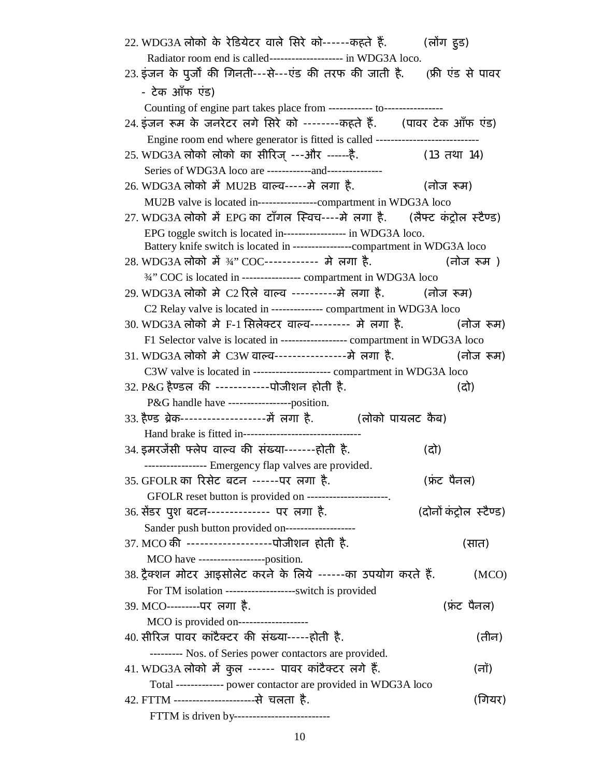| 22. WDG3A लोको के रेडियेटर वाले सिरे को------कहते हैं.         (लोंग हुड)        |                          |
|----------------------------------------------------------------------------------|--------------------------|
| Radiator room end is called-------------------- in WDG3A loco.                   |                          |
| 23. इंजन के पूर्जों की गिनती---से---एंड की तरफ की जाती है. (फ्री एंड से पावर     |                          |
| - टेक आँफ एंड)                                                                   |                          |
| Counting of engine part takes place from ------------- to-----------------       |                          |
| 24. इंजन रूम के जनरेटर लगे सिरे को --------कहते हैं.     (पावर टेक आँफ एंड)      |                          |
| Engine room end where generator is fitted is called ---------------------------- |                          |
| 25. WDG3A लोको लोको का सीरिज् ---और ------है.<br>(13 तथा 14)                     |                          |
| Series of WDG3A loco are -------------and----------------                        |                          |
| 26. WDG3A लोको में MU2B वाल्व-----मे लगा है.                   (नोज रूम)         |                          |
| MU2B valve is located in----------------compartment in WDG3A loco                |                          |
| 27. WDG3A लोको में EPG का टाँगल स्विच----मे लगा है.     (लैफ्ट कंट्रोल स्टैण्ड)  |                          |
| EPG toggle switch is located in----------------- in WDG3A loco.                  |                          |
| Battery knife switch is located in -----------------compartment in WDG3A loco    |                          |
| 28. WDG3A लोको में ¾" COC----------- मे लगा है.                                  | लोज रूम)                 |
| 3/4" COC is located in ---------------- compartment in WDG3A loco                |                          |
| 29. WDG3A लोको मे C2 रिले वाल्व ----------मे लगा है. (नोज रूम)                   |                          |
| C2 Relay valve is located in -------------- compartment in WDG3A loco            |                          |
| 30. WDG3A लोको मे F-1 सिलेक्टर वाल्व--------- मे लगा है.             (नोज रूम)   |                          |
| F1 Selector valve is located in ----------------- compartment in WDG3A loco      |                          |
| 31. WDG3A लोको मे C3W वाल्व----------------मे लगा है.                 (नोज रूम)  |                          |
| C3W valve is located in --------------------- compartment in WDG3A loco          |                          |
| 32. P&G हैण्डल की ------------पोजीशन होती है.                                    | (दो)                     |
| P&G handle have ------------------position.                                      |                          |
| 33. हैण्ड ब्रेक--------------------में लगा है.           (लोको पायलट कैब)        |                          |
| Hand brake is fitted in---------------------------------                         |                          |
| 34. इमरजेंसी फ्लेप वाल्व की संख्या-------होती है.                                | (दो)                     |
| ----------------- Emergency flap valves are provided.                            |                          |
| 35. GFOLR का रिसेट बटन ------पर लगा है.                                          | (फ्रंट पैनल)             |
| GFOLR reset button is provided on ----------------------.                        |                          |
| 36. सेंडर पुश बटन-------------- पर लगा है.                                       | (दोनों कंट्रोल) स्टैण्ड) |
| Sander push button provided on-------------------                                |                          |
| 37. MCO की ------------------पोजीशन होती है.                                     | (सात)                    |
| MCO have -------------------position.                                            |                          |
| 38. ट्रैक्शन मोटर आइसोलेट करने के लिये ------का उपयोग करते हैं.                  | (MCO)                    |
| For TM isolation -------------------switch is provided                           |                          |
| 39. MCO---------पर लगा है.                                                       | (फ्रंट पैनल)             |
|                                                                                  |                          |
| 40. सीरिज पावर कांटैक्टर की संख्या-----होती है.                                  | (तीन)                    |
| --------- Nos. of Series power contactors are provided.                          |                          |
| 41. WDG3A लोको में कुल ------ पावर कांटैक्टर लगे हैं.                            | (नॉ)                     |
| Total ------------- power contactor are provided in WDG3A loco                   |                          |
| 42. FTTM -----------------------से चलता है.                                      | (गियर)                   |
| FTTM is driven by--------------------------                                      |                          |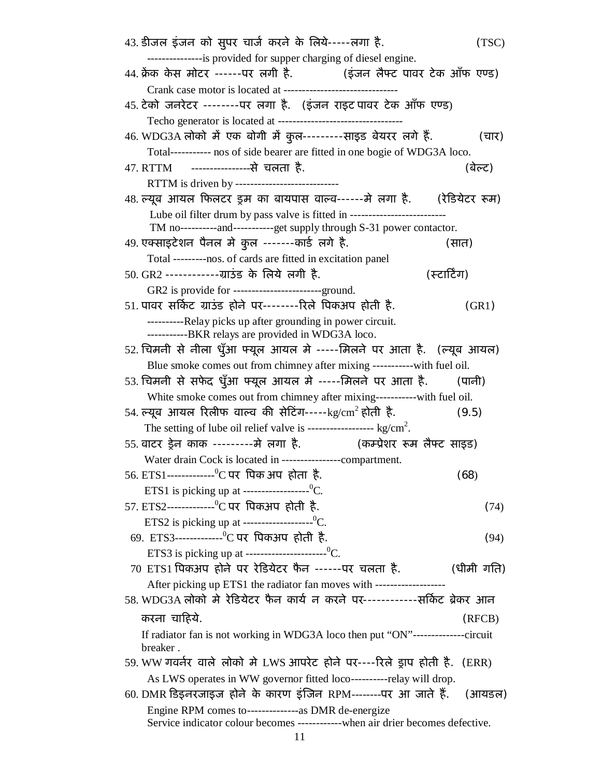| 43. डीजल इंजन को सुपर चार्ज करने के लिये-----लगा है.                                                                          | (TSC)        |
|-------------------------------------------------------------------------------------------------------------------------------|--------------|
| ----------------is provided for supper charging of diesel engine.                                                             |              |
| 44. क्रेंक केस मोटर ------पर लगी है.           (इंजन लैफ्ट पावर टेक ऑफ एण्ड)                                                  |              |
| Crank case motor is located at ---------------------------                                                                    |              |
| 45. टेको जनरेटर --------पर लगा है.   (इंजन राइट पावर टेक ऑफ एण्ड)<br>Techo generator is located at -------------------------- |              |
| 46. WDG3A लोको में एक बोगी में कुल---------साइड बेयरर लगे हैं.                                                                | (चार)        |
| Total----------- nos of side bearer are fitted in one bogie of WDG3A loco.                                                    |              |
| 47. RTTM ----------------से चलता है.                                                                                          | (बेल्ट)      |
| RTTM is driven by ---------------------------                                                                                 |              |
| 48. ल्यूब आयल फिलटर ड्रम का बायपास वाल्व------मे लगा है. (रेडियेटर रूम)                                                       |              |
| Lube oil filter drum by pass valve is fitted in --------------------                                                          |              |
| TM no-----------and-----------get supply through S-31 power contactor.                                                        |              |
| 49. एक्साइटेशन पैनल मे कुल -------कार्ड लगे है.                                                                               | (सात)        |
| Total ---------nos. of cards are fitted in excitation panel                                                                   |              |
|                                                                                                                               | (स्टार्टिंग) |
| GR2 is provide for ------------------------ground.                                                                            |              |
| 51. पावर सर्किट ग्राउंड होने पर--------रिले पिकअप होती है.                                                                    | (GR1)        |
| ----------Relay picks up after grounding in power circuit.<br>-----------BKR relays are provided in WDG3A loco.               |              |
| 52. चिमनी से नीला धुँआ फ्यूल आयल मे -----मिलने पर आता है.  (ल्यूब आयल)                                                        |              |
| Blue smoke comes out from chimney after mixing ------------ with fuel oil.                                                    |              |
| 53. चिमनी से सफेद धुँआ फ्यूल आयल मे -----मिलने पर आता है.                                                                     | (पानी)       |
| White smoke comes out from chimney after mixing------------with fuel oil.                                                     |              |
| 54. ल्यूब आयल रिलीफ वाल्व की सेटिंग-----kg/cm $^2$ होती है.                                                                   | (9.5)        |
|                                                                                                                               |              |
| (कम्प्रेशर रूम लैफ्ट साइड)<br>55. वाटर ड्रेन काक ---------मे लगा है.                                                          |              |
| Water drain Cock is located in ------------------compartment.                                                                 |              |
| 56. ETS1------------- <sup>0</sup> C पर पिक अप होता है.                                                                       | (68)         |
| ETS1 is picking up at --------------------0C.                                                                                 |              |
| 57. ETS2------------- <sup>0</sup> C पर पिकअप होती है.                                                                        | (74)         |
| ETS2 is picking up at --------------------0C.                                                                                 |              |
| 69. ETS3--------------°C पर पिकअप होती है.                                                                                    | (94)         |
| ETS3 is picking up at ----------------------0C.                                                                               |              |
| 70 ETS1 पिकअप होने पर रेडियेटर फैन ------पर चलता है.                                                                          | (धीमी गति)   |
| After picking up ETS1 the radiator fan moves with -------------------                                                         |              |
| 58. WDG3A लोको मे रेडियेटर फैन कार्य न करने पर------------सर्किट ब्रेकर आन                                                    |              |
| करना चाहिये.                                                                                                                  | (RFCB)       |
| If radiator fan is not working in WDG3A loco then put "ON"---------------circuit<br>breaker.                                  |              |
| 59. WW गवर्नर वाले लोको मे LWS आपरेट होने पर----रिले ड्राप होती है.  (ERR)                                                    |              |
| As LWS operates in WW governor fitted loco----------relay will drop.                                                          |              |
| 60. DMR डिइनरजाइज होने के कारण इंजिन RPM--------पर आ जाते हैं.   (आयडल)                                                       |              |
|                                                                                                                               |              |
| Service indicator colour becomes -------------when air drier becomes defective.                                               |              |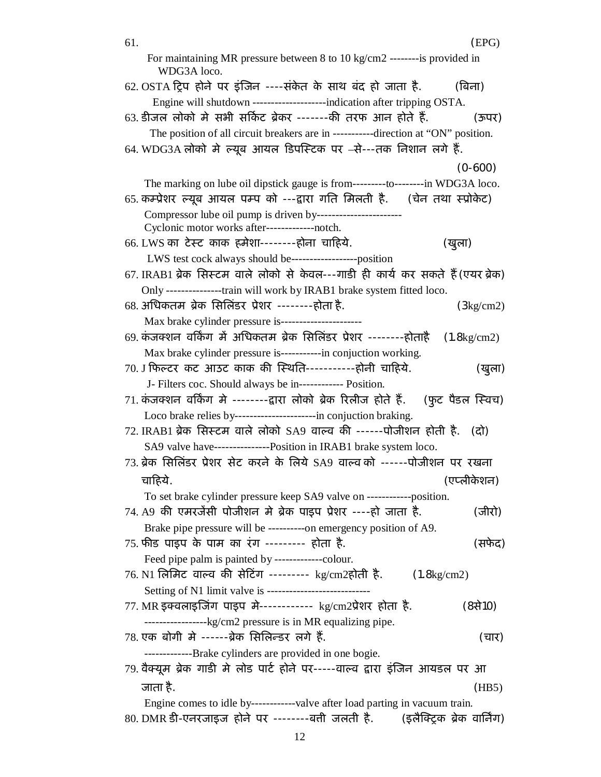| 61. | (EPG)                                                                                                                                                       |
|-----|-------------------------------------------------------------------------------------------------------------------------------------------------------------|
|     | For maintaining MR pressure between 8 to 10 kg/cm2 --------is provided in<br>WDG3A loco.                                                                    |
|     | 62. OSTA ट्रिप होने पर इंजिन ----संकेत के साथ बंद हो जाता है. $\qquad$ (बिना)                                                                               |
|     | Engine will shutdown ---------------------indication after tripping OSTA.                                                                                   |
|     | 63. डीजल लोको मे सभी सर्किट ब्रेकर -------की तरफ आन होते हैं.<br>(ऊपर)                                                                                      |
|     | The position of all circuit breakers are in -----------direction at "ON" position.<br>64. WDG3A लोको मे ल्यूब आयल डिपस्टिक पर –से---तक निशान लगे हैं.       |
|     | $(0-600)$                                                                                                                                                   |
|     | The marking on lube oil dipstick gauge is from----------to--------in WDG3A loco.                                                                            |
|     | 65. कम्प्रेशर ल्यूब आयल पम्प को ---द्वारा गति मिलती है. (चेन तथा स्प्रोकेट)                                                                                 |
|     | Compressor lube oil pump is driven by-----------------------<br>Cyclonic motor works after--------------notch.                                              |
|     | 66. LWS का टेस्ट काक हमेशा--------होना चाहिये.<br>(खुला)                                                                                                    |
|     | LWS test cock always should be-------------------position                                                                                                   |
|     | 67. IRAB1 ब्रेक सिस्टम वाले लोको से केवल---गाडी ही कार्य कर सकते हैं (एयर ब्रेक)<br>Only ----------------train will work by IRAB1 brake system fitted loco. |
|     |                                                                                                                                                             |
|     | 68. अधिकतम ब्रेक सिलिंडर प्रेशर --------होता है.<br>$(3\text{kg/cm2})$<br>Max brake cylinder pressure is----------------------                              |
|     | 69. कंजक्शन वर्किंग में अधिकतम ब्रेक सिलिंडर प्रेशर --------होताहै<br>$(1.8\text{kg/cm2})$                                                                  |
|     | Max brake cylinder pressure is-----------in conjuction working.                                                                                             |
|     | 70. J फिल्टर कट आउट काक की स्थिति-----------होनी चाहिये.<br>(खुला)                                                                                          |
|     | J- Filters coc. Should always be in------------- Position.                                                                                                  |
|     | 71. कंजक्शन वर्किंग मे --------द्वारा लोको ब्रेक रिलीज होते हैं.    (फुट पैडल स्विच)                                                                        |
|     | Loco brake relies by----------------------in conjuction braking.                                                                                            |
|     | 72. IRAB1 ब्रेक सिस्टम वाले लोको SA9 वाल्व की ------पोजीशन होती है. (दो)                                                                                    |
|     | SA9 valve have---------------Position in IRAB1 brake system loco.                                                                                           |
|     | 73. ब्रेक सिलिंडर प्रेशर सेट करने के लिये SA9 वाल्व को ------पोजीशन पर रखना                                                                                 |
|     | (एप्लीकेशन)<br>चाहिये.                                                                                                                                      |
|     | To set brake cylinder pressure keep SA9 valve on ------------position.                                                                                      |
|     | 74. A9 की एमरजेंसी पोजीशन मे ब्रेक पाइप प्रेशर ----हो जाता है.<br>(जीरो)                                                                                    |
|     | Brake pipe pressure will be ----------on emergency position of A9.                                                                                          |
|     | 75. फीड पाइप के पाम का रंग --------- होता है.<br>(सफेद)                                                                                                     |
|     |                                                                                                                                                             |
|     | 76. N1 लिमिट वाल्व की सेटिंग --------- kg/cm2होती है.<br>$(1.8\text{kg/cm2})$                                                                               |
|     | Setting of N1 limit valve is ----------------------------                                                                                                   |
|     | 77. MR इक्वलाइजिंग पाइप मे----------- kg/cm2प्रेशर होता है.<br>$(8\ddot{t}10)$                                                                              |
|     | -------------------kg/cm2 pressure is in MR equalizing pipe.                                                                                                |
|     | 78. एक बोगी मे ------ब्रेक सिलिन्डर लगे हैं.<br>(चार)                                                                                                       |
|     | -----------Brake cylinders are provided in one bogie.                                                                                                       |
|     | 79. वैक्यूम ब्रेक गाडी मे लोड पार्ट होने पर-----वाल्व द्वारा इंजिन आयडल पर आ                                                                                |
|     | जाता है.<br>(HB5)                                                                                                                                           |
|     | Engine comes to idle by------------valve after load parting in vacuum train.                                                                                |
|     | 80. DMR डी-एनरजाइज होने पर --------बत्ती जलती है.      (इलैक्ट्रिक ब्रेक वार्निंग)                                                                          |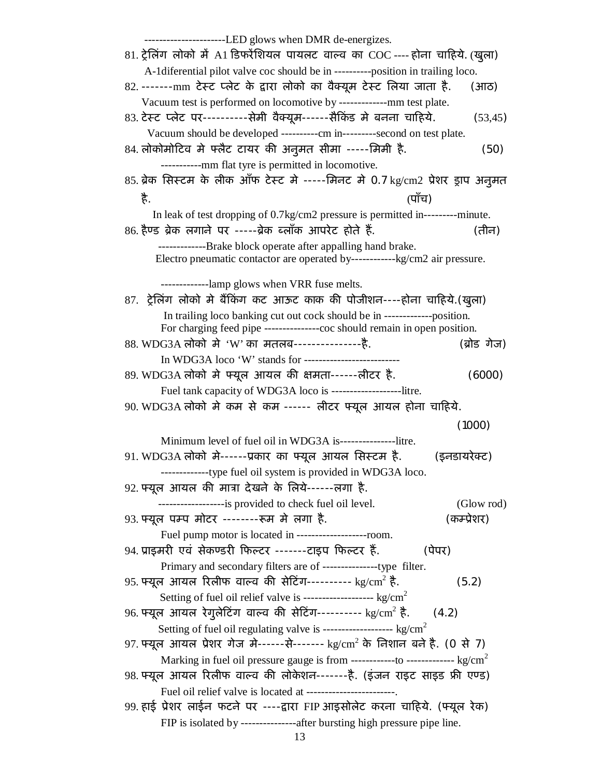----------------------LED glows when DMR de-energizes. 81. ट्रेलिंग लोको में A1 डिफरेंशियल पायलट वाल्व का COC ---- होना चाहिये. (खुला) A-1diferential pilot valve coc should be in ----------position in trailing loco. 82. -------mm टेस्ट प्लेट के द्वारा लोको का वैक्यूम टेस्ट लिया जाता है. (आठ) Vacuum test is performed on locomotive by -------------mm test plate. 83. टेस्ट प्लेट पर----------सेमी वैक्यूम------सैकिंड मे बनना चाहिये.  $(53,45)$  Vacuum should be developed ----------cm in---------second on test plate. 84. लोकोमोटिव मे फ्लैट टायर की अनुमत सीमा -----मिमी है. (50) -----------mm flat tyre is permitted in locomotive. 85. ब्रेक सिस्टम के लीक ऑफ टेस्ट मे -----मिनट मे 0.7 kg/cm2 प्रेशर ड्राप अनुमत है. (पाँच) In leak of test dropping of 0.7kg/cm2 pressure is permitted in---------minute.  $86.$  हैण्ड ब्रेक लगाने पर -----ब्रेक ब्लॉक आपरेट होते हैं.  $\qquad \qquad$  (तीन) -------------Brake block operate after appalling hand brake. Electro pneumatic contactor are operated by------------kg/cm2 air pressure. -------------lamp glows when VRR fuse melts. 87. ट्रेलिंग लोको मे बैंकिंग कट आऊट काक की पोजीशन----होना चाहिये.(खुला) In trailing loco banking cut out cock should be in -------------position. For charging feed pipe ---------------coc should remain in open position. 88. WDG3A लोको मे 'W' का मतलब-----------------है. (ब्रोड गेज) In WDG3A loco 'W' stands for -------------------------- 89. WDG3A लोको मे फ्यूल आयल की क्षमता------लीटर है. (6000) Fuel tank capacity of WDG3A loco is -------------------litre. 90. WDG3A लोको मे कम से कम ------ लीटर फ्यूल आयल होना चाहिये. (1000) Minimum level of fuel oil in WDG3A is---------------litre. 91. WDG3A लोको मे------प्रकार का फ्यूल आयल सिस्टम है. (इनडायरेक्ट) -------------type fuel oil system is provided in WDG3A loco. 92. Ýयूल आयल कȧ माğा देखने के िलये------लगा है. ------------------is provided to check fuel oil level. (Glow rod) 93. फ्यूल पम्प मोटर --------रूम मे लगा है. (कम्प्रेशर) Fuel pump motor is located in -------------------room. ९4. प्राइमरी एवं सेकण्डरी फिल्टर -------टाइप फिल्टर हैं. (पेपर) Primary and secondary filters are of ---------------type filter. 95. फ्यूल आयल रिलीफ वाल्व की सेटिंग---------- kg/cm $^2$  है. (5.2) Setting of fuel oil relief valve is ------------------- kg/cm<sup>2</sup> 96. फ्यूल आयल रेगुलेटिंग वाल्व की सेटिंग---------- kg/cm $^2$  है. (4.2) Setting of fuel oil regulating valve is -----------------------  $\text{kg/cm}^2$ 97. फ्यूल आयल प्रेशर गेज मे------से------- kg/cm<sup>2</sup> के निशान बने है. (0 से 7) Marking in fuel oil pressure gauge is from  $------$ to  $------$ kg/cm<sup>2</sup> 98. फ्यूल आयल रिलीफ वाल्व की लोकेशन-------है. (इंजन राइट साइड फ्री एण्ड) Fuel oil relief valve is located at ------------------------. 99. हाई प्रेशर लाईन फटने पर ----द्वारा FIP आइसोलेट करना चाहिये. (फ्यूल रेक) FIP is isolated by ---------------after bursting high pressure pipe line.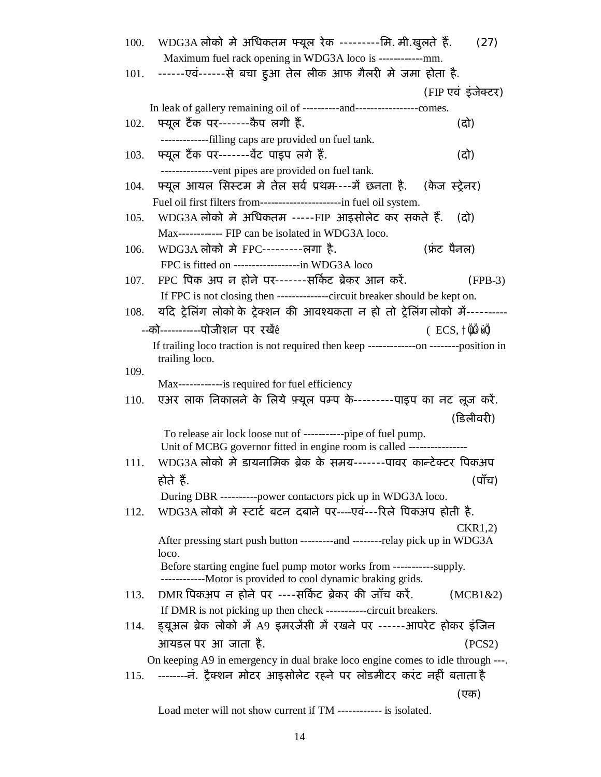| 100. | WDG3A लोको मे अधिकतम फ्यूल रेक ---------मि. मी.खुलते हैं.                                                                             | (27)                                 |
|------|---------------------------------------------------------------------------------------------------------------------------------------|--------------------------------------|
|      | Maximum fuel rack opening in WDG3A loco is ------------mm.                                                                            |                                      |
|      | 101. ------एवं------से बचा हुआ तेल लीक आफ गैलरी मे जमा होता है.                                                                       |                                      |
|      |                                                                                                                                       | (FIP एवं इंजेक्टर)                   |
|      | In leak of gallery remaining oil of -----------and---------------------comes.                                                         |                                      |
| 102. | फ्यूल टैंक पर-------कैप लगी हैं.                                                                                                      | (दो)                                 |
|      | --------------filling caps are provided on fuel tank.                                                                                 |                                      |
| 103. | फ्यूल टैंक पर------वेंट पाइप लगे हैं.                                                                                                 | (दो)                                 |
|      | --------------vent pipes are provided on fuel tank.                                                                                   |                                      |
| 104. | फ्यूल आयल सिस्टम मे तेल सर्व प्रथम----मैं छनता है. ) (केज स्ट्रेनर)                                                                   |                                      |
|      | Fuel oil first filters from-----------------------in fuel oil system.                                                                 |                                      |
| 105. | WDG3A लोको मे अधिकतम -----FIP आइसोलेट कर सकते हैं.                                                                                    | (दो)                                 |
|      | Max------------ FIP can be isolated in WDG3A loco.                                                                                    |                                      |
| 106. | WDG3A लोको मे FPC---------लगा है.                                                                                                     | (फ्रंट पैनल)                         |
|      | FPC is fitted on ---------------------in WDG3A loco                                                                                   |                                      |
| 107. | FPC पिक अप न होने पर------सर्किट ब्रेकर आन करें.                                                                                      | $(FPB-3)$                            |
|      | If FPC is not closing then ---------------circuit breaker should be kept on.                                                          |                                      |
| 108. | यदि ट्रेलिंग लोकों के ट्रेक्शन की आवश्यकता न हो तो ट्रेलिंग लोकों में----------                                                       |                                      |
|      | --को-----------पोजीशन पर रखें $\mathring{\text{e}}$                                                                                   | $($ ECS, $\uparrow \psi \uplus \psi$ |
|      | If trailing loco traction is not required then keep ---------------on --------position in                                             |                                      |
|      | trailing loco.                                                                                                                        |                                      |
| 109. | Max------------is required for fuel efficiency                                                                                        |                                      |
| 110. | एअर लाक निकालने के लिये फ़्यूल पम्प के--------पाइप का नट लूज करें.                                                                    |                                      |
|      |                                                                                                                                       | (डिलीवरी)                            |
|      | To release air lock loose nut of -----------pipe of fuel pump.                                                                        |                                      |
|      | Unit of MCBG governor fitted in engine room is called ----------------                                                                |                                      |
| 111. | WDG3A लोको मे डायनामिक ब्रेक के समय-------पावर कान्टेक्टर पिकअप                                                                       |                                      |
|      | होते हैं.                                                                                                                             | (पाँच)                               |
|      | During DBR ----------power contactors pick up in WDG3A loco.                                                                          |                                      |
| 112. | WDG3A लोको मे स्टार्ट बटन दबाने पर----एवं---रिले पिकअप होती है.                                                                       |                                      |
|      |                                                                                                                                       | CKR1,2)                              |
|      | After pressing start push button ---------and --------relay pick up in WDG3A                                                          |                                      |
|      | loco.                                                                                                                                 |                                      |
|      | Before starting engine fuel pump motor works from -----------supply.<br>-------------Motor is provided to cool dynamic braking grids. |                                      |
| 113. | DMR पिकअप न होने पर ----सर्किट ब्रेकर की जाँच करें.                                                                                   | (MCB1&2)                             |
|      | If DMR is not picking up then check -----------circuit breakers.                                                                      |                                      |
| 114. | इ़यूअल ब्रेक लोको में A9 इमरजेंसी में रखने पर ------आपरेट होकर इंजिन                                                                  |                                      |
|      |                                                                                                                                       |                                      |
|      |                                                                                                                                       |                                      |
|      | आयडल पर आ जाता है.                                                                                                                    | (PCS2)                               |
|      | On keeping A9 in emergency in dual brake loco engine comes to idle through ---.                                                       |                                      |
|      | 115. -------- नं. ट्रैक्शन मोटर आइसोलेट रहने पर लोडमीटर करंट नहीं बताता है                                                            | (एक)                                 |

Load meter will not show current if TM ------------ is isolated.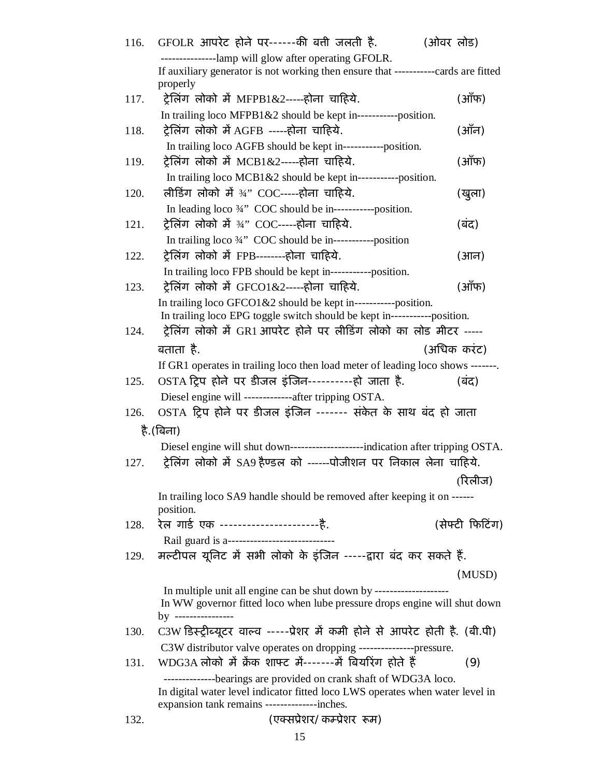| 116. | GFOLR आपरेट होने पर------की बत्ती जलती है.<br>(ओवर लोड)                                                |                 |
|------|--------------------------------------------------------------------------------------------------------|-----------------|
|      | ------------lamp will glow after operating GFOLR.                                                      |                 |
|      | If auxiliary generator is not working then ensure that -----------cards are fitted<br>properly         |                 |
| 117. | ट्रेलिंग लोको में MFPB1&2-----होना चाहिये.                                                             | (ऑफ)            |
|      | In trailing loco MFPB1&2 should be kept in------------position.                                        |                 |
| 118. | ट्रेलिंग लोको में AGFB -----होना चाहिये.                                                               | (ऑन)            |
|      | In trailing loco AGFB should be kept in-----------position.                                            |                 |
| 119. | ट्रेलिंग लोको में MCB1&2-----होना चाहिये.                                                              | (ऑफ)            |
|      | In trailing loco $MCB1\&2$ should be kept in------------position.                                      |                 |
| 120. | लीडिंग लोको में ¾" COC-----होना चाहिये.                                                                | (खुला)          |
|      | In leading loco 3/4" COC should be in-----------position.                                              |                 |
| 121. | ट्रेलिंग लोको में ¾" COC-----होना चाहिये.<br>In trailing loco 3/4" COC should be in-----------position | (बंद)           |
|      |                                                                                                        |                 |
| 122. | ट्रेलिंग लोको में FPB-------होना चाहिये.                                                               | (आन)            |
|      | In trailing loco FPB should be kept in------------position.                                            |                 |
| 123. | ट्रेलिंग लोको में GFCO1&2-----होना चाहिये.                                                             | (ऑफ)            |
|      | In trailing loco $GFCO1&2$ should be kept in------------position.                                      |                 |
|      | In trailing loco EPG toggle switch should be kept in------------position.                              |                 |
| 124. | ट्रेलिंग लोको में GR1 आपरेट होने पर लीडिंग लोको का लोड मीटर -----                                      |                 |
|      | बताता है.                                                                                              | (अधिक करंट)     |
|      | If GR1 operates in trailing loco then load meter of leading loco shows -------                         |                 |
| 125. | OSTA ट्रिप होने पर डीजल इंजिन----------हो जाता है.                                                     | (बंद)           |
|      | Diesel engine will -------------after tripping OSTA.                                                   |                 |
| 126. | OSTA ट्रिप होने पर डीजल इंजिन ------- संकेत के साथ बंद हो जाता                                         |                 |
|      | है. (बिना)                                                                                             |                 |
|      | Diesel engine will shut down--------------------------indication after tripping OSTA.                  |                 |
| 127. | ट्रेलिंग लोको में SA9 हैण्डल को ------पोजीशन पर निकाल लेना चाहिये.                                     |                 |
|      |                                                                                                        | (रिलीज)         |
|      | In trailing loco SA9 handle should be removed after keeping it on ------                               |                 |
|      | position.                                                                                              |                 |
| 128. | रेल गार्ड एक ------------------------है.                                                               | (सेफ्टी फिटिंग) |
|      | Rail guard is a-------------------------                                                               |                 |
| 129. | मल्टीपल यूनिट में सभी लोको के इंजिन -----द्वारा बंद कर सकते हैं.                                       |                 |
|      |                                                                                                        | (MUSD)          |
|      |                                                                                                        |                 |
|      | In WW governor fitted loco when lube pressure drops engine will shut down                              |                 |
|      | by ----------------                                                                                    |                 |
| 130. | C3W डिस्ट्रीब्यूटर वाल्व -----प्रेशर में कमी होने से आपरेट होती है. (बी.पी)                            |                 |
|      | C3W distributor valve operates on dropping ----------------pressure.                                   |                 |
| 131. | WDG3A लोको में क्रेंक शाफ्ट में-------में बियरिंग होते हैं                                             | (9)             |
|      | --------------bearings are provided on crank shaft of WDG3A loco.                                      |                 |
|      | In digital water level indicator fitted loco LWS operates when water level in                          |                 |
|      | expansion tank remains ---------------inches.                                                          |                 |
| 132. | (एक्सप्रेशर/कम्प्रेशर रूम)                                                                             |                 |

15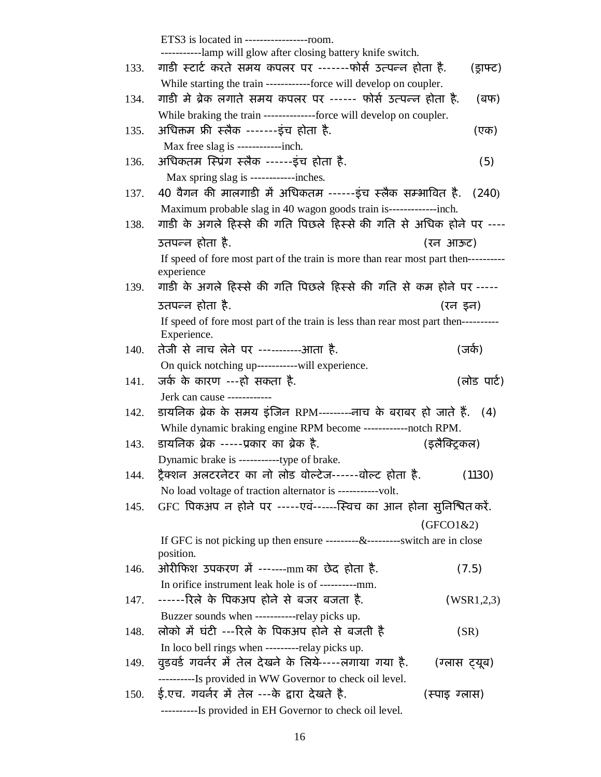|      | ETS3 is located in ------------------room.<br>---------lamp will glow after closing battery knife switch.                                |               |
|------|------------------------------------------------------------------------------------------------------------------------------------------|---------------|
| 133. | गाडी स्टार्ट करते समय कपलर पर ------फोर्स उत्पन्न होता है.                                                                               | (ड्राफ्ट)     |
|      | While starting the train ------------force will develop on coupler.                                                                      |               |
| 134. | गाडी मे ब्रेक लगाते समय कपलर पर ------ फोर्स उत्पन्न होता है.                                                                            | (बफ)          |
|      | While braking the train --------------force will develop on coupler.                                                                     |               |
| 135. | अधिक्तम फ्री स्लैक -------इंच होता है.                                                                                                   | (एक)          |
|      | Max free slag is -------------inch.                                                                                                      |               |
| 136. | अधिकतम स्प्रिंग स्लैक ------इंच होता है.                                                                                                 | (5)           |
|      | Max spring slag is ------------inches.                                                                                                   |               |
| 137. | 40 वैगन की मालगाडी में अधिकतम ------इंच स्लैक सम्भावित है.                                                                               | (240)         |
|      | Maximum probable slag in 40 wagon goods train is--------------inch.                                                                      |               |
| 138. | गाडी के अगले हिस्से की गति पिछले हिस्से की गति से अधिक होने पर ----                                                                      |               |
|      | उतपन्न होता है.                                                                                                                          | (रन आऊट)      |
|      | If speed of fore most part of the train is more than rear most part then----------<br>experience                                         |               |
| 139. | गाडी के अगले हिस्से की गति पिछले हिस्से की गति से कम होने पर -----                                                                       |               |
|      | उतपन्न होता है.                                                                                                                          | (रन इन)       |
|      | If speed of fore most part of the train is less than rear most part then----------<br>Experience.                                        |               |
| 140. | तेजी से नाच लेने पर -----------आता है.                                                                                                   | (जर्क)        |
|      | On quick notching up-----------will experience.                                                                                          |               |
| 141. | जर्क के कारण ---हो सकता है.                                                                                                              | (लोड पार्ट)   |
|      | Jerk can cause ------------                                                                                                              |               |
| 142. | डायनिक ब्रेक के समय इंजिन RPM---------नाच के बराबर हो जाते हैं. (4)                                                                      |               |
|      | While dynamic braking engine RPM become ------------notch RPM.                                                                           |               |
| 143. | डायनिक ब्रेक -----प्रकार का ब्रेक है.                                                                                                    | (इलैक्ट्रिकल) |
|      |                                                                                                                                          |               |
| 144. | ट्रैक्शन अलटरनेटर का नो लोड वोल्टेज------वोल्ट होता है.                                                                                  | (1130)        |
| 145. | No load voltage of traction alternator is -----------volt.<br>GFC पिकअप न होने पर -----एवं------स्विच का आन होना सुनिश्चित <i>फ</i> रें. |               |
|      |                                                                                                                                          |               |
|      |                                                                                                                                          | (GFCO1&2)     |
|      | If GFC is not picking up then ensure ---------&---------switch are in close<br>position.                                                 |               |
| 146. | ओरीफिश उपकरण में ------mm का छेद होता है.                                                                                                | (7.5)         |
|      | In orifice instrument leak hole is of -----------mm.                                                                                     |               |
| 147. | ------रिले के पिकअप होने से बजर बजता है.                                                                                                 | (WSR1,2,3)    |
|      | Buzzer sounds when ------------relay picks up.                                                                                           |               |
| 148. | लोको में घंटी ---रिले के पिकअप होने से बजती है                                                                                           | (SR)          |
|      | In loco bell rings when ----------relay picks up.                                                                                        |               |
| 149. | वुडवर्ड गवर्नर में तेल देखने के लिये----त्नगाया गया है.                                                                                  | (ग्लास ट्यूब) |
|      | ----------Is provided in WW Governor to check oil level.                                                                                 |               |
| 150. | ई.एच. गवर्नर में तेल ---के द्वारा देखते है.                                                                                              | (स्पाइ ग्लास) |
|      | ----------Is provided in EH Governor to check oil level.                                                                                 |               |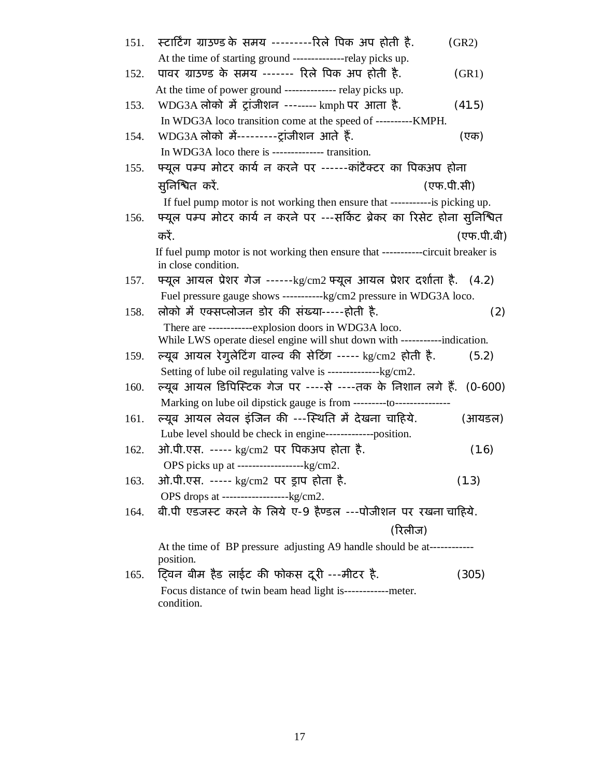| 151. | स्टार्टिंग ग्राउण्ड के समय ---------रिले पिक अप होती है.                                                | (GR2)      |
|------|---------------------------------------------------------------------------------------------------------|------------|
|      | At the time of starting ground --------------relay picks up.                                            |            |
| 152. | पावर ग्राउण्ड के समय ------ रिले पिक अप होती है.                                                        | (GR1)      |
|      | At the time of power ground -------------- relay picks up.                                              |            |
| 153. | WDG3A लोको में ट्रांजीशन -------- kmph पर आता है.                                                       | (41.5)     |
|      | In WDG3A loco transition come at the speed of ----------KMPH.                                           |            |
| 154. | WDG3A लोको में---------ट्रांजीशन आते हैं.                                                               | (एक)       |
|      | In WDG3A loco there is ----------------- transition.                                                    |            |
| 155. | फ्यूल पम्प मोटर कार्य न करने पर ------कांटैक्टर का पिकअप होना                                           |            |
|      | सुनिश्चित करें.                                                                                         | (एफ.पी.सी) |
|      | If fuel pump motor is not working then ensure that ------------is picking up.                           |            |
| 156. | फ्यूल पम्प मोटर कार्य न करने पर ---सर्किट ब्रेकर का रिसेट होना सुनिश्चित                                |            |
|      | करें.                                                                                                   | (एफ.पी.बी) |
|      | If fuel pump motor is not working then ensure that -----------circuit breaker is<br>in close condition. |            |
| 157. | फ्यूल आयल प्रेशर गेज ------kg/cm2 फ्यूल आयल प्रेशर दर्शाता है. (4.2)                                    |            |
|      | Fuel pressure gauge shows -----------kg/cm2 pressure in WDG3A loco.                                     |            |
| 158. | लोको में एक्सप्लोजन डोर की संख्या-----होती है.                                                          | (2)        |
|      | There are ------------explosion doors in WDG3A loco.                                                    |            |
|      | While LWS operate diesel engine will shut down with -----------indication.                              |            |
| 159. | ल्यूब आयल रेगुलेटिंग वाल्व की सेटिंग ----- kg/cm2 होती है.                                              | (5.2)      |
|      |                                                                                                         |            |
| 160. | ल्यूब आयल डिपिस्टिक गेज पर ----से ----तक के निशान लगे हैं.                                              | $(0-600)$  |
|      | Marking on lube oil dipstick gauge is from ---------to-------------                                     |            |
| 161. | ल्यूब आयल लेवल इंजिन की ---स्थिति में देखना चाहिये.                                                     | (आयडल)     |
|      | Lube level should be check in engine-------------position.                                              |            |
| 162. | ओ.पी.एस. ----- kg/cm2 पर पिकअप होता है.                                                                 | (1.6)      |
|      | OPS picks up at ----------------------kg/cm2.                                                           |            |
| 163. | ओ.पी.एस. ----- kg/cm2 पर ड्राप होता है.                                                                 | (1.3)      |
|      |                                                                                                         |            |
| 164. | बी.पी एडजस्ट करने के लिये ए-9 हैण्डल ---पोजीशन पर रखना चाहिये.                                          |            |
|      | (रिलीज)                                                                                                 |            |
|      | At the time of BP pressure adjusting A9 handle should be at------------<br>position.                    |            |
| 165. | ट्विन बीम हैड लाईट की फोकस दूरी ---मीटर है.                                                             | (305)      |
|      | Focus distance of twin beam head light is--------------meter.                                           |            |
|      | condition.                                                                                              |            |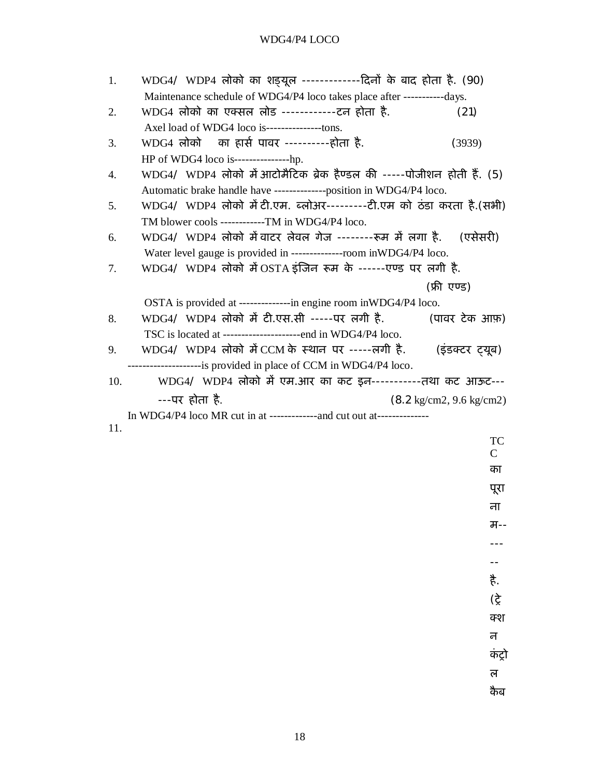### WDG4/P4 LOCO

| 1.  | WDG4/ WDP4 लोको का शङ्यूल -------------दिनों के बाद होता है. (90)        |                                            |
|-----|--------------------------------------------------------------------------|--------------------------------------------|
|     | Maintenance schedule of WDG4/P4 loco takes place after ------------days. |                                            |
| 2.  | WDG4 लोको का एक्सल लोड ------------टन होता है.                           | (21)                                       |
|     | Axel load of WDG4 loco is----------------tons.                           |                                            |
| 3.  | WDG4 लोको का हार्स पावर ----------होता है.                               | (3939)                                     |
|     | HP of WDG4 loco is------------------hp.                                  |                                            |
| 4.  | WDG4/ WDP4 लोको में आटोमैटिक ब्रेक हैण्डल की -----पोजीशन होती हैं. (5)   |                                            |
|     | Automatic brake handle have --------------position in WDG4/P4 loco.      |                                            |
| 5.  | WDG4/ WDP4 लोको में टी.एम. ब्लोअर---------टी.एम को ठंडा करता है.(सभी)    |                                            |
|     | TM blower cools ------------TM in WDG4/P4 loco.                          |                                            |
| 6.  | WDG4/ WDP4 लोको में वाटर लेवल गेज -------रूम में लगा है.    (एसेसरी)     |                                            |
|     | Water level gauge is provided in --------------room in WDG4/P4 loco.     |                                            |
| 7.  | WDG4/ WDP4 लोको में OSTA इंजिन रूम के ------एण्ड पर लगी है.              |                                            |
|     |                                                                          | (फ्री एण्ड)                                |
|     | OSTA is provided at --------------in engine room inWDG4/P4 loco.         |                                            |
| 8.  | WDG4/ WDP4 लोको में टी.एस.सी -----पर लगी है.                             | (पावर टेक आफ़)                             |
|     | TSC is located at ---------------------end in WDG4/P4 loco.              |                                            |
| 9.  | WDG4/ WDP4 लोको में CCM के स्थान पर -----लगी है.                         | (इंडक्टर ट्यूब)                            |
|     | ---------------------is provided in place of CCM in WDG4/P4 loco.        |                                            |
| 10. | WDG4/ WDP4 लोको में एम.आर का कट इन-----------तथा कट आऊट---               |                                            |
|     | ---पर होता है.                                                           | $(8.2 \text{ kg/cm2}, 9.6 \text{ kg/cm2})$ |
|     | In WDG4/P4 loco MR cut in at --------------and cut out at--------------  |                                            |
| 11. |                                                                          |                                            |
|     |                                                                          | TC                                         |
|     |                                                                          | $\mathcal{C}$                              |

पूरा ना म-- --- -- है. (Ěे क्श न कंट्रो ल कैब

का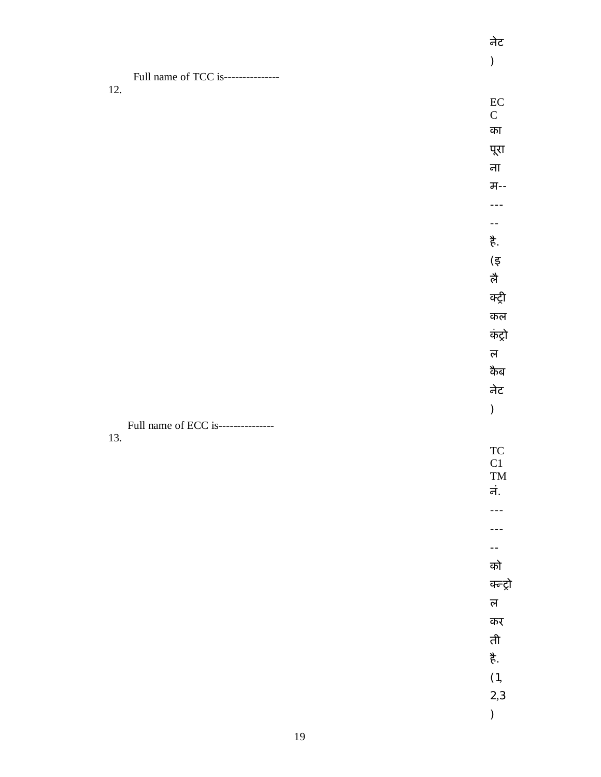|                                    | $\bm)$                                                       |
|------------------------------------|--------------------------------------------------------------|
| Full name of TCC is--------------- |                                                              |
| 12.                                | $\rm EC$                                                     |
|                                    | ${\bf C}$                                                    |
|                                    | का                                                           |
|                                    | पूरा                                                         |
|                                    | ना                                                           |
|                                    | म--                                                          |
|                                    |                                                              |
|                                    | $\mathord{\hspace{1pt}\text{--}\hspace{1pt}}$                |
|                                    | है.                                                          |
|                                    | $(\overline{\xi}% ,\overline{\eta}_{0},\overline{\eta}_{0})$ |
|                                    | लै                                                           |
|                                    | क्ट्री                                                       |
|                                    | कल                                                           |
|                                    | कंट्रो                                                       |
|                                    | ल $\,$                                                       |
|                                    | कैब                                                          |
|                                    | नेट                                                          |
|                                    | $\big)$                                                      |
| Full name of ECC is--------------- |                                                              |
| 13.                                | ${\rm TC}$                                                   |
|                                    | C1                                                           |
|                                    | $\mathbf{TM}$<br>नं.                                         |
|                                    |                                                              |
|                                    |                                                              |
|                                    | --                                                           |
|                                    | को                                                           |
|                                    | क्न्ट्रो                                                     |
|                                    | ल $\overline{a}$                                             |
|                                    | कर                                                           |
|                                    | ती                                                           |
|                                    | है.                                                          |
|                                    | (1,                                                          |
|                                    | 2,3                                                          |
|                                    | $\big)$                                                      |
|                                    |                                                              |

नेट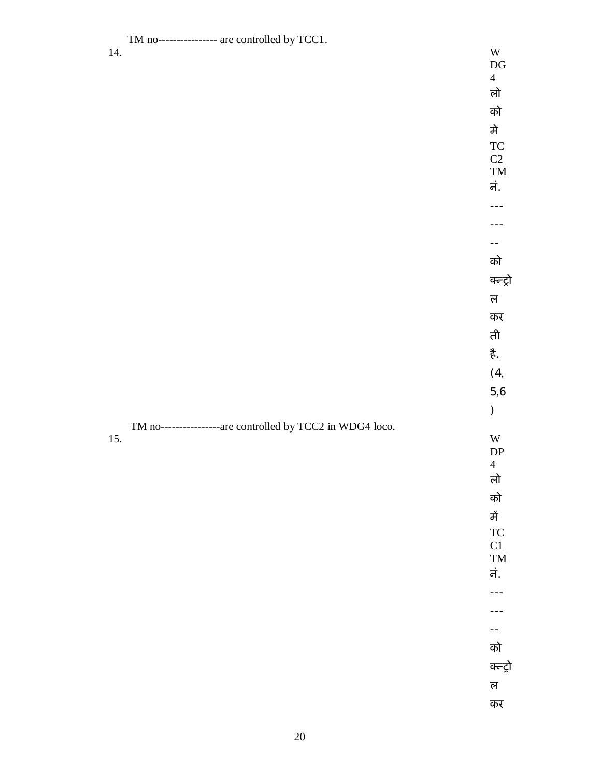TM no---------------- are controlled by TCC1.<br>14. 14. W

DG 4 लो

को मे TC

 $C2$ TM नं.

--

--- ---

को क्न्ट्रो

ल कर

ती

है.

(4, 5,6

)

DP 4

### TM no------------------are controlled by TCC2 in WDG4 loco.<br>15. 15. W

लो को में TC C1 TM नं.

---

-- को

---

क्न्ट्रो

ल

कर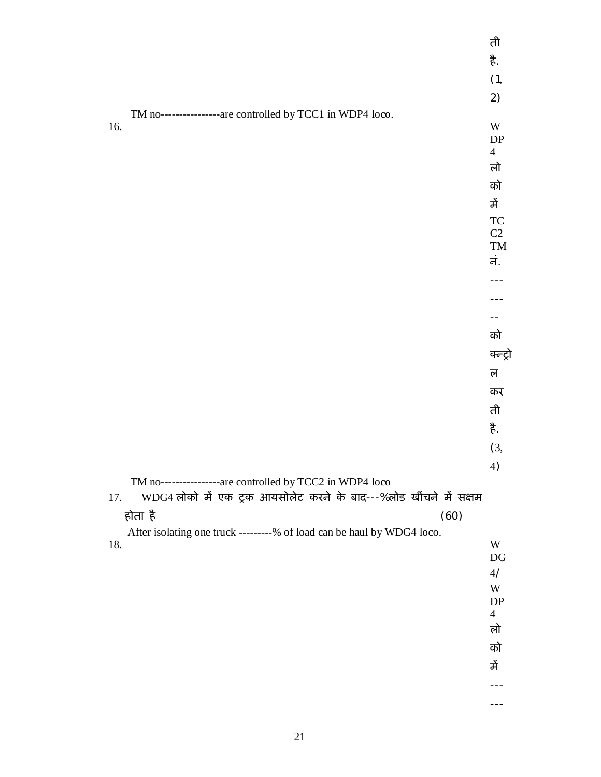|                                                                          | ती                      |
|--------------------------------------------------------------------------|-------------------------|
|                                                                          | 芳.                      |
|                                                                          | (1,                     |
|                                                                          | 2)                      |
| TM no----------------are controlled by TCC1 in WDP4 loco.                |                         |
| 16.                                                                      | $\ensuremath{\text{W}}$ |
|                                                                          | DP<br>$\overline{4}$    |
|                                                                          | लो                      |
|                                                                          | को                      |
|                                                                          | में                     |
|                                                                          | <b>TC</b>               |
|                                                                          | $\rm C2$                |
|                                                                          | TM                      |
|                                                                          | नं.                     |
|                                                                          |                         |
|                                                                          |                         |
|                                                                          | को                      |
|                                                                          | क्ल्ट्रो                |
|                                                                          | ल                       |
|                                                                          | कर                      |
|                                                                          | ती                      |
|                                                                          | 芳.                      |
|                                                                          | (3,                     |
|                                                                          | 4)                      |
| TM no-----------------are controlled by TCC2 in WDP4 loco                |                         |
| WDG4 लोको में एक ट्रक आयसोलेट करने के बाद---%लोड खींचने में सक्षम<br>17. |                         |
| होता है<br>(60)                                                          |                         |
| After isolating one truck ---------% of load can be haul by WDG4 loco.   | W                       |
| 18.                                                                      | $\mathop{\rm DG}$       |
|                                                                          | 4/                      |
|                                                                          | W                       |
|                                                                          | DP<br>$\overline{4}$    |
|                                                                          | लो                      |
|                                                                          | को                      |
|                                                                          | में                     |
|                                                                          | ---                     |
|                                                                          | ---                     |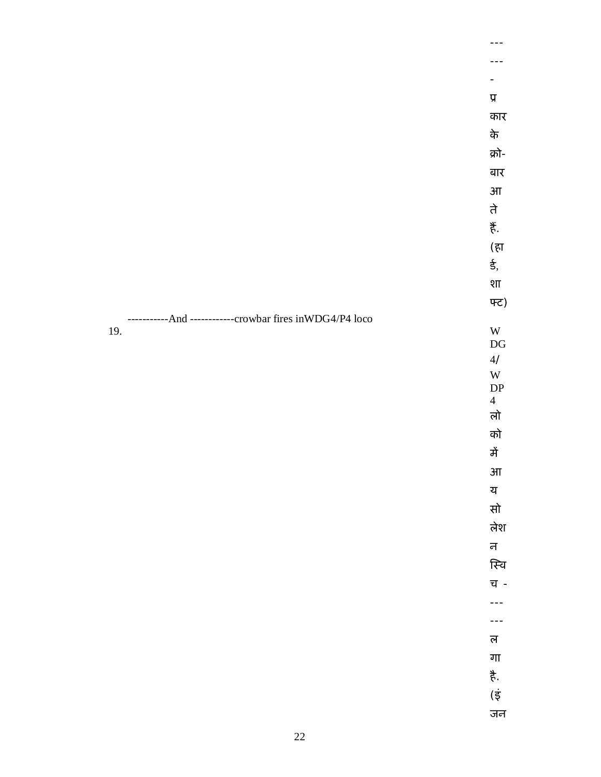|                                               | $\pmb{\overline{y}}$    |
|-----------------------------------------------|-------------------------|
|                                               | कार                     |
|                                               | के                      |
|                                               | क्रो-                   |
|                                               | बार                     |
|                                               | $3\mathrm{II}$          |
|                                               | ते                      |
|                                               | , हैं                   |
|                                               | (हा                     |
|                                               | ई,                      |
|                                               | शा                      |
|                                               | फ्ट)                    |
| -And ------------crowbar fires inWDG4/P4 loco |                         |
| 19.                                           | $\ensuremath{\text{W}}$ |
|                                               | $\mathop{\rm DG}$<br>4/ |
|                                               |                         |

4/ W DP 4 लो को में आ य सो

लेश न

स्वि

च - ---

--- ल

गा

है.

(इं

जन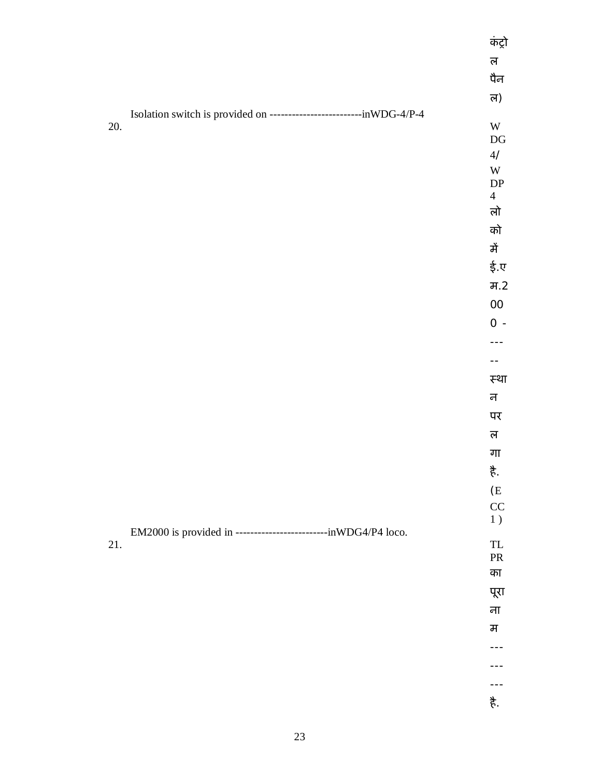|     |                                                                          | कंट्रो                                                                |
|-----|--------------------------------------------------------------------------|-----------------------------------------------------------------------|
|     |                                                                          | ल                                                                     |
|     |                                                                          | पैन                                                                   |
|     |                                                                          | ल)                                                                    |
|     | Isolation switch is provided on -----------------------------inWDG-4/P-4 |                                                                       |
| 20. |                                                                          | $\ensuremath{\text{W}}$<br>$\mathop{\rm DG}$                          |
|     |                                                                          | $4/$                                                                  |
|     |                                                                          | $\mathbf W$                                                           |
|     |                                                                          | DP<br>$\overline{4}$                                                  |
|     |                                                                          | लो                                                                    |
|     |                                                                          | को                                                                    |
|     |                                                                          | में                                                                   |
|     |                                                                          | ई.ए                                                                   |
|     |                                                                          | H.2                                                                   |
|     |                                                                          | $00\,$                                                                |
|     |                                                                          | $0 -$                                                                 |
|     |                                                                          |                                                                       |
|     |                                                                          | --                                                                    |
|     |                                                                          | स्था                                                                  |
|     |                                                                          | न                                                                     |
|     |                                                                          | पर                                                                    |
|     |                                                                          | ल                                                                     |
|     |                                                                          | गा                                                                    |
|     |                                                                          | ई.                                                                    |
|     |                                                                          | $(\mathbf{E}% _{0}^{\ast}\mathbf{G}_{0})_{0\leq\omega\leq\mathbf{0}}$ |
|     |                                                                          | CC                                                                    |
|     | EM2000 is provided in ----------------------------inWDG4/P4 loco.        | $1$ )                                                                 |
| 21. |                                                                          | ${\rm TL}$                                                            |
|     |                                                                          | ${\rm PR}$<br>का                                                      |
|     |                                                                          | पूरा                                                                  |
|     |                                                                          | ना                                                                    |
|     |                                                                          | म                                                                     |
|     |                                                                          |                                                                       |
|     |                                                                          |                                                                       |
|     |                                                                          | ---                                                                   |
|     |                                                                          | 芳.                                                                    |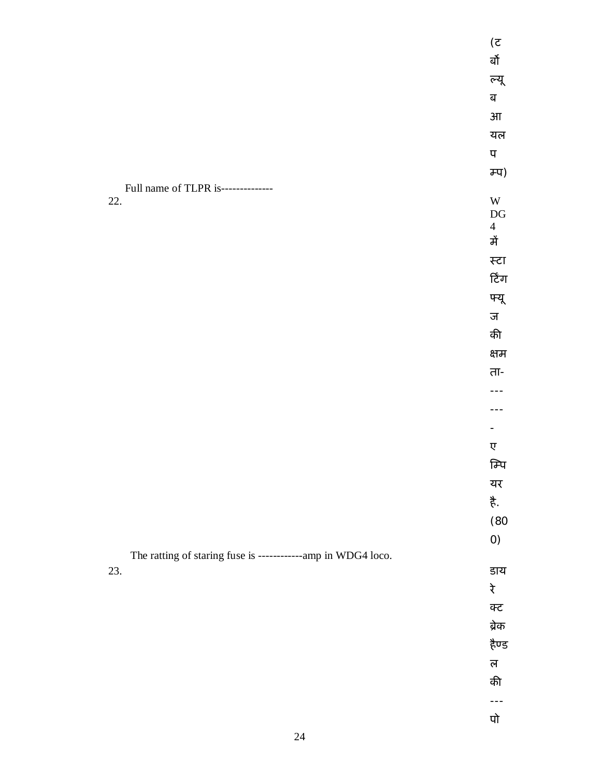|                                                               | (5)                                          |
|---------------------------------------------------------------|----------------------------------------------|
|                                                               | र्बो                                         |
|                                                               | ल्यू                                         |
|                                                               | ब                                            |
|                                                               | $3\Pi$                                       |
|                                                               | यल                                           |
|                                                               | प                                            |
|                                                               | <b>म्प</b> )                                 |
| Full name of TLPR is--------------                            |                                              |
| 22.                                                           | $\ensuremath{\text{W}}$<br>$\mathop{\rm DG}$ |
|                                                               | $\overline{4}$                               |
|                                                               | में                                          |
|                                                               | स्टा                                         |
|                                                               | टिंग                                         |
|                                                               | फ्यू                                         |
|                                                               | ज                                            |
|                                                               | की                                           |
|                                                               | क्षम                                         |
|                                                               | ता-                                          |
|                                                               | $- -$                                        |
|                                                               |                                              |
|                                                               |                                              |
|                                                               | ए                                            |
|                                                               | म्पि                                         |
|                                                               | यर                                           |
|                                                               | है.                                          |
|                                                               | (80)                                         |
|                                                               | O                                            |
| The ratting of staring fuse is -------------amp in WDG4 loco. |                                              |
| 23.                                                           | डाय                                          |
|                                                               | रे                                           |
|                                                               | क्ट                                          |
|                                                               | ब्रेक                                        |
|                                                               | हैण्ड                                        |
|                                                               | ल                                            |
|                                                               | की                                           |
|                                                               | ---                                          |
|                                                               | पो                                           |
| $24\,$                                                        |                                              |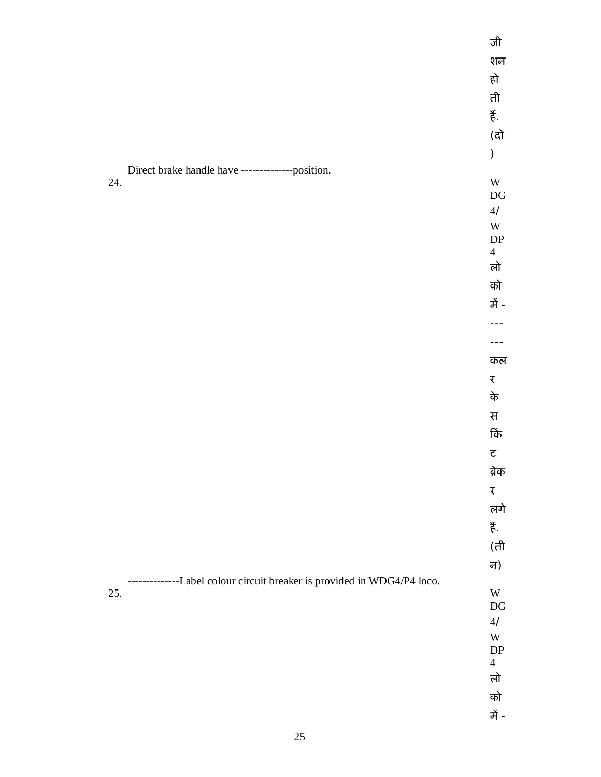|                                                                         | जी                               |
|-------------------------------------------------------------------------|----------------------------------|
|                                                                         | शन                               |
|                                                                         | हो                               |
|                                                                         | ती                               |
|                                                                         | 菁.                               |
|                                                                         | (दो                              |
|                                                                         | $\big)$                          |
| Direct brake handle have --------------position.                        |                                  |
| 24.                                                                     | $\mathbf W$                      |
|                                                                         | $\mathop{\rm DG}$<br>$4/$        |
|                                                                         | $\mathbf W$                      |
|                                                                         | $\mathbf{D}\mathbf{P}$           |
|                                                                         | $\overline{4}$<br>लो             |
|                                                                         |                                  |
|                                                                         | को<br>में -                      |
|                                                                         |                                  |
|                                                                         |                                  |
|                                                                         |                                  |
|                                                                         | कल                               |
|                                                                         | र                                |
|                                                                         | के                               |
|                                                                         | स                                |
|                                                                         | र्कि                             |
|                                                                         | $\overline{\texttt{c}}$          |
|                                                                         | ब्रेक                            |
|                                                                         | $\overline{\mathbf{t}}$          |
|                                                                         | लगे                              |
|                                                                         | ぎ.                               |
|                                                                         | (ती                              |
|                                                                         | न)                               |
| --------------Label colour circuit breaker is provided in WDG4/P4 loco. |                                  |
| 25.                                                                     | $\mathbf W$<br>$\mathop{\rm DG}$ |
|                                                                         | $4/$                             |
|                                                                         | $\ensuremath{\text{W}}$          |
|                                                                         | DP                               |
|                                                                         | $\overline{4}$<br>लो             |
|                                                                         | को                               |
|                                                                         | में -                            |
|                                                                         |                                  |
|                                                                         |                                  |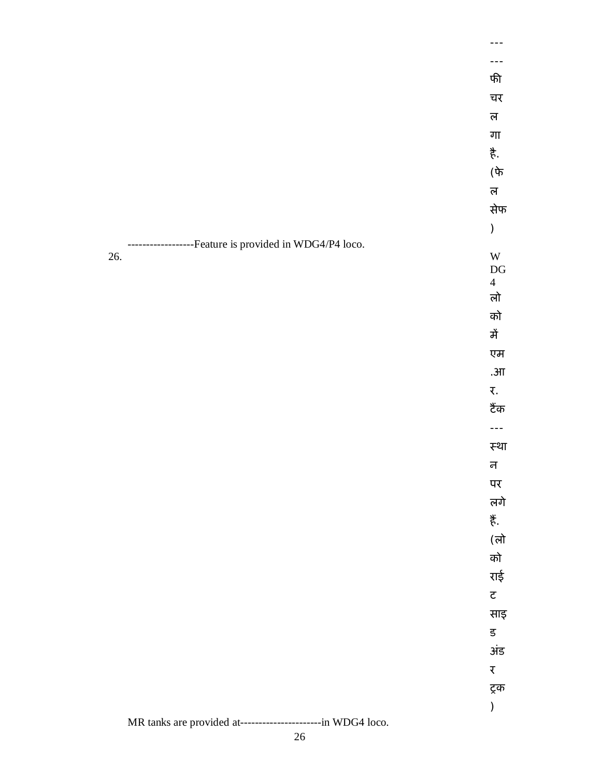|                                                               | फी                                       |
|---------------------------------------------------------------|------------------------------------------|
|                                                               | चर                                       |
|                                                               | ल                                        |
|                                                               | गा                                       |
|                                                               | ≹.                                       |
|                                                               | $(\mathrm{d} \overline{\mathfrak{p}})$   |
|                                                               | ल                                        |
|                                                               | सेफ                                      |
|                                                               | $\mathcal{C}^{\prime}$                   |
| ----------Feature is provided in WDG4/P4 loco.                |                                          |
| 26.                                                           | $\ensuremath{\text{W}}$                  |
|                                                               | $\mathbf{D}\mathbf{G}$<br>$\overline{4}$ |
|                                                               | लो                                       |
|                                                               | को                                       |
|                                                               | में                                      |
|                                                               | एम                                       |
|                                                               | . $3\pi$                                 |
|                                                               | ₹.                                       |
|                                                               | टैंक                                     |
|                                                               | ---                                      |
|                                                               | स्था                                     |
|                                                               | न                                        |
|                                                               | पर                                       |
|                                                               | लगे                                      |
|                                                               | , हैं                                    |
|                                                               | (लो                                      |
|                                                               | को                                       |
|                                                               | राई                                      |
|                                                               | $\overline{\mathbf{c}}$                  |
|                                                               | साइ                                      |
|                                                               | $\overline{\mathbf{5}}$                  |
|                                                               | अंड                                      |
|                                                               | र                                        |
|                                                               | ट्रक                                     |
|                                                               | )                                        |
| MR tanks are provided at------------------------in WDG4 loco. |                                          |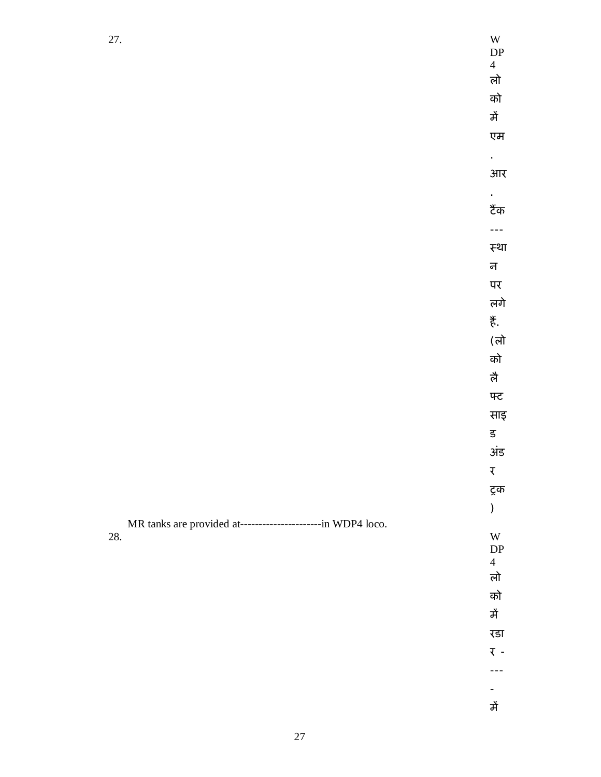| 27.                                                          | $\mathbf W$              |
|--------------------------------------------------------------|--------------------------|
|                                                              | DP<br>$\overline{4}$     |
|                                                              | लो                       |
|                                                              | को                       |
|                                                              | में                      |
|                                                              | एम                       |
|                                                              | $\epsilon$               |
|                                                              | आर                       |
|                                                              | $\epsilon$               |
|                                                              | टैंक                     |
|                                                              | $\overline{a}$           |
|                                                              | स्था                     |
|                                                              | न                        |
|                                                              | पर                       |
|                                                              | लगे                      |
|                                                              | 芳.                       |
|                                                              | (लो                      |
|                                                              | को                       |
|                                                              | लै                       |
|                                                              | फ्ट                      |
|                                                              | साइ                      |
|                                                              | ड                        |
|                                                              | अंड                      |
|                                                              | $\overline{\mathcal{K}}$ |
|                                                              | ट्रक                     |
|                                                              | $\big)$                  |
| MR tanks are provided at-----------------------in WDP4 loco. |                          |
| 28.                                                          | W<br>${\rm DP}$          |
|                                                              | $\overline{4}$           |
|                                                              | लो                       |
|                                                              | को                       |
|                                                              | में                      |
|                                                              | रडा                      |
|                                                              | र -                      |
|                                                              | ---                      |
|                                                              | -                        |
|                                                              | में                      |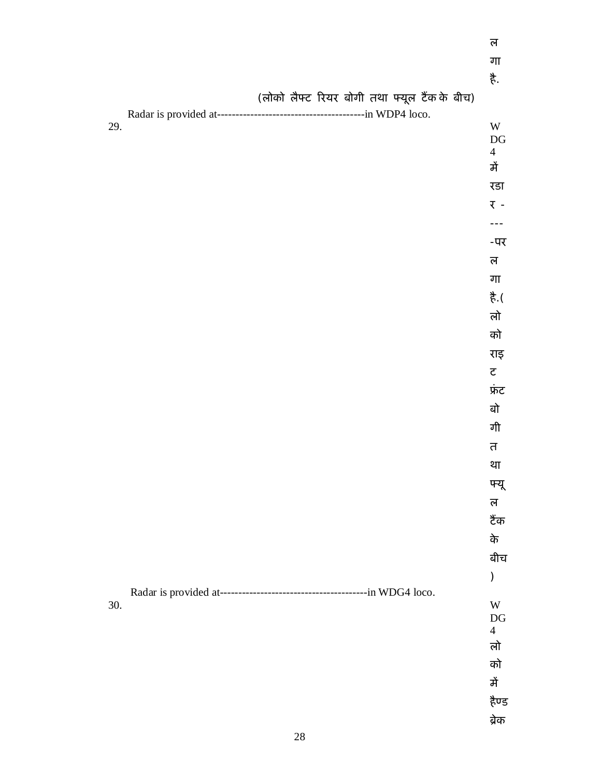|     |  |  |                                              | गा                      |
|-----|--|--|----------------------------------------------|-------------------------|
|     |  |  |                                              | है.                     |
|     |  |  | (लोको लैफ्ट रियर बोगी तथा फ्यूल टैंक के बीच) |                         |
|     |  |  |                                              |                         |
| 29. |  |  |                                              | W<br>DG                 |
|     |  |  |                                              | $\overline{4}$          |
|     |  |  |                                              | में                     |
|     |  |  |                                              | रडा                     |
|     |  |  |                                              | र -                     |
|     |  |  |                                              | ---                     |
|     |  |  |                                              | -पर                     |
|     |  |  |                                              | ल                       |
|     |  |  |                                              | गा                      |
|     |  |  |                                              | है.(                    |
|     |  |  |                                              | लो                      |
|     |  |  |                                              | को                      |
|     |  |  |                                              | राइ                     |
|     |  |  |                                              | $\overline{\texttt{c}}$ |
|     |  |  |                                              | फ्रंट                   |
|     |  |  |                                              | बो                      |
|     |  |  |                                              | गी                      |
|     |  |  |                                              | त                       |
|     |  |  |                                              | था                      |
|     |  |  |                                              | फ्यू                    |
|     |  |  |                                              | ल                       |
|     |  |  |                                              | टैंक                    |
|     |  |  |                                              | के                      |
|     |  |  |                                              | बीच                     |
|     |  |  |                                              | )                       |
|     |  |  |                                              |                         |
| 30. |  |  |                                              | W<br>$\mathop{\rm DG}$  |
|     |  |  |                                              | $\overline{4}$          |
|     |  |  |                                              | लो                      |
|     |  |  |                                              | को                      |
|     |  |  |                                              | में                     |
|     |  |  |                                              | हैण्ड                   |
|     |  |  |                                              | ब्रेक                   |

ल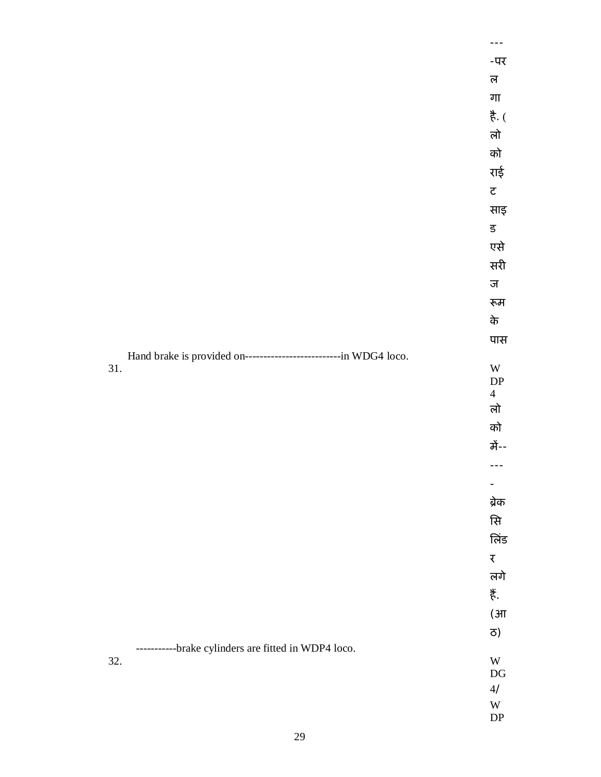|                                                                    | ---                      |
|--------------------------------------------------------------------|--------------------------|
|                                                                    | -पर                      |
|                                                                    | ल                        |
|                                                                    | गा                       |
|                                                                    | $\frac{4}{5}$ (          |
|                                                                    | लो                       |
|                                                                    | को                       |
|                                                                    | राई                      |
|                                                                    | $\overline{\mathbf{c}}$  |
|                                                                    | साइ                      |
|                                                                    | ड                        |
|                                                                    | एसे                      |
|                                                                    | सरी                      |
|                                                                    | ज                        |
|                                                                    | रूम                      |
|                                                                    | के                       |
|                                                                    | पास                      |
| Hand brake is provided on----------------------------in WDG4 loco. |                          |
| 31.                                                                | W<br>${\rm DP}$          |
|                                                                    | $\overline{4}$           |
|                                                                    | लो                       |
|                                                                    | को                       |
|                                                                    | में--                    |
|                                                                    |                          |
|                                                                    | $\overline{\phantom{a}}$ |
|                                                                    | ब्रेक                    |
|                                                                    | सि                       |
|                                                                    | लिंड                     |
|                                                                    | $\overline{\mathbf{X}}$  |
|                                                                    | लगे                      |
|                                                                    | 芳.                       |
|                                                                    | $(\mathcal{H})$          |
|                                                                    | ਨ)                       |
| ----------brake cylinders are fitted in WDP4 loco.<br>32.          | W                        |
|                                                                    | $\mathbf{D}\mathbf{G}$   |
|                                                                    | $4/$                     |
|                                                                    | W<br>${\rm DP}$          |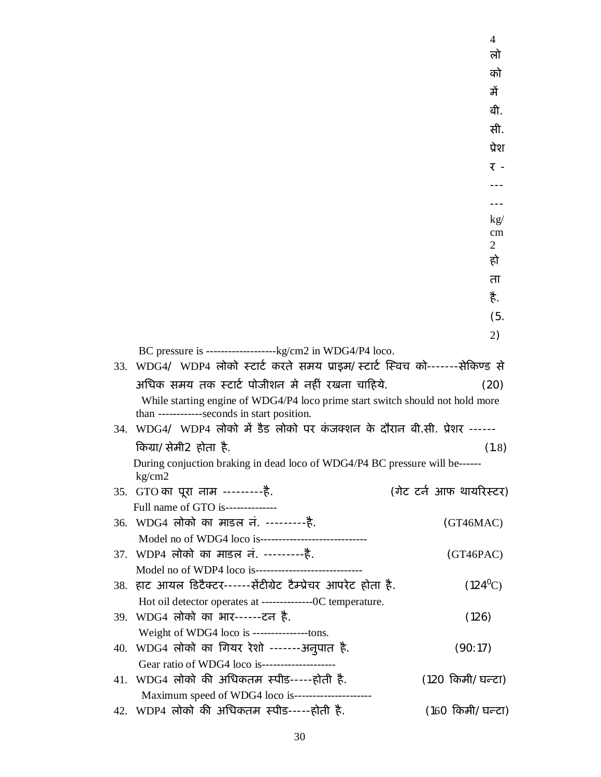|                                                                                            | $\overline{4}$          |
|--------------------------------------------------------------------------------------------|-------------------------|
|                                                                                            | लो                      |
|                                                                                            | को                      |
|                                                                                            | में                     |
|                                                                                            | बी.                     |
|                                                                                            | सी.                     |
|                                                                                            | प्रेश                   |
|                                                                                            | र -                     |
|                                                                                            |                         |
|                                                                                            |                         |
|                                                                                            | kg/                     |
|                                                                                            | cm                      |
|                                                                                            | $\overline{2}$          |
|                                                                                            | हो                      |
|                                                                                            | ता                      |
|                                                                                            | है.                     |
|                                                                                            | (5.                     |
|                                                                                            | 2)                      |
|                                                                                            |                         |
| 33. WDG4/ WDP4 लोको स्टार्ट करते समय प्राइम/स्टार्ट स्विच को-------सेकिण्ड से              |                         |
| अधिक समय तक स्टार्ट पोजीशन मे नहीं रखना चाहिये.                                            | (20)                    |
| While starting engine of WDG4/P4 loco prime start switch should not hold more              |                         |
| than ------------seconds in start position.                                                |                         |
| 34. WDG4/ WDP4 लोको में डैड लोको पर कंजक्शन के दौरान बी.सी. प्रेशर ------                  |                         |
| किग्रा/सेमी2 होता है.                                                                      | (1.8)                   |
| During conjuction braking in dead loco of WDG4/P4 BC pressure will be------<br>kg/cm2      |                         |
| 35. GTO का पूरा नाम ----------है.                                                          | (गेट टर्न आफ थायरिस्टर) |
| Full name of GTO is--------------                                                          |                         |
| 36. WDG4 लोको का माडल नं. ---------है.                                                     | (GT46MAC)               |
| Model no of WDG4 loco is----------------------------------                                 |                         |
| 37. WDP4 लोको का माडल नं. ----------है.                                                    | (GT46PAC)               |
|                                                                                            |                         |
| 38. हाट आयल डिटैक्टर------सेंटीग्रेट टैम्प्रेचर आपरेट होता है.                             | $(124^0C)$              |
| Hot oil detector operates at ---------------OC temperature.                                |                         |
| 39. WDG4 लोको का भार------टन है.                                                           | (126)                   |
| Weight of WDG4 loco is ----------------tons.                                               |                         |
| 40. WDG4 लोको का गियर रेशो -------अनुपात है.<br>Gear ratio of WDG4 loco is---------------- | (90:17)                 |
| 41. WDG4 लोको की अधिकतम स्पीड-----होती है.                                                 | (120 किमी/घन्टा)        |
| Maximum speed of WDG4 loco is---------------------                                         |                         |
| 42. WDP4 लोको की अधिकतम स्पीड-----होती है.                                                 | (160 किमी/घन्टा)        |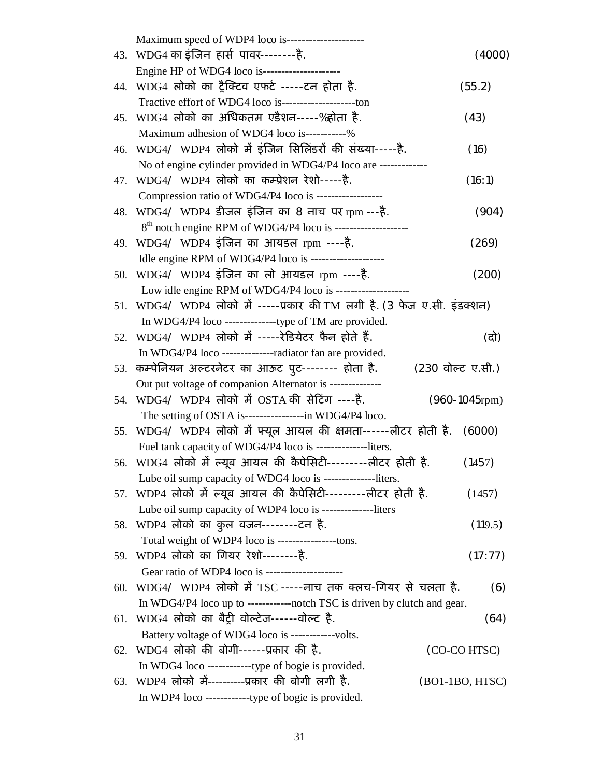|     | Maximum speed of WDP4 loco is---------------------                        |                       |
|-----|---------------------------------------------------------------------------|-----------------------|
|     | 43. WDG4 का इंजिन हार्स पावर--------है.                                   | (4000)                |
|     | Engine HP of WDG4 loco is----------------------                           |                       |
|     | 44. WDG4 लोको का ट्रैक्टिव एफर्ट -----टन होता है.                         | (55.2)                |
|     | Tractive effort of WDG4 loco is------------------------ton                |                       |
|     | 45. WDG4 लोको का अधिकतम एडैशन-----%होता है.                               | (43)                  |
|     | Maximum adhesion of WDG4 loco is-----------%                              |                       |
|     | 46. WDG4/ WDP4 लोको में इंजिन सिलिंडरों की संख्या-----है.                 | (16)                  |
|     | No of engine cylinder provided in WDG4/P4 loco are -------------          |                       |
|     | 47. WDG4/ WDP4 लोको का कम्प्रेशन रेशो-----है.                             | (16:1)                |
|     | Compression ratio of WDG4/P4 loco is ------------------                   |                       |
|     | 48. WDG4/ WDP4 डीजल इंजिन का 8 नाच पर rpm ---है.                          | (904)                 |
|     | 8 <sup>th</sup> notch engine RPM of WDG4/P4 loco is --------------------- |                       |
|     | 49. WDG4/ WDP4 इंजिन का आयडल rpm ----है.                                  | (269)                 |
|     | Idle engine RPM of WDG4/P4 loco is ---------------------                  |                       |
|     | 50. WDG4/ WDP4 इंजिन का लो आयडल rpm ----है.                               | (200)                 |
|     | Low idle engine RPM of WDG4/P4 loco is -----------------                  |                       |
|     | 51. WDG4/ WDP4 लोको में -----प्रकार की TM लगी है. (3 फेज ए.सी. इंडक्शन)   |                       |
|     | In WDG4/P4 loco ----------------type of TM are provided.                  |                       |
|     | 52. WDG4/ WDP4 लोको में -----रेडियेटर फैन होते हैं.                       | (दो)                  |
|     | In WDG4/P4 loco --------------radiator fan are provided.                  |                       |
|     | 53. कम्पेनियन अल्टरनेटर का आऊट पुट-------- होता है.                       | (230 वोल्ट ए.सी.)     |
|     | Out put voltage of companion Alternator is --------------                 |                       |
|     | 54. WDG4/ WDP4 लोको में OSTA की सेटिंग ----है.                            | $(960 - 1045$ rpm $)$ |
|     | The setting of OSTA is-----------------in WDG4/P4 loco.                   |                       |
|     | 55. WDG4/ WDP4 लोको में फ्यूल आयल की क्षमता------लीटर होती है. (6000)     |                       |
|     | Fuel tank capacity of WDG4/P4 loco is --------------liters.               |                       |
|     | 56. WDG4 लोको में ल्यूब आयल की कैपेसिटी---------लीटर होती है.             | (1457)                |
|     | Lube oil sump capacity of WDG4 loco is ---------------liters.             |                       |
|     | 57. WDP4 लोको में ल्यूब आयल की कैपेसिटी--------लीटर होती है.              | (1457)                |
|     | Lube oil sump capacity of WDP4 loco is --------------liters               |                       |
|     | 58. WDP4 लोको का कुल वजन--------टन है.                                    | (119.5)               |
|     | Total weight of WDP4 loco is ----------------tons.                        |                       |
|     | 59. WDP4 लोको का गियर रेशो--------है.                                     | (17:77)               |
|     | Gear ratio of WDP4 loco is ---------------------                          |                       |
| 60. | $WDG4/WDP4$ लोको में TSC -----नाच तक क्लच-गियर से चलता है.                | (6)                   |
|     | In WDG4/P4 loco up to ------------notch TSC is driven by clutch and gear. |                       |
|     | 61. WDG4 लोको का बैट्री वोल्टेज------वोल्ट है.                            | (64)                  |
|     | Battery voltage of WDG4 loco is ------------volts.                        |                       |
|     | 62. WDG4 लोको की बोगी------प्रकार की है.                                  | (CO-CO HTSC)          |
|     | In WDG4 loco ----------------type of bogie is provided.                   |                       |
| 63. | WDP4 लोको में----------प्रकार की बोगी लगी है.                             | (BO1-1BO, HTSC)       |
|     | In WDP4 loco --------------type of bogie is provided.                     |                       |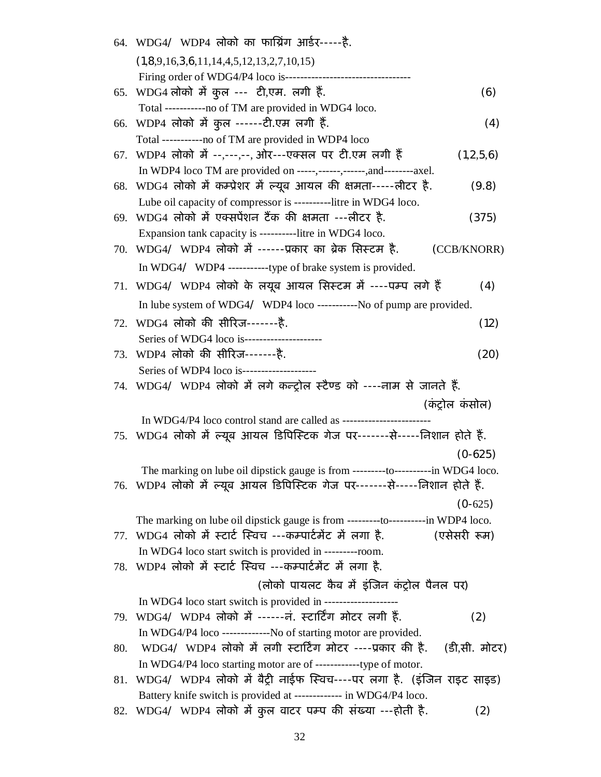|     | 64. WDG4/ WDP4 लोको का फाग्निंग आर्डर-----है.                                      |                 |
|-----|------------------------------------------------------------------------------------|-----------------|
|     | $(1,8,9,16,3,6,11,14,4,5,12,13,2,7,10,15)$                                         |                 |
|     | Firing order of WDG4/P4 loco is-----------------------------                       |                 |
| 65. | WDG4 लोको में कुल --- टी,एम. लगी हैं.                                              | (6)             |
|     | Total -----------no of TM are provided in WDG4 loco.                               |                 |
| 66. | WDP4 लोको में कुल ------टी.एम लगी हैं.                                             | (4)             |
|     | Total -----------no of TM are provided in WDP4 loco                                |                 |
| 67. | WDP4 लोको में --,---,--, ओर---एक्सल पर टी.एम लगी हैं                               | (1,2,5,6)       |
|     | In WDP4 loco TM are provided on -----,------,------,and---------axel.              |                 |
|     | 68. WDG4 लोको में कम्प्रेशर में ल्यूब आयल की क्षमता-----लीटर है.                   | (9.8)           |
|     | Lube oil capacity of compressor is ----------litre in WDG4 loco.                   |                 |
| 69. | WDG4 लोको में एक्सपेंशन टैंक की क्षमता ---लीटर है.                                 | (375)           |
|     | Expansion tank capacity is ----------litre in WDG4 loco.                           |                 |
| 70. | WDG4/ WDP4 लोको में ------प्रकार का ब्रेक सिस्टम है.                               | (CCB/KNORR)     |
|     |                                                                                    |                 |
|     | 71. WDG4/ WDP4 लोको के लयूब आयल सिस्टम में ----पम्प लगे हैं                        | (4)             |
|     | In lube system of WDG4/ WDP4 loco -----------No of pump are provided.              |                 |
|     | 72. WDG4 लोको की सीरिज-------है.                                                   | (12)            |
|     | Series of WDG4 loco is----------------------                                       |                 |
|     | 73. WDP4 लोको की सीरिज-------है.                                                   | (20)            |
|     | Series of WDP4 loco is-------------------                                          |                 |
|     | 74. WDG4/ WDP4 लोको में लगे कन्ट्रोल स्टैण्ड को ----नाम से जानते हैं.              |                 |
|     |                                                                                    | (कंट्रोल कंसोल) |
|     | In WDG4/P4 loco control stand are called as ---------------------                  |                 |
|     | 75. WDG4 लोको में ल्यूब आयल डिपिस्टिक गेज पर-------से-----निशान होते हैं.          |                 |
|     |                                                                                    | $(0-625)$       |
|     | The marking on lube oil dipstick gauge is from ----------to----------in WDG4 loco. |                 |
|     | 76. WDP4 लोको में ल्यूब आयल डिपिस्टिक गेज पर-------से-----निशान होते हैं.          |                 |
|     |                                                                                    | $(0-625)$       |
|     | The marking on lube oil dipstick gauge is from ----------to----------in WDP4 loco. |                 |
|     | 77.  WDG4 लोको में स्टार्ट स्विच ---कम्पार्टमेंट में लगा है.                       | (एसेसरी रूम)    |
|     | In WDG4 loco start switch is provided in ----------room.                           |                 |
|     | 78. WDP4 लोको में स्टार्ट स्विच ---कम्पार्टमेंट में लगा है.                        |                 |
|     | (लोको पायलट कैब में इंजिन कंट्रोल पैनल पर)                                         |                 |
|     | In WDG4 loco start switch is provided in -----------------                         |                 |
|     | 79. WDG4/ WDP4 लोको में ------नं. स्टाटिंग मोटर लगी हैं.                           | (2)             |
|     | In WDG4/P4 loco -------------No of starting motor are provided.                    |                 |
| 80. | - WDG4/ WDP4 लोको में लगी स्टार्टिंग मोटर ----प्रकार की है.                        | (डी.सी. मोटर)   |
|     |                                                                                    |                 |
| 81. | WDG4/ WDP4 लोको में बैट्री नाईफ स्विच----पर लगा है. (इंजिन राइट साइड)              |                 |
|     | Battery knife switch is provided at ------------- in WDG4/P4 loco.                 |                 |
|     |                                                                                    |                 |

82. WDG4/ WDP4 लोको में कुल वाटर पम्प की संख्या ---होती है. (2)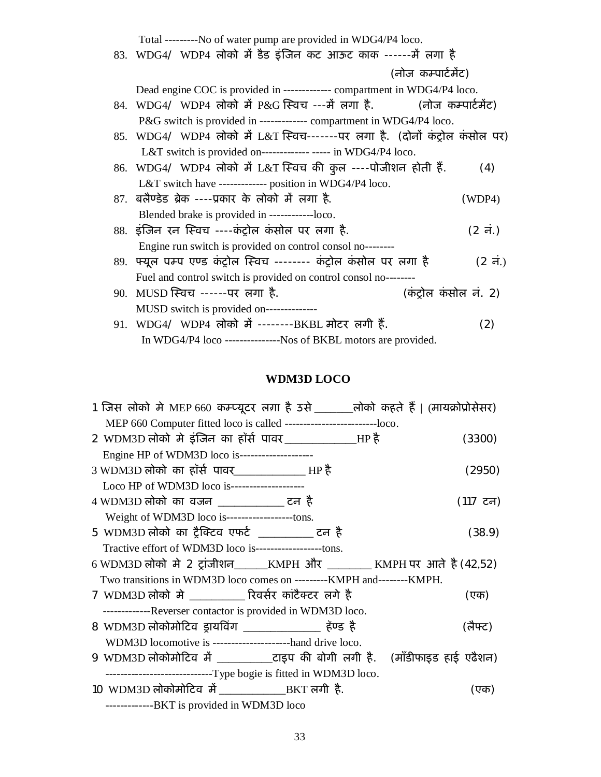$Total$  No of water pump are provided in WDG4/P4 local

| 83. WDG4/ WDP4 लोको में डैड इंजिन कट आऊट काक ------में लगा है                 |               |
|-------------------------------------------------------------------------------|---------------|
| (नोज कम्पार्टमेंट)                                                            |               |
| Dead engine COC is provided in ------------- compartment in WDG4/P4 loco.     |               |
| 84. WDG4/ WDP4 लोको में P&G स्विच ---में लगा है.           (नोज कम्पार्टमेंट) |               |
| P&G switch is provided in ------------- compartment in WDG4/P4 loco.          |               |
| 85. WDG4/ WDP4 लोको में L&T स्विच-------पर लगा है. (दोनों कंट्रोल कंसोल पर)   |               |
| L&T switch is provided on------------- ----- in WDG4/P4 loco.                 |               |
| 86. WDG4/ WDP4 लोको में L&T स्विच की कुल ----पोजीशन होती हैं.                 | (4)           |
| L&T switch have ------------- position in WDG4/P4 loco.                       |               |
| 87. बलैण्डेड ब्रेक ----प्रकार के लोको में लगा है.                             | (WDP4)        |
| Blended brake is provided in ------------loco.                                |               |
| 88. इंजिन रन स्विच ----कंट्रोल कंसोल पर लगा है.                               | $(2 \pi)$     |
| Engine run switch is provided on control consol no--------                    |               |
| 89. फ्यूल पम्प एण्ड कंट्रोल स्विच ------- कंट्रोल कंसोल पर लगा है             | $(2 \vec{a})$ |
| Fuel and control switch is provided on control consol no--------              |               |
| (कंट्रोल कंसोल नं. 2)<br>90. MUSD स्विच ------पर लगा है.                      |               |
| MUSD switch is provided on--------------                                      |               |
| 91. WDG4/ WDP4 लोको में --------BKBL मोटर लगी हैं.                            | (2)           |
| In WDG4/P4 loco ---------------Nos of BKBL motors are provided.               |               |

## **WDM3D LOCO**

| 1 जिस लोको मे MEP 660 कम्प्यूटर लग़ा है उसे _______लोको कहते हैं   (मायक्रोप्रोसेसर) |          |
|--------------------------------------------------------------------------------------|----------|
| MEP 660 Computer fitted loco is called -------------------------loco.                |          |
| 2 WDM3D लोको मे इंजिन का हॉर्स पावर_______________HP है                              | (3300)   |
| Engine HP of WDM3D loco is--------------------                                       |          |
| 3 WDM3D लोको का हॉर्स पावर______________ HP है                                       | (2950)   |
| Loco HP of WDM3D loco is---------------------                                        |          |
| 4 WDM3D लोको का वजन ___________ टन है                                                | (117 टन) |
| Weight of WDM3D loco is--------------------tons.                                     |          |
| 5 WDM3D लोको का ट्रैक्टिव एफर्ट ________ टन है                                       | (38.9)   |
| Tractive effort of WDM3D loco is-------------------tons.                             |          |
| 6 WDM3D लोको मे 2 ट्रांजीशन______KMPH और _________ KMPH पर आते है (42,52)            |          |
| Two transitions in WDM3D loco comes on ---------KMPH and--------KMPH.                |          |
| 7 WDM3D लोको मे __________ रिवर्सर कांटैक्टर लगे है                                  | (एक)     |
| -------------Reverser contactor is provided in WDM3D loco.                           |          |
| 8 WDM3D लोकोमोटिव ड्रायविंग ____________ हॅण्ड है                                    | (लैफ्ट)  |
| WDM3D locomotive is ---------------------hand drive loco.                            |          |
| 9 WDM3D लोकोमोटिव में ___________टाइप की बोगी लगी है. (मॉडीफाइड हाई एढैशन)           |          |
| ------------------------------Type bogie is fitted in WDM3D loco.                    |          |
| 10 WDM3D लोकोमोटिव में __________________BKT लगी है.                                 | (एक)     |
| -------------BKT is provided in WDM3D loco                                           |          |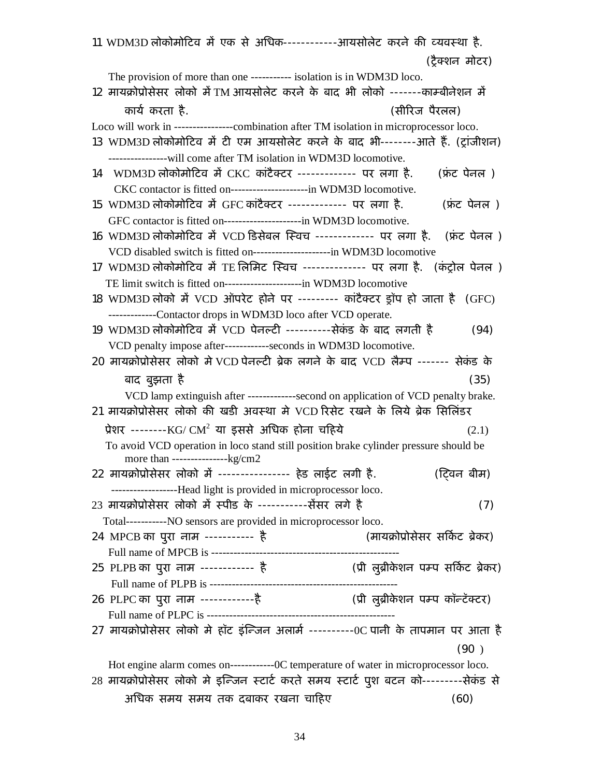| 11 WDM3D लोकोमोटिव में एक से अधिक------------आयसोलेट करने की व्यवस्था है.                |                                 |
|------------------------------------------------------------------------------------------|---------------------------------|
|                                                                                          | (टैक्शन मोटर)                   |
| The provision of more than one ----------- isolation is in WDM3D loco.                   |                                 |
| 12 मायक्रोप्रोसेसर लोको में TM आयसोलेट करने के बाद भी लोको -------काम्बीनेशन में         |                                 |
| कार्य करता है.                                                                           | (सीरिज पैरलल)                   |
| Loco will work in ----------------combination after TM isolation in microprocessor loco. |                                 |
| 13 WDM3D लोकोमोटिव में टी एम आयसोलेट करने के बाद भी--------आते हैं. (ट्रांजीशन)          |                                 |
|                                                                                          |                                 |
| ------------------will come after TM isolation in WDM3D locomotive.                      |                                 |
| 14    WDM3D लोकोमोटिव में CKC कांटैक्टर ------------- पर लगा है.                         | (फ्रंट पेनल )                   |
| CKC contactor is fitted on----------------------in WDM3D locomotive.                     |                                 |
| 15 WDM3D लोकोमोटिव में GFC कांटैक्टर ------------- पर लगा है.                            | (फ्रंट पेनल)                    |
| GFC contactor is fitted on----------------------in WDM3D locomotive.                     |                                 |
| 16 WDM3D लोकोमोटिव में VCD डिसेबल स्विच ------------- पर लगा है. (फ़ंट पेनल)             |                                 |
| VCD disabled switch is fitted on------------------------in WDM3D locomotive              |                                 |
| 17 WDM3D लोकोमोटिव में TE लिमिट स्विच -------------- पर लगा है. (कंट्रोल पेनल )          |                                 |
| TE limit switch is fitted on-----------------------in WDM3D locomotive                   |                                 |
| 18 WDM3D लोको में VCD ऑपरेट होने पर -------- कांटैक्टर ड्रॉप हो जाता है (GFC)            |                                 |
| -------------Contactor drops in WDM3D loco after VCD operate.                            |                                 |
| 19 WDM3D लोकोमोटिव में VCD पेनल्टी ----------सेकंड के बाद लगती है                        | (94)                            |
| VCD penalty impose after------------seconds in WDM3D locomotive.                         |                                 |
| 20 मायक्रोप्रोसेसर लोको में VCD पेनल्टी ब्रेक लगने के बाद VCD लैम्प ------- सेकंड के     |                                 |
| बाद बुझता है                                                                             | (35)                            |
| VCD lamp extinguish after -------------second on application of VCD penalty brake.       |                                 |
| 21 मायक्रोप्रोसेसर लोको की खडी अवस्था मे VCD रिसेट रखने के लिये ब्रेक सिलिंडर            |                                 |
|                                                                                          |                                 |
| प्रेशर --------KG/ $CM^2$ या इससे अधिक होना चहिये                                        | (2.1)                           |
| To avoid VCD operation in loco stand still position brake cylinder pressure should be    |                                 |
| 22 मायक्रोप्रोसेसर लोको में ---------------- हेड लाईट लगी है.                            | (ट्विन बीम)                     |
| ------------------Head light is provided in microprocessor loco.                         |                                 |
| 23 मायक्रोप्रोसेसर लोको में स्पीड के -----------सेंसर लगे है                             | (7)                             |
| Total-----------NO sensors are provided in microprocessor loco.                          |                                 |
| 24 MPCB का पुरा नाम ----------- है                                                       | (मायक्रोप्रोसेसर सर्किट ब्रेकर) |
|                                                                                          |                                 |
| 25 PLPB का पुरा नाम ------------ है               (प्री लुब्रीकेशन पम्प सर्किट ब्रेकर)   |                                 |
|                                                                                          |                                 |
|                                                                                          |                                 |
|                                                                                          |                                 |
| 27 मायक्रोप्रोसेसर लोको मे हॉट इंन्जिन अलार्म ----------OC पानी के तापमान पर आता है      |                                 |
|                                                                                          |                                 |
|                                                                                          | (90)                            |
| Hot engine alarm comes on--------------OC temperature of water in microprocessor loco.   |                                 |
| 28 मायक्रोप्रोसेसर लोको मे इन्जिन स्टार्ट करते समय स्टार्ट पुश बटन को--------सेकंड से    |                                 |
| अधिक समय समय तक दबाकर रखना चाहिए                                                         | (60)                            |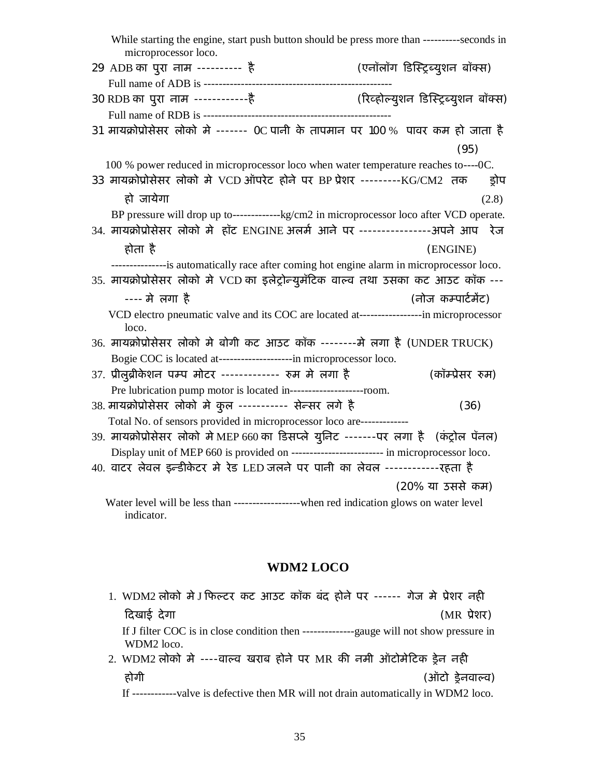| While starting the engine, start push button should be press more than ----------seconds in<br>microprocessor loco. |                                     |
|---------------------------------------------------------------------------------------------------------------------|-------------------------------------|
| 29 ADB का पुरा नाम ---------- है                                                                                    | (एनॉलॉग डिस्ट्रिब्युशन बॉक्स)       |
|                                                                                                                     |                                     |
| 30 RDB का पुरा नाम -------------है                                                                                  | (रिव्होल्युशन डिस्ट्रिब्युशन बॉक्स) |
|                                                                                                                     |                                     |
| 31 मायक्रोप्रोसेसर लोको मे ------- OC पानी के तापमान पर 100 % पावर कम हो जाता है                                    |                                     |
|                                                                                                                     | (95)                                |
| 100 % power reduced in microprocessor loco when water temperature reaches to----0C.                                 |                                     |
| 33 मायक्रोप्रोसेसर लोको मे VCD ऑपरेट होने पर BP प्रेशर ---------KG/CM2 तक                                           | ड़ोप                                |
| हो जायेगा                                                                                                           | (2.8)                               |
| BP pressure will drop up to--------------kg/cm2 in microprocessor loco after VCD operate.                           |                                     |
| 34. मायक्रोप्रोसेसर लोको मे हॉट ENGINE अलर्म आने पर ----------------अपने आप रेज                                     |                                     |
| होता है                                                                                                             | (ENGINE)                            |
| ---------------is automatically race after coming hot engine alarm in microprocessor loco.                          |                                     |
| 35. मायक्रोप्रोसेसर लोको मे VCD का इलेट्रोन्युमॅटिक वाल्व तथा उसका कट आउट कॉक ---                                   |                                     |
| ---- मे लगा है                                                                                                      | (नोज कम्पार्टमेंट)                  |
| VCD electro pneumatic valve and its COC are located at-----------------in microprocessor<br>loco.                   |                                     |
| 36. मायक्रोप्रोसेसर लोको मे बोगी कट आउट कॉक --------मे लगा है (UNDER TRUCK)                                         |                                     |
| Bogie COC is located at-----------------------in microprocessor loco.                                               |                                     |
| 37. प्रीलुब्रीकेशन पम्प मोटर ------------- रुम मे लगा है                                                            | (कॉम्प्रेसर रुम)                    |
| Pre lubrication pump motor is located in---------------------room.                                                  |                                     |
| 38. मायक्रोप्रोसेसर लोको मे कुल ---------- सेन्सर लगे है                                                            | (36)                                |
| Total No. of sensors provided in microprocessor loco are-------------                                               |                                     |
| 39. मायक्रोप्रोसेसर लोको मे MEP 660 का डिसप्ले युनिट -------पर लगा है (कंट्रोल पॅनल)                                |                                     |
| Display unit of MEP 660 is provided on ------------------------ in microprocessor loco.                             |                                     |
| 40. वाटर लेवल इन्डीकेटर मे रेड LED जलने पर पानी का लेवल ------------- रहता है                                       |                                     |
|                                                                                                                     | (20% या उससे कम)                    |
| Water level will be less than -------------------when red indication glows on water level<br>indicator.             |                                     |

### **WDM2 LOCO**

- 1. WDM2 लोको मे J फिल्टर कट आउट कॉक बंद होने पर ------ गेज मे प्रेशर नही Ǒदखाई देगा (MR Ĥेशर) If J filter COC is in close condition then --------------gauge will not show pressure in WDM2 loco. 2. WDM2 लोको मे ----वाल्व खराब होने पर MR की नमी ऑटोमेटिक ड्रेन नही
- होगी (ऑटो Ĝेनवाãव)

If ------------valve is defective then MR will not drain automatically in WDM2 loco.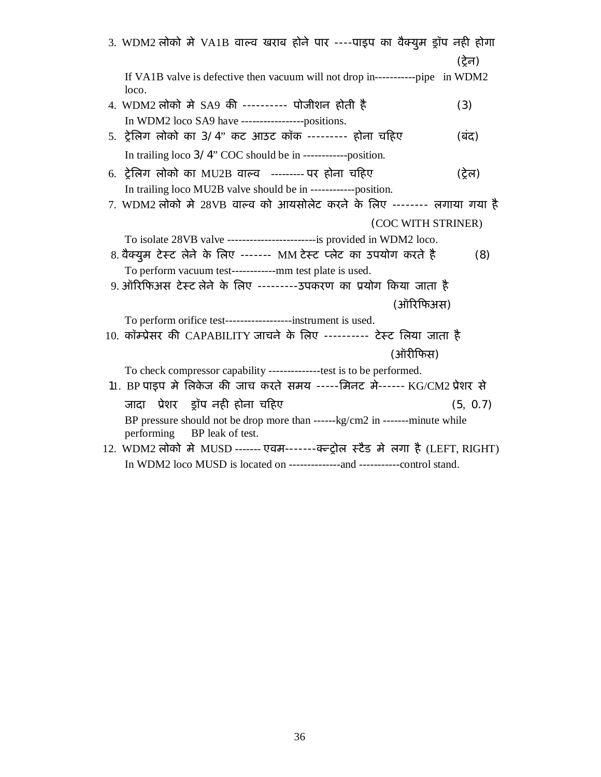| 3. WDM2 लोको मे VA1B वाल्व खराब होने पार ----पाइप का वैक्युम ड्रॉप नही होगा                                                                |          |
|--------------------------------------------------------------------------------------------------------------------------------------------|----------|
|                                                                                                                                            | (ट्रेन)  |
| If VA1B valve is defective then vacuum will not drop in------------pipe in WDM2<br>loco.                                                   |          |
| 4. WDM2 लोको मे SA9 की ---------- पोजीशन होती है                                                                                           | (3)      |
| In WDM2 loco SA9 have -------------------positions.<br>5. ट्रेलिग लोको का 3/4" कट आउट कॉक --------- होना चहिए                              | (बंद)    |
| In trailing loco 3/4" COC should be in ------------position.                                                                               |          |
| 6. ट्रेलिग लोको का MU2B वाल्व --------- पर होना चहिए                                                                                       | (ट्रेल)  |
| In trailing loco MU2B valve should be in -------------position.<br>7. WDM2 लोको मे 28VB वाल्व को आयसोलेट करने के लिए -------- लगाया गया है |          |
| (COC WITH STRINER)                                                                                                                         |          |
| To isolate 28VB valve --------------------------is provided in WDM2 loco.                                                                  |          |
| 8. वैक्युम टेस्ट लेने के लिए ------- MM टेस्ट प्लेट का उपयोग करते है                                                                       | (8)      |
| To perform vacuum test-------------mm test plate is used.                                                                                  |          |
| 9. ऑरिफिअस टेस्ट लेने के लिए ---------उपकरण का प्रयोग किया जाता है                                                                         |          |
| (ऑरिफिअस)                                                                                                                                  |          |
| To perform orifice test-------------------instrument is used.                                                                              |          |
| 10. कॉम्प्रेसर की CAPABILITY जाचने के लिए ---------- टेस्ट लिया जाता है                                                                    |          |
| (ऑरीफिस)                                                                                                                                   |          |
| To check compressor capability --------------test is to be performed.                                                                      |          |
| 11. BP पाइप मे लिकेज की जाच करते समय -----मिनट मे------ KG/CM2 प्रेशर से                                                                   |          |
| जादा प्रेशर  इ्रॉप नही होना चहिए                                                                                                           | (5, 0.7) |
| BP pressure should not be drop more than ------kg/cm2 in -------minute while<br>performing BP leak of test.                                |          |
| 12. WDM2 लोको मे MUSD ------- एवम-------क्ल्ट्रोल स्टैड मे लगा है (LEFT, RIGHT)                                                            |          |
| In WDM2 loco MUSD is located on ----------------and ------------control stand.                                                             |          |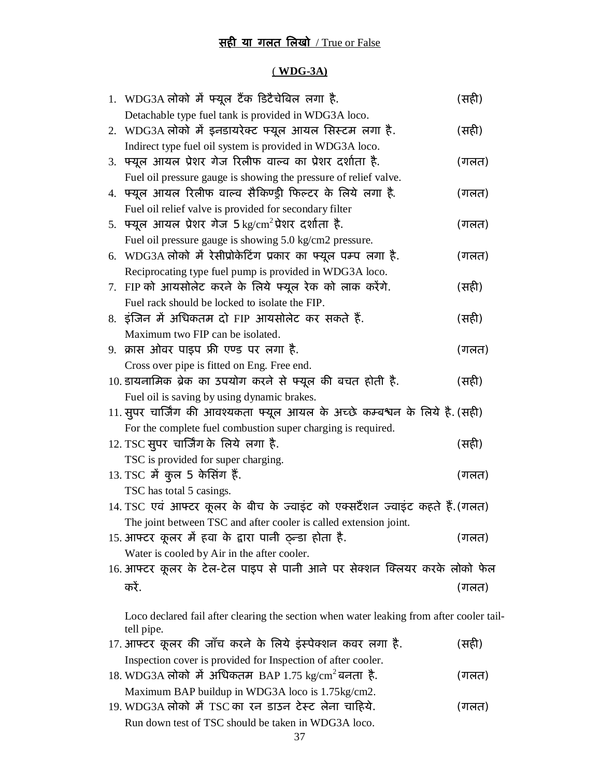# <u>सही या गलत लिखो / True or False</u>

#### ( **WDG-3A)**

| 1. WDG3A लोको में फ्यूल टैंक डिटैचेबिल लगा है.                                           | (सही) |
|------------------------------------------------------------------------------------------|-------|
| Detachable type fuel tank is provided in WDG3A loco.                                     |       |
| 2. WDG3A लोको में इनडायरेक्ट फ्यूल आयल सिस्टम लगा है.                                    | (सही) |
| Indirect type fuel oil system is provided in WDG3A loco.                                 |       |
| 3. फ्यूल आयल प्रेशर गेज रिलीफ वाल्व का प्रेशर दर्शाता है.                                | (गलत) |
| Fuel oil pressure gauge is showing the pressure of relief valve.                         |       |
| 4. फ्यूल आयल रिलीफ वाल्व सैकिण्ड्री फिल्टर के लिये लगा है.                               | (गलत) |
| Fuel oil relief valve is provided for secondary filter                                   |       |
| 5. फ्यूल आयल प्रेशर गेज 5 kg/cm <sup>2</sup> प्रेशर दर्शाता है.                          | (गलत) |
| Fuel oil pressure gauge is showing 5.0 kg/cm2 pressure.                                  |       |
| 6. WDG3A लोको में रेसीप्रोकेटिंग प्रकार का फ्यूल पम्प लगा है.                            | (गलत) |
| Reciprocating type fuel pump is provided in WDG3A loco.                                  |       |
| 7. FIP को आयसोलेट करने के लिये फ्यूल रेक को लाक करेंगे.                                  | (सही) |
| Fuel rack should be locked to isolate the FIP.                                           |       |
| 8. इंजिन में अधिकतम दो FIP आयसोलेट कर सकते हैं.                                          | (सही) |
| Maximum two FIP can be isolated.                                                         |       |
| 9. क्रास ओवर पाइप फ्री एण्ड पर लगा है.                                                   | (गलत) |
| Cross over pipe is fitted on Eng. Free end.                                              |       |
| 10. डायनामिक ब्रेक का उपयोग करने से फ्यूल की बचत होती है.                                | (सही) |
| Fuel oil is saving by using dynamic brakes.                                              |       |
| 11. सुपर चार्जिंग की आवश्यकता फ्यूल आयल के अच्छे कम्बश्वन के लिये है. (सही)              |       |
| For the complete fuel combustion super charging is required.                             |       |
| 12. TSC सुपर चार्जिंग के लिये लगा है.                                                    | (सही) |
| TSC is provided for super charging.                                                      |       |
| 13. TSC में कुल 5 केसिंग हैं.                                                            | (गलत) |
| TSC has total 5 casings.                                                                 |       |
| 14. TSC एवं आफ्टर कूलर के बीच के ज्वाइंट को एक्सटैंशन ज्वाइंट कहते हैं.(गलत)             |       |
| The joint between TSC and after cooler is called extension joint.                        |       |
| 15. आफ्टर कूलर में हवा के द्वारा पानी ठुन्डा होता है.                                    | (गलत) |
| Water is cooled by Air in the after cooler.                                              |       |
| 16. आफ्टर कूलर के टेल-टेल पाइप से पानी आने पर सेक्शन क्लियर करके लोको फेल                |       |
| करें.                                                                                    | (गलत) |
|                                                                                          |       |
| Loco declared fail after clearing the section when water leaking from after cooler tail- |       |
| tell pipe.                                                                               |       |
| 17. आफ्टर कूलर की जाँच करने के लिये इंस्पेक्शन कवर लगा है.                               | (सही) |
| Inspection cover is provided for Inspection of after cooler.                             |       |
| 18. WDG3A लोको में अधिकतम BAP 1.75 kg/cm <sup>2</sup> बनता है.                           | (गलत) |
| Maximum BAP buildup in WDG3A loco is 1.75kg/cm2.                                         |       |

19. WDG3A लोको मे TSC का रन डाउन टेस्ट लेना चाहिये. (गलत) Run down test of TSC should be taken in WDG3A loco.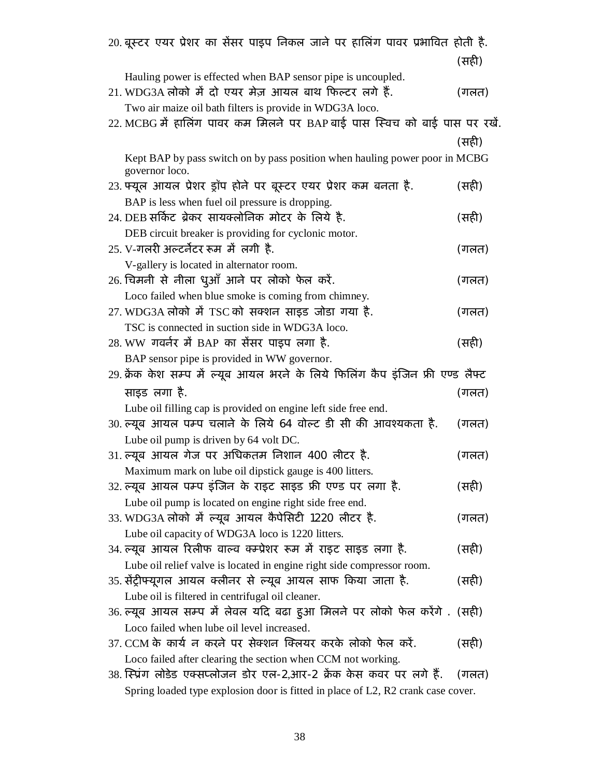| 20. बूस्टर एयर प्रेशर का सैंसर पाइप निकल जाने पर हालिंग पावर प्रभावित होती है.   |       |
|----------------------------------------------------------------------------------|-------|
|                                                                                  | (सही) |
| Hauling power is effected when BAP sensor pipe is uncoupled.                     |       |
| 21. WDG3A लोको में दो एयर मेज़ आयल बाथ फिल्टर लगे हैं.                           | (गलत) |
| Two air maize oil bath filters is provide in WDG3A loco.                         |       |
| 22. MCBG में हालिंग पावर कम मिलने पर BAP बाई पास स्विच को बाई पास पर रखें.       |       |
|                                                                                  | (सही) |
| Kept BAP by pass switch on by pass position when hauling power poor in MCBG      |       |
| governor loco.                                                                   |       |
| 23. फ्यूल आयल प्रेशर ड्रॉप होने पर बूस्टर एयर प्रेशर कम बनता है.                 | (सही) |
| BAP is less when fuel oil pressure is dropping.                                  |       |
| 24. DEB सर्किट ब्रेकर सायक्लोनिक मोटर के लिये है.                                | (सही) |
| DEB circuit breaker is providing for cyclonic motor.                             |       |
| 25. V-गलरी अल्टर्नेटर रूम में लगी है.                                            | (गलत) |
| V-gallery is located in alternator room.                                         |       |
| 26. चिमनी से नीला धुआँ आने पर लोको फेल करें.                                     | (गलत) |
| Loco failed when blue smoke is coming from chimney.                              |       |
| 27. WDG3A लोको में TSC को सक्शन साइड जोडा गया है.                                | (गलत) |
| TSC is connected in suction side in WDG3A loco.                                  |       |
| 28. WW गवर्नर में BAP का सेंसर पाइप लगा है.                                      | (सही) |
| BAP sensor pipe is provided in WW governor.                                      |       |
| 29. क्रेंक केश सम्प में ल्यूब आयल भरने के लिये फिलिंग कैप इंजिन फ्री एण्ड लैफ्ट  |       |
| साइड लगा है.                                                                     | (गलत) |
| Lube oil filling cap is provided on engine left side free end.                   |       |
| 30. ल्यूब आयल पम्प चलाने के लिये 64 वोल्ट डी सी की आवश्यकता है.                  | (गलत) |
| Lube oil pump is driven by 64 volt DC.                                           |       |
| 31. ल्यूब आयल गेज पर अधिकतम निशान 400 लीटर है.                                   | (गलत) |
| Maximum mark on lube oil dipstick gauge is 400 litters.                          |       |
| 32. ल्यूब आयल पम्प इंजिन के राइट साइड फ्री एण्ड पर लगा है.                       | (सही) |
| Lube oil pump is located on engine right side free end.                          |       |
| 33. WDG3A लोको में ल्यूब आयल कैपेसिटी 1220 लीटर है.                              | (गलत) |
| Lube oil capacity of WDG3A loco is 1220 litters.                                 |       |
| 34. ल्यूब आयल रिलीफ वाल्व क्म्प्रेशर रूम में राइट साइड लगा है.                   | (सही) |
| Lube oil relief valve is located in engine right side compressor room.           |       |
| 35. सेंट्रीफ्यूगल आयल क्लीनर से ल्यूब आयल साफ किया जाता है.                      | (सही) |
| Lube oil is filtered in centrifugal oil cleaner.                                 |       |
| 36. ल्यूब आयल सम्प में लेवल यदि बढा हुआ मिलने पर लोको फेल करेंगे . (सही)         |       |
| Loco failed when lube oil level increased.                                       |       |
| 37. CCM के कार्य न करने पर सेक्शन क्लियर करके लोको फेल करें.                     | (सही) |
| Loco failed after clearing the section when CCM not working.                     |       |
|                                                                                  |       |
| Spring loaded type explosion door is fitted in place of L2, R2 crank case cover. |       |
| 38. स्प्रिंग लोडेड एक्सप्लोजन डोर एल-2,आर-2 क्रेंक केस कवर पर लगे हैं.           | (गलत) |
|                                                                                  |       |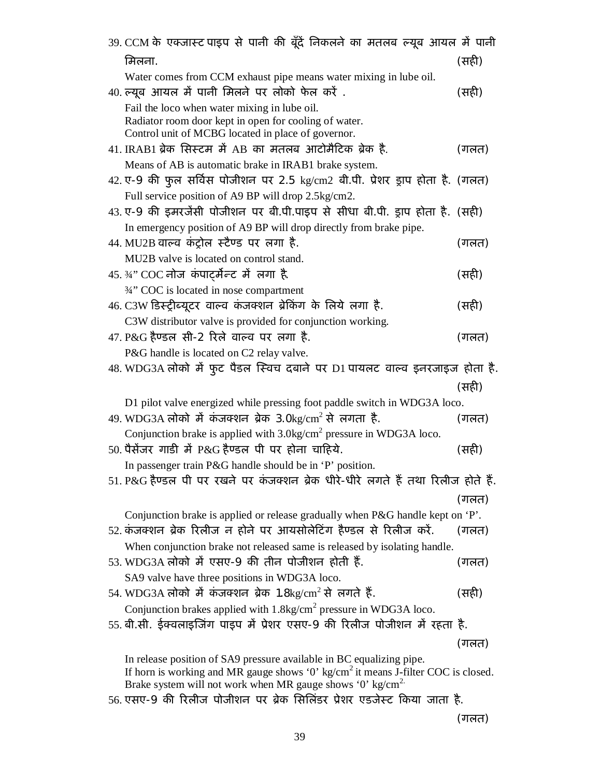| 39. CCM के एक्जास्ट पाइप से पानी की बूँदें निकलने का मतलब ल्यूब आयल में पानी                                                                                 |       |
|--------------------------------------------------------------------------------------------------------------------------------------------------------------|-------|
| मिलना.                                                                                                                                                       | (सही) |
| Water comes from CCM exhaust pipe means water mixing in lube oil.                                                                                            |       |
| 40. ल्यूब आयल में पानी मिलने पर लोको फेल करें .                                                                                                              | (सही) |
| Fail the loco when water mixing in lube oil.                                                                                                                 |       |
| Radiator room door kept in open for cooling of water.                                                                                                        |       |
| Control unit of MCBG located in place of governor.                                                                                                           |       |
| 41. IRAB1 ब्रेक सिस्टम में AB का मतलब आटोमैटिक ब्रेक है.                                                                                                     | (गलत) |
| Means of AB is automatic brake in IRAB1 brake system.                                                                                                        |       |
| 42. ए-9 की फुल सर्विस पोजीशन पर 2.5 kg/cm2 बी.पी. प्रेशर ड्राप होता है. (गलत)                                                                                |       |
| Full service position of A9 BP will drop 2.5kg/cm2.                                                                                                          |       |
| 43.ए-9 की इमरजेंसी पोजीशन पर बी.पी.पाइप से सीधा बी.पी. ड्राप होता है. (सही)                                                                                  |       |
| In emergency position of A9 BP will drop directly from brake pipe.                                                                                           |       |
| 44. MU2B वाल्व कंट्रोल स्टैण्ड पर लगा है.                                                                                                                    | (गलत) |
| MU2B valve is located on control stand.                                                                                                                      |       |
| 45.3⁄4" COC नोज कंपार्ट्मेन्ट में लगा है.                                                                                                                    | (सही) |
| 3/4" COC is located in nose compartment                                                                                                                      |       |
| 46. C3W डिस्ट्रीब्यूटर वाल्व कंजक्शन ब्रेकिंग के लिये लगा है.                                                                                                | (सही) |
| C3W distributor valve is provided for conjunction working.                                                                                                   |       |
| $47. P\&G$ हैण्डल सी-2 रिले वाल्व पर लगा है.                                                                                                                 | (गलत) |
| P&G handle is located on C2 relay valve.                                                                                                                     |       |
| 48. WDG3A लोको में फुट पैडल स्विच दबाने पर D1 पायलट वाल्व इनरजाइज होता है.                                                                                   |       |
|                                                                                                                                                              | (सही) |
| D1 pilot valve energized while pressing foot paddle switch in WDG3A loco.                                                                                    |       |
| 49. WDG3A लोको में कंजक्शन ब्रेक 3.0kg/cm <sup>2</sup> से लगता है.                                                                                           | (गलत) |
| Conjunction brake is applied with 3.0kg/cm <sup>2</sup> pressure in WDG3A loco.                                                                              |       |
| $50.$ पैसेंजर गाडी में P&G हैण्डल पी पर होना चाहिये.                                                                                                         | (सही) |
| In passenger train P&G handle should be in 'P' position.                                                                                                     |       |
| 51. P&G हैण्डल पी पर रखने पर कंजक्शन ब्रेक धीरे-धीरे लगते हैं तथा रिलीज होते हैं.                                                                            |       |
|                                                                                                                                                              | (गलत) |
| Conjunction brake is applied or release gradually when P&G handle kept on 'P'.                                                                               |       |
| 52. कंजक्शन ब्रेक रिलीज न होने पर आयसोलेटिंग हैण्डल से रिलीज करें.                                                                                           | (गलत) |
| When conjunction brake not released same is released by isolating handle.                                                                                    |       |
| 53. WDG3A लोको में एसए-9 की तीन पोजीशन होती हैं.                                                                                                             | (गलत) |
| SA9 valve have three positions in WDG3A loco.                                                                                                                |       |
| 54. WDG3A लोको में कंजक्शन ब्रेक 1.8kg/cm <sup>2</sup> से लगते हैं.                                                                                          | (सही) |
| Conjunction brakes applied with 1.8kg/cm <sup>2</sup> pressure in WDG3A loco.                                                                                |       |
| 55. बी.सी. ईक्वलाइजिंग पाइप में प्रेशर एसए-9 की रिलीज पोजीशन में रहता है.                                                                                    |       |
|                                                                                                                                                              | (गलत) |
|                                                                                                                                                              |       |
| In release position of SA9 pressure available in BC equalizing pipe.                                                                                         |       |
|                                                                                                                                                              |       |
| If horn is working and MR gauge shows '0' $kg/cm2$ it means J-filter COC is closed.<br>Brake system will not work when MR gauge shows '0' $\text{kg/cm}^2$ . |       |

(गलत)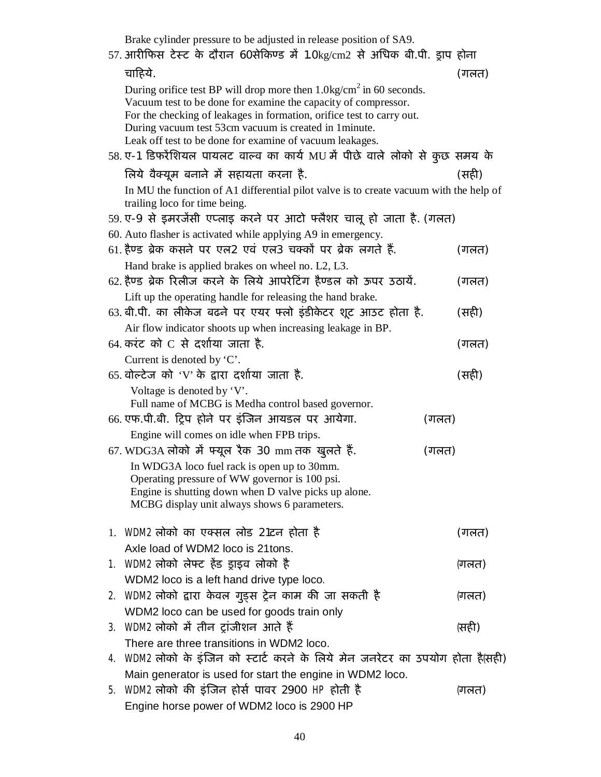| Brake cylinder pressure to be adjusted in release position of SA9.<br>57. आरीफिस टेस्ट के दौरान 60सेकिण्ड में 1.0kg/cm2 से अधिक बी.पी. ड्राप होना                                                                                                                                                                                               |       |       |  |
|-------------------------------------------------------------------------------------------------------------------------------------------------------------------------------------------------------------------------------------------------------------------------------------------------------------------------------------------------|-------|-------|--|
| चाहिये.                                                                                                                                                                                                                                                                                                                                         |       | (गलत) |  |
| During orifice test BP will drop more then $1.0 \text{kg/cm}^2$ in 60 seconds.<br>Vacuum test to be done for examine the capacity of compressor.<br>For the checking of leakages in formation, orifice test to carry out.<br>During vacuum test 53cm vacuum is created in 1 minute.<br>Leak off test to be done for examine of vacuum leakages. |       |       |  |
| 58. ए-1 डिफरेंशियल पायलट वाल्व का कार्य MU में पीछे वाले लोको से कुछ समय के                                                                                                                                                                                                                                                                     |       |       |  |
| लिये वैक्यूम बनाने में सहायता करना है.                                                                                                                                                                                                                                                                                                          |       | (सही) |  |
| In MU the function of A1 differential pilot valve is to create vacuum with the help of<br>trailing loco for time being.                                                                                                                                                                                                                         |       |       |  |
| 59. ए-9 से इमरजेंसी एप्लाइ करने पर आटो फ्लैशर चालू हो जाता है. (गलत)                                                                                                                                                                                                                                                                            |       |       |  |
| 60. Auto flasher is activated while applying A9 in emergency.                                                                                                                                                                                                                                                                                   |       |       |  |
| 61. हैण्ड ब्रेक कसने पर एल2 एवं एल3 चक्कों पर ब्रेक लगते हैं.                                                                                                                                                                                                                                                                                   |       | (गलत) |  |
| Hand brake is applied brakes on wheel no. L2, L3.                                                                                                                                                                                                                                                                                               |       |       |  |
| 62. हैण्ड ब्रेक रिलीज करने के लिये आपरेटिंग हैण्डल को ऊपर उठायें.                                                                                                                                                                                                                                                                               |       | (गलत) |  |
| Lift up the operating handle for releasing the hand brake.                                                                                                                                                                                                                                                                                      |       |       |  |
| 63. बी.पी. का लीकेज बढ़ने पर एयर फ्लो इंडीकेटर शूट आउट होता है.                                                                                                                                                                                                                                                                                 |       | (सही) |  |
| Air flow indicator shoots up when increasing leakage in BP.                                                                                                                                                                                                                                                                                     |       |       |  |
| 64. करंट को $C$ से दर्शाया जाता है.                                                                                                                                                                                                                                                                                                             |       | (गलत) |  |
| Current is denoted by 'C'.<br>65. वोल्टेज को 'V' के द्वारा दर्शाया जाता है.                                                                                                                                                                                                                                                                     |       |       |  |
|                                                                                                                                                                                                                                                                                                                                                 |       | (सही) |  |
| Voltage is denoted by 'V'.<br>Full name of MCBG is Medha control based governor.                                                                                                                                                                                                                                                                |       |       |  |
| 66. एफ.पी.बी. ट्रिप होने पर इंजिन आयडल पर आयेगा.                                                                                                                                                                                                                                                                                                | (गलत) |       |  |
| Engine will comes on idle when FPB trips.                                                                                                                                                                                                                                                                                                       |       |       |  |
| 67. WDG3A लोको में फ्यूल रैक 30 mm तक खुलते हैं.                                                                                                                                                                                                                                                                                                | (गलत) |       |  |
| In WDG3A loco fuel rack is open up to 30mm.<br>Operating pressure of WW governor is 100 psi.<br>Engine is shutting down when D valve picks up alone.<br>MCBG display unit always shows 6 parameters.                                                                                                                                            |       |       |  |
| 1. WDM2 लोको का एक्सल लोड 21टन होता है                                                                                                                                                                                                                                                                                                          |       | (गलत) |  |
| Axle load of WDM2 loco is 21tons.                                                                                                                                                                                                                                                                                                               |       |       |  |
| 1. WDM2 लोको लेफ्ट हेंड ड्राइव लोको है                                                                                                                                                                                                                                                                                                          |       | (गलत) |  |
| WDM2 loco is a left hand drive type loco.                                                                                                                                                                                                                                                                                                       |       |       |  |
| 2. WDM2 लोको द्वारा केवल गुड्स ट्रेन काम की जा सकती है                                                                                                                                                                                                                                                                                          |       | (गलत) |  |
| WDM2 loco can be used for goods train only                                                                                                                                                                                                                                                                                                      |       |       |  |
| 3.  WDM2 लोको में तीन ट्रांजीशन आते हैं                                                                                                                                                                                                                                                                                                         |       | (सही) |  |
| There are three transitions in WDM2 loco.                                                                                                                                                                                                                                                                                                       |       |       |  |
| 4.  WDM2 लोको के इंजिन को स्टार्ट करने के लिये मेन जनरेटर का उपयोग होता है(सही)                                                                                                                                                                                                                                                                 |       |       |  |
| Main generator is used for start the engine in WDM2 loco.<br>5. WDM2 लोको की इंजिन होर्स पावर 2900 HP होती है                                                                                                                                                                                                                                   |       | (गलत) |  |
| Engine horse power of WDM2 loco is 2900 HP                                                                                                                                                                                                                                                                                                      |       |       |  |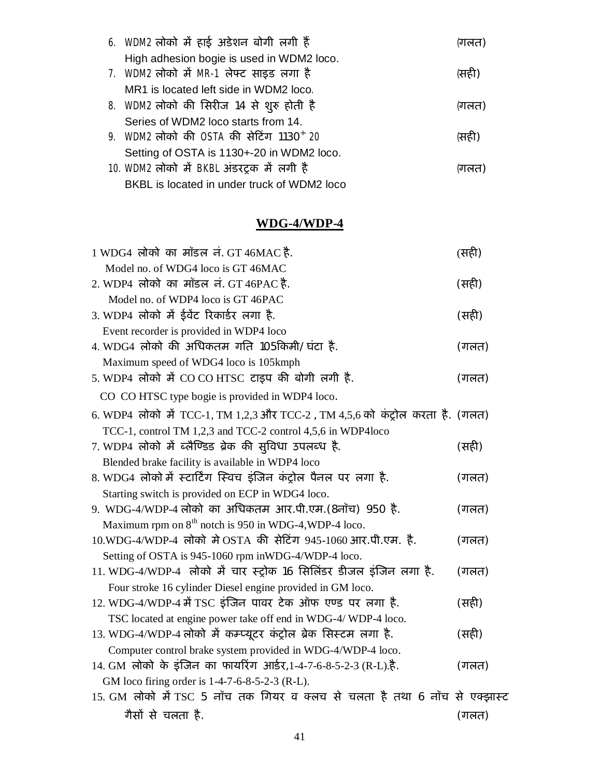| 6. WDM2 लोको में हाई अडेशन बोगी लगी हैं             | (गलत) |
|-----------------------------------------------------|-------|
| High adhesion bogie is used in WDM2 loco.           |       |
| 7. WDM2 लोको में MR-1 लेफ्ट साइड लगा है             | (सही) |
| MR1 is located left side in WDM2 loco.              |       |
| 8. WDM2 लोको की सिरीज 14 से शुरु होती है            | (गलत) |
| Series of WDM2 loco starts from 14.                 |       |
| 9. WDM2 लोको की OSTA की सेटिंग 1130 <sup>+</sup> 20 | (सही) |
| Setting of OSTA is 1130+-20 in WDM2 loco.           |       |
| 10. WDM2 लोको में BKBL अंडरट्रक में लगी है          | (गलत) |
| BKBL is located in under truck of WDM2 loco         |       |

## **WDG-4/WDP-4**

| 1 WDG4 लोको का मॉडल नं. GT 46MAC है.                                          | (सही) |
|-------------------------------------------------------------------------------|-------|
| Model no. of WDG4 loco is GT 46MAC                                            |       |
| 2. WDP4 लोको का मॉडल नं. GT 46PAC है.                                         | (सही) |
| Model no. of WDP4 loco is GT 46PAC                                            |       |
| 3. WDP4 लोको में ईवेंट रिकार्डर लगा है.                                       | (सही) |
| Event recorder is provided in WDP4 loco                                       |       |
| 4. WDG4 लोको की अधिकतम गति 105किमी/घंटा है.                                   | (गलत) |
| Maximum speed of WDG4 loco is 105kmph                                         |       |
| 5. WDP4 लोको में CO CO HTSC टाइप की बोगी लगी है.                              | (गलत) |
| CO CO HTSC type bogie is provided in WDP4 loco.                               |       |
| 6. WDP4 लोको में TCC-1, TM 1,2,3 और TCC-2, TM 4,5,6 को कंट्रोल करता है. (गलत) |       |
| TCC-1, control TM 1,2,3 and TCC-2 control 4,5,6 in WDP4loco                   |       |
| 7. WDP4 लोको में ब्लैण्डिड ब्रेक की सुविधा उपलब्ध है.                         | (सही) |
| Blended brake facility is available in WDP4 loco                              |       |
| 8. WDG4 लोको में स्टार्टिंग स्विच इंजिन कंट्रोल पैनल पर लगा है.               | (गलत) |
| Starting switch is provided on ECP in WDG4 loco.                              |       |
| 9. WDG-4/WDP-4 लोको का अधिकतम आर.पी.एम.(8नॉच) 950 है.                         | (गलत) |
| Maximum rpm on $8th$ notch is 950 in WDG-4, WDP-4 loco.                       |       |
| 10.WDG-4/WDP-4 लोको मे OSTA की सेटिंग 945-1060 आर.पी.एम. है.                  | (गलत) |
| Setting of OSTA is 945-1060 rpm in WDG-4/WDP-4 loco.                          |       |
| 11. WDG-4/WDP-4 लोको में चार स्ट्रोक 16 सिलिंडर डीजल इंजिन लगा है.            | (गलत) |
| Four stroke 16 cylinder Diesel engine provided in GM loco.                    |       |
| 12. WDG-4/WDP-4 में TSC इंजिन पावर टेक ऑफ एण्ड पर लगा है.                     | (सही) |
| TSC located at engine power take off end in WDG-4/WDP-4 loco.                 |       |
| 13. WDG-4/WDP-4 लोको में कम्प्यूटर कंट्रोल ब्रेक सिस्टम लगा है.               | (सही) |
| Computer control brake system provided in WDG-4/WDP-4 loco.                   |       |
| 14. GM लोको के इंजिन का फायरिंग आर्डर, 1-4-7-6-8-5-2-3 (R-L).है.              | (गलत) |
| GM loco firing order is 1-4-7-6-8-5-2-3 (R-L).                                |       |
| 15. GM लोको में TSC 5 नॉच तक गियर व क्लच से चलता है तथा 6 नॉच से एक्झास्ट     |       |
| गैसों से चलता है.                                                             | (गलत) |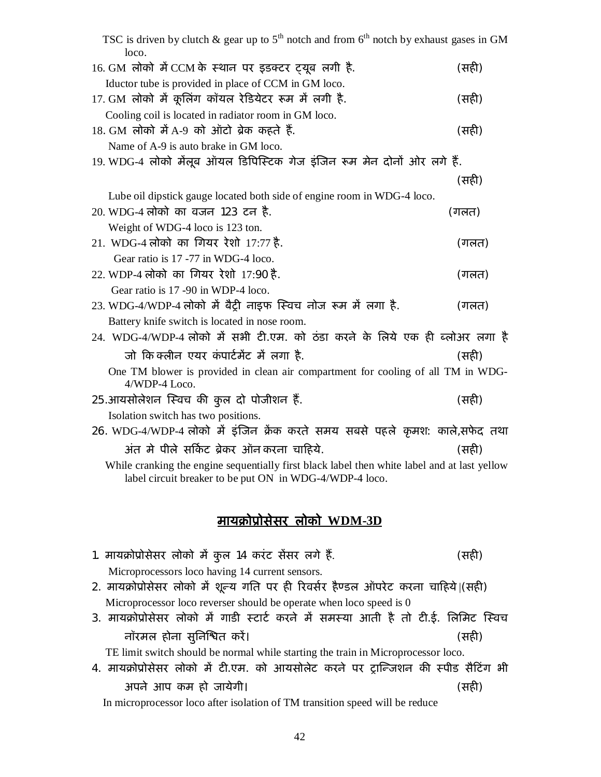| TSC is driven by clutch & gear up to $5th$ notch and from $6th$ notch by exhaust gases in GM<br>loco. |       |
|-------------------------------------------------------------------------------------------------------|-------|
| 16. GM लोको में CCM के स्थान पर इडक्टर ट्यूब लगी है.                                                  | (सही) |
| Iductor tube is provided in place of CCM in GM loco.                                                  |       |
| 17. GM लोको में कूलिंग कॉयल रेडियेटर रूम में लगी है.                                                  | (सही) |
| Cooling coil is located in radiator room in GM loco.                                                  |       |
| 18. GM लोको में A-9 को ऑटो ब्रेक कहते हैं.                                                            | (सही) |
| Name of A-9 is auto brake in GM loco.                                                                 |       |
| 19. WDG-4 लोको मैलूब ऑयल डिपिस्टिक गेज इंजिन रूम मेन दोनों ओर लगे हैं.                                |       |
|                                                                                                       | (सही) |
| Lube oil dipstick gauge located both side of engine room in WDG-4 loco.                               |       |
| 20. WDG-4 लोको का वजन 123 टन है.                                                                      | (गलत) |
| Weight of WDG-4 loco is 123 ton.                                                                      |       |
| 21. WDG-4 लोको का गियर रेशो 17:77 है.                                                                 | (गलत) |
| Gear ratio is 17 -77 in WDG-4 loco.                                                                   |       |
| 22. WDP-4 लोको का गियर रेशो 17:90 है.                                                                 | (गलत) |
| Gear ratio is 17 -90 in WDP-4 loco.<br>23. WDG-4/WDP-4 लोको में बैट्री नाइफ स्विच नोज रूम में लगा है. | (गलत) |
| Battery knife switch is located in nose room.                                                         |       |
| 24. WDG-4/WDP-4 लोको में सभी टी.एम. को ठंडा करने के लिये एक ही ब्लोअर लगा है                          |       |
| जो किंक्लीन एयर कंपार्टमेंट में लगा है.                                                               | (सही) |
| One TM blower is provided in clean air compartment for cooling of all TM in WDG-                      |       |
| 4/WDP-4 Loco.                                                                                         |       |
| 25 आयसोलेशन स्विच की कुल दो पोजीशन हैं.                                                               | (सही) |
| Isolation switch has two positions.                                                                   |       |
| 26. WDG-4/WDP-4 लोको में इंजिन क्रेंक करते समय सबसे पहले कृमश: काले,सफेद तथा                          |       |
| अंत मे पीले सर्किट ब्रेकर ऑन करना चाहिये.                                                             | (सही) |
| While cranking the engine sequentially first black label then white label and at last yellow          |       |
| label circuit breaker to be put ON in WDG-4/WDP-4 loco.                                               |       |
|                                                                                                       |       |
| मायक्रोप्रोसेसर लोको WDM-3D                                                                           |       |
| 1. मायक्रोप्रोसेसर लोको में कुल 14 करंट सेंसर लगे हैं.                                                | (सही) |
| Microprocessors loco having 14 current sensors.                                                       |       |
| 2. मायक्रोप्रोसेसर लोको में शून्य गति पर ही रिवर्सर हैण्डल ऑपरेट करना चाहिये।(सही)                    |       |
| Microprocessor loco reverser should be operate when loco speed is 0                                   |       |

3. मायक्रोप्रोसेसर लोको में गाडी स्टार्ट करने में समस्या आती है तो टी.ई. लिमिट स्विच नॉरमल होना सुिनǔƱत करɅ। (सहȣ)

TE limit switch should be normal while starting the train in Microprocessor loco.

4. मायक्रोप्रोसेसर लोको में टी.एम. को आयसोलेट करने पर ट्रान्जिशन की स्पीड सैटिंग भी अपने आप कम हो जायेगी। (सहȣ)

In microprocessor loco after isolation of TM transition speed will be reduce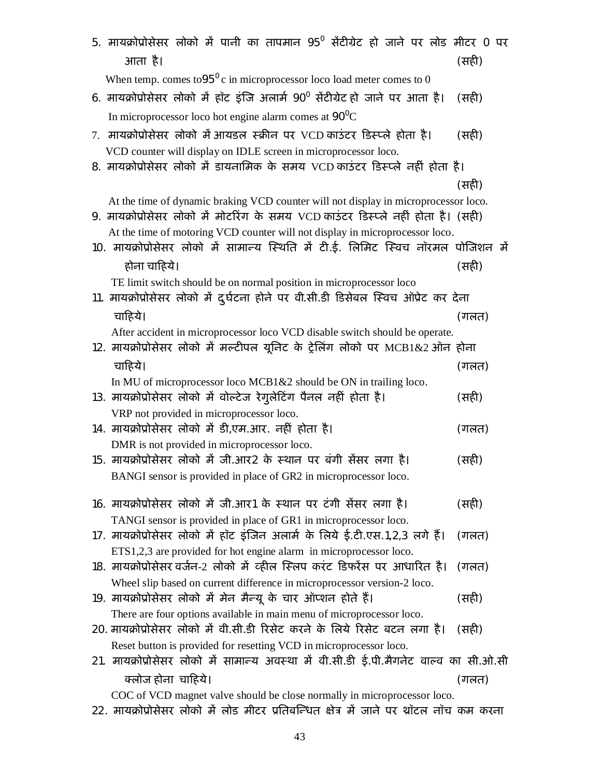| 5. मायक्रोप्रोसेसर लोको में पानी का तापमान 95 <sup>0</sup> सेंटीग्रेट हो जाने पर लोड मीटर 0 पर<br>आता है।                                                                 | (सही) |
|---------------------------------------------------------------------------------------------------------------------------------------------------------------------------|-------|
| When temp. comes to $95^\circ$ c in microprocessor loco load meter comes to 0                                                                                             |       |
| 6. मायक्रोप्रोसेसर लोको में हॉट इंजि अलार्म 90 <sup>0</sup> सेंटीग्रेट हो जाने पर आता है।                                                                                 | (सही) |
| In microprocessor loco hot engine alarm comes at $90^{\circ}$ C                                                                                                           |       |
| 7. मायक्रोप्रोसेसर लोको में आयडल स्क्रीन पर VCD काउंटर डिस्प्ले होता है।<br>VCD counter will display on IDLE screen in microprocessor loco.                               | (सही) |
| 8. मायक्रोप्रोसेसर लोको में डायनामिक के समय VCD काउंटर डिस्प्ले नहीं होता है।                                                                                             |       |
|                                                                                                                                                                           | (सही) |
|                                                                                                                                                                           |       |
| At the time of dynamic braking VCD counter will not display in microprocessor loco.<br>9. मायक्रोप्रोसेसर लोको में मोटरिंग के समय VCD काउंटर डिस्प्ले नहीं होता है। (सही) |       |
| At the time of motoring VCD counter will not display in microprocessor loco.                                                                                              |       |
| 10. मायक्रोप्रोसेसर लोको में सामान्य स्थिति में टी.ई. लिमिट स्विच नॉरमल पोजिशन में                                                                                        |       |
| होना चाहिये।                                                                                                                                                              | (सही) |
| TE limit switch should be on normal position in microprocessor loco                                                                                                       |       |
| 11. मायक्रोप्रोसेसर लोको में दुर्घटना होने पर वी.सी.डी डिसेबल स्विच ऑप्रेट कर देना                                                                                        |       |
| चाहिये।                                                                                                                                                                   | (गलत) |
| After accident in microprocessor loco VCD disable switch should be operate.                                                                                               |       |
| 12. मायक्रोप्रोसेसर लोको में मल्टीपल यूनिट के ट्रेलिंग लोको पर MCB1&2 ऑन होना                                                                                             |       |
| चाहिये।                                                                                                                                                                   | (गलत) |
| In MU of microprocessor loco MCB1&2 should be ON in trailing loco.                                                                                                        |       |
| 13. मायक्रोप्रोसेसर लोको में वोल्टेज रेगुलेटिंग पैनल नहीं होता है।                                                                                                        | (सही) |
| VRP not provided in microprocessor loco.                                                                                                                                  |       |
| 14. मायक्रोप्रोसेसर लोको में डी,एम.आर. नहीं होता है।                                                                                                                      | (गलत) |
| DMR is not provided in microprocessor loco.                                                                                                                               |       |
| 15. मायक्रोप्रोसेसर लोको में जी.आर2 के स्थान पर बंगी सेंसर लगा है।                                                                                                        | (सही) |
| BANGI sensor is provided in place of GR2 in microprocessor loco.                                                                                                          |       |
| 16. मायक्रोप्रोसेसर लोको में जी.आर1 के स्थान पर टंगी सेंसर लगा है।                                                                                                        | (सही) |
| TANGI sensor is provided in place of GR1 in microprocessor loco.                                                                                                          |       |
| 17. मायक्रोप्रोसेसर लोको में हॉट इंजिन अलार्म के लिये ई.टी.एस.1,2,3 लगे हैं।                                                                                              | (गलत) |
| ETS1,2,3 are provided for hot engine alarm in microprocessor loco.                                                                                                        |       |
| 18. मायक्रोप्रोसेसर वर्जन-2 लोको में व्हील स्लिप करंट डिफरेंस पर आधारित है।                                                                                               | (गलत) |
| Wheel slip based on current difference in microprocessor version-2 loco.                                                                                                  |       |
| 19. मायक्रोप्रोसेसर लोको में मेन मैन्यू के चार ऑप्शन होते हैं।                                                                                                            | (सही) |
| There are four options available in main menu of microprocessor loco.                                                                                                     |       |
| 20. मायक्रोप्रोसेसर लोको में वी.सी.डी रिसेट करने के लिये रिसेट बटन लगा है।                                                                                                | (सही) |
| Reset button is provided for resetting VCD in microprocessor loco.                                                                                                        |       |
| 21. मायक्रोप्रोसेसर लोको में सामान्य अवस्था में वी.सी.डी ई.पी.मैगनेट वाल्व का सी.ओ.सी                                                                                     |       |
| क्लोज होना चाहिये।                                                                                                                                                        | (गलत) |
| COC of VCD magnet valve should be close normally in microprocessor loco.                                                                                                  |       |
| 22. मायक्रोप्रोसेसर लोको में लोड मीटर प्रतिबन्धित क्षेत्र में जाने पर थ्रॉटल नॉच कम करना                                                                                  |       |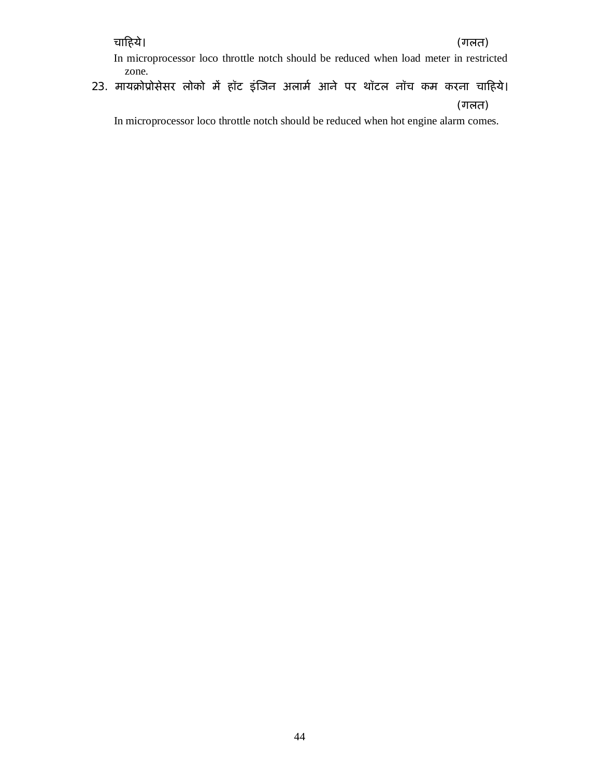### चाǑहये। (गलत)

 In microprocessor loco throttle notch should be reduced when load meter in restricted zone.

23. मायक्रोप्रोसेसर लोको में हॉट इंजिन अलार्म आने पर थॉटल नॉच कम करना चाहिये। (गलत)

In microprocessor loco throttle notch should be reduced when hot engine alarm comes.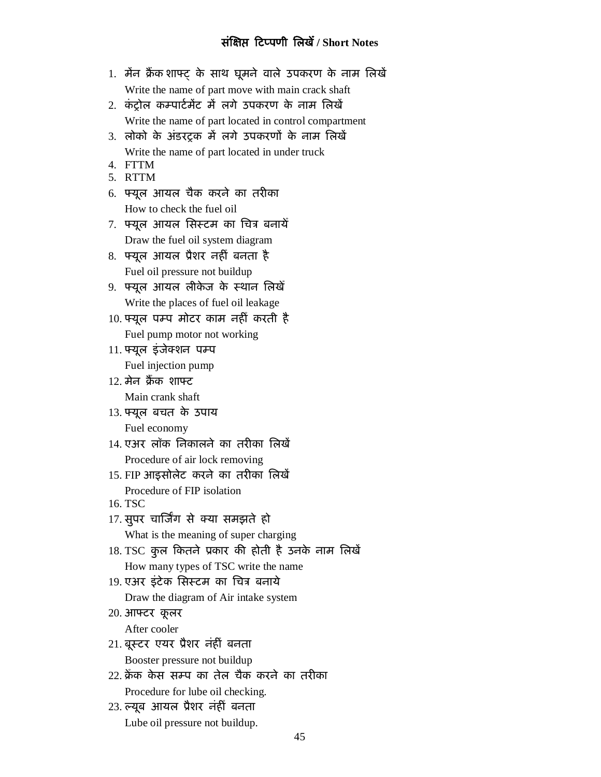### **संǔ¢Ư ǑटÜपणी िलखɄ/ Short Notes**

- 1. मैंन फ्रैंक शाफ्ट के साथ घूमने वाले उपकरण के नाम लिखें Write the name of part move with main crack shaft
- 2. कंट्रोल कम्पार्टमेंट में लगे उपकरण के नाम लिखें Write the name of part located in control compartment
- 3. लोको के अंडरटक में लगे उपकरणों के नाम लिखें Write the name of part located in under truck
- 4. FTTM
- 5. RTTM
- 6. फ्यूल आयल चैक करने का तरीका How to check the fuel oil
- 7. फ्यूल आयल सिस्टम का चित्र बनायें Draw the fuel oil system diagram
- 8. फ्यूल आयल प्रैशर नहीं बनता है Fuel oil pressure not buildup
- 9. फ्यूल आयल लीकेज के स्थान लिखें Write the places of fuel oil leakage
- 10. फ्यूल पम्प मोटर काम नहीं करती है Fuel pump motor not working
- 11. फ्यूल इंजेक्शन पम्प Fuel injection pump
- 12. मेन फैंक शाफ्ट Main crank shaft
- 13. फ्यूल बचत के उपाय Fuel economy
- <u>14. एअर लॉक निकालने का तरीका लिखें</u> Procedure of air lock removing
- 15. FIP आइसोलेट करने का तरीका लिखें Procedure of FIP isolation
- 16. TSC
- 17. सुपर चार्जिंग से क्या समझते हो What is the meaning of super charging
- 18. TSC कुल कितने प्रकार की होती है उनके नाम लिखें How many types of TSC write the name
- 19. एअर इंटेक सिस्टम का चित्र बनाये
	- Draw the diagram of Air intake system
- 20. आफ्टर कूलर

After cooler

- 21. बूस्टर एयर प्रैशर नंहीं बनता Booster pressure not buildup
- 22. क्रॅंक केस सम्प का तेल चैक करने का तरीका Procedure for lube oil checking.
- 23. ल्यूब आयल प्रैशर नंहीँ बनता Lube oil pressure not buildup.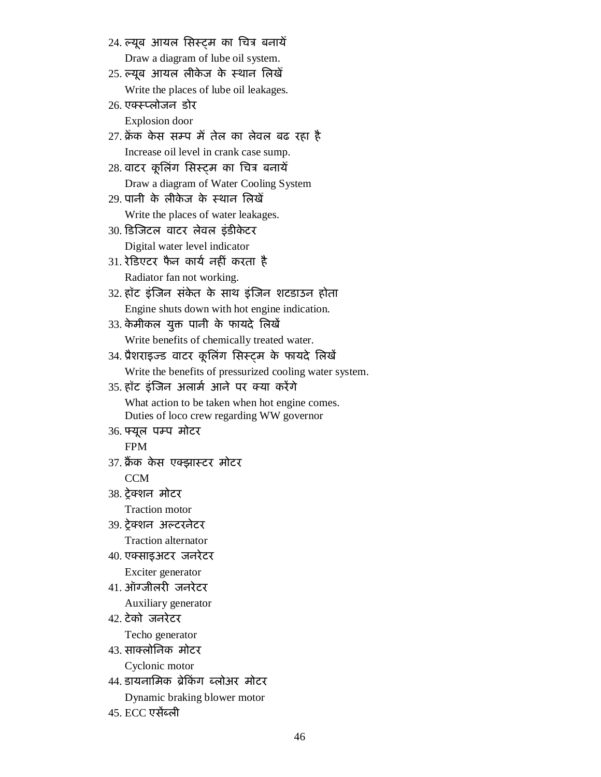- 24. ल्यूब आयल सिस्ट्म का चित्र बनायेँ Draw a diagram of lube oil system.
- 25. ल्यूब आयल लीकेज के स्थान लिखें Write the places of lube oil leakages.
- 26. एक्स्प्लोजन डोर

Explosion door

- 27. क्रैंक केस सम्प में तेल का लेवल बढ रहा है Increase oil level in crank case sump.
- 28. वाटर कूलिंग सिस्टम का चित्र बनायें Draw a diagram of Water Cooling System
- 29. पानी के लीकेज के स्थान लिखें Write the places of water leakages.
- 30. डिजिटल वाटर लेवल इंडीकेटर Digital water level indicator
- 31. रेडिएटर फैन कार्य नहीं करता है Radiator fan not working.
- 32. हॉट इंजिन संकेत के साथ इंजिन शटडाउन होता Engine shuts down with hot engine indication.
- 33. केमीकल युक्त पानी के फायदे लिखें Write benefits of chemically treated water.
- 34. प्रैशराइज्ड वाटर कूलिंग सिस्ट्म के फायदे लिखें Write the benefits of pressurized cooling water system.
- 35. हॉट इंजिन अलार्म आने पर क्या करेंगे What action to be taken when hot engine comes. Duties of loco crew regarding WW governor
- 36. फ्यूल पम्प मोटर FPM
- 37. फ्रैंक केस एक्झास्टर मोटर CCM
- 38. ट्रेक्शन मोटर Traction motor
- 39. टेक्शन अल्टरनेटर Traction alternator
- 40. एक्साइअटर जनरेटर Exciter generator
- 41. ऑग्जीलरी जनरेटर Auxiliary generator
- 42. टेको जनरेटर Techo generator
- 43. साक्लोनिक मोटर Cyclonic motor
- 44. डायनामिक ब्रेकिंग ब्लोअर मोटर Dynamic braking blower motor
- $45.$  ECC एसेंब्ली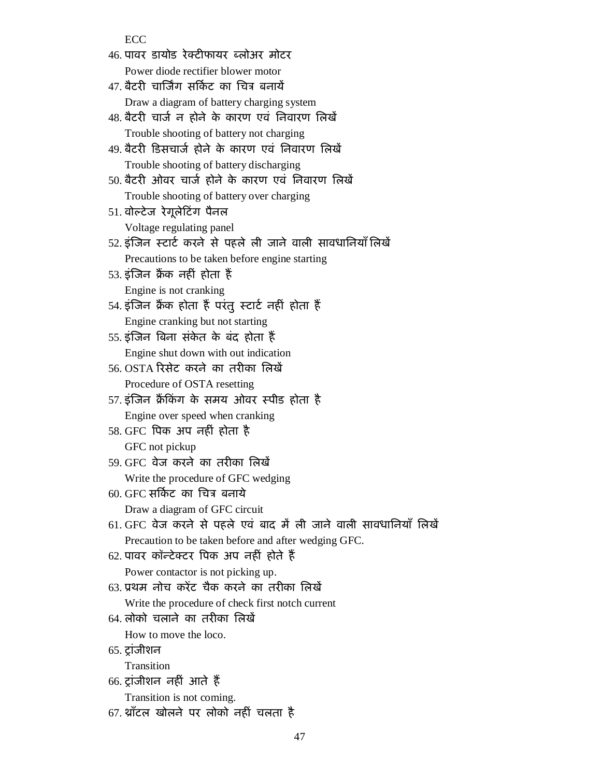ECC

| 46. पावर डायोड रेक्टीफायर ब्लोअर मोटर                              |
|--------------------------------------------------------------------|
| Power diode rectifier blower motor                                 |
| 47. बैटरी चार्जिंग सर्किट का चित्र बनायें                          |
| Draw a diagram of battery charging system                          |
| 48. बैटरी चार्ज न होने के कारण एवं निवारण लिखें                    |
| Trouble shooting of battery not charging                           |
| 49. बैटरी डिसचार्ज होने के कारण एवं निवारण लिखें                   |
| Trouble shooting of battery discharging                            |
| 50. बैटरी ओवर चार्ज होने के कारण एवं निवारण लिखें                  |
| Trouble shooting of battery over charging                          |
| 51. वोल्टेज रेगूलेटिंग पैनल                                        |
| Voltage regulating panel                                           |
| 52. इंजिन स्टार्ट करने से पहले ली जाने वाली सावधानियाँ लिखें       |
| Precautions to be taken before engine starting                     |
| 53. इंजिन क्रैंक नहीं होता हैं                                     |
| Engine is not cranking                                             |
| 54. इंजिन क्रैंक होता हैं परंतु स्टार्ट नहीं होता हैं              |
| Engine cranking but not starting                                   |
| 55. इंजिन बिना संकेत के बंद होता हैं                               |
| Engine shut down with out indication                               |
| 56. OSTA रिसेट करने का तरीका लिखें                                 |
| Procedure of OSTA resetting                                        |
| 57. इंजिन क्रैंकिंग के समय ओवर स्पीड होता है                       |
| Engine over speed when cranking                                    |
| 58. GFC पिक अप नहीं होता है                                        |
| GFC not pickup                                                     |
| 59. GFC वेज करने का तरीका लिखें                                    |
| Write the procedure of GFC wedging                                 |
| 60. GFC सर्किट का चित्र बनाये                                      |
| Draw a diagram of GFC circuit                                      |
| 61. GFC वेज करने से पहले एवं बाद में ली जाने वाली सावधानियाँ लिखें |
| Precaution to be taken before and after wedging GFC.               |
| 62. पावर कॉन्टेक्टर पिक अप नहीं होते हैं                           |
| Power contactor is not picking up.                                 |
| 63. प्रथम नोच करेंट चैक करने का तरीका लिखें                        |
| Write the procedure of check first notch current                   |
| 64. लोको चलाने का तरीका लिखें                                      |
| How to move the loco.                                              |
| 65. ट्रांजीशन                                                      |
| Transition                                                         |
| 66. ट्रांजीशन नहीं आते हैं                                         |
| Transition is not coming.                                          |
|                                                                    |

67. थ्रॉटल खोलने पर लोको नहीं चलता है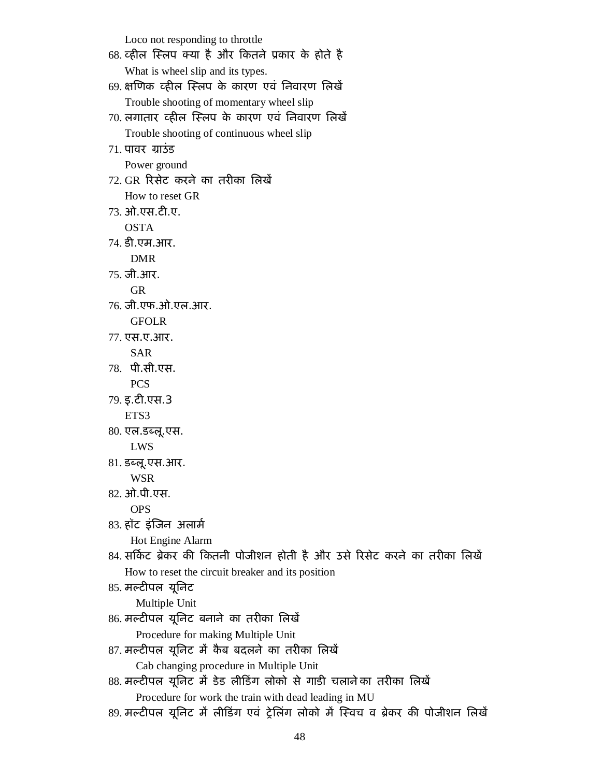Loco not responding to throttle

| 68. व्हील स्लिप क्या है और कितने प्रकार के होते है                                                                                                                                                                                                                                                                  |  |
|---------------------------------------------------------------------------------------------------------------------------------------------------------------------------------------------------------------------------------------------------------------------------------------------------------------------|--|
| What is wheel slip and its types.                                                                                                                                                                                                                                                                                   |  |
| 69. क्षणिक व्हील स्लिप के कारण एवं निवारण लिखे                                                                                                                                                                                                                                                                      |  |
| Trouble shooting of momentary wheel slip                                                                                                                                                                                                                                                                            |  |
| 70 लगातार व्हील स्लिप के कारण एवं निवारण लिखें                                                                                                                                                                                                                                                                      |  |
| Trouble shooting of continuous wheel slip                                                                                                                                                                                                                                                                           |  |
| $71.$ पावर ग्राउंड                                                                                                                                                                                                                                                                                                  |  |
| Power ground                                                                                                                                                                                                                                                                                                        |  |
| 72. GR  रिसेट  करने  का  तरीका  लिखें                                                                                                                                                                                                                                                                               |  |
| How to reset GR                                                                                                                                                                                                                                                                                                     |  |
| 73. ओ.एस.टी.ए.                                                                                                                                                                                                                                                                                                      |  |
| <b>OSTA</b>                                                                                                                                                                                                                                                                                                         |  |
| 74. डी.एम.आर.                                                                                                                                                                                                                                                                                                       |  |
| <b>DMR</b>                                                                                                                                                                                                                                                                                                          |  |
| 75. जी.आर.                                                                                                                                                                                                                                                                                                          |  |
| <b>GR</b>                                                                                                                                                                                                                                                                                                           |  |
| 76. जी.एफ.ओ.एल.आर.                                                                                                                                                                                                                                                                                                  |  |
| <b>GFOLR</b>                                                                                                                                                                                                                                                                                                        |  |
| 77. एस.ए.आर.                                                                                                                                                                                                                                                                                                        |  |
| <b>SAR</b>                                                                                                                                                                                                                                                                                                          |  |
| 78. पी.सी.एस.                                                                                                                                                                                                                                                                                                       |  |
| <b>PCS</b>                                                                                                                                                                                                                                                                                                          |  |
| 79. इ.टी.एस.3                                                                                                                                                                                                                                                                                                       |  |
| ETS3                                                                                                                                                                                                                                                                                                                |  |
| 80. एल.डब्लू.एस.                                                                                                                                                                                                                                                                                                    |  |
| LWS                                                                                                                                                                                                                                                                                                                 |  |
| 81. डब्लू.एस.आर.                                                                                                                                                                                                                                                                                                    |  |
| <b>WSR</b>                                                                                                                                                                                                                                                                                                          |  |
| 82. ओ.पी.एस.                                                                                                                                                                                                                                                                                                        |  |
| <b>OPS</b>                                                                                                                                                                                                                                                                                                          |  |
| 83. हॉट इंजिन अलार्म                                                                                                                                                                                                                                                                                                |  |
| Hot Engine Alarm                                                                                                                                                                                                                                                                                                    |  |
| 84. सर्किट ब्रेकर की कितनी पोजीशन होती है और उसे रिसेट करने का तरीका लिखें                                                                                                                                                                                                                                          |  |
| How to reset the circuit breaker and its position                                                                                                                                                                                                                                                                   |  |
| 85. मल्टीपल यूनिट                                                                                                                                                                                                                                                                                                   |  |
| Multiple Unit                                                                                                                                                                                                                                                                                                       |  |
| 86. मल्टीपल यूनिट बनाने का तरीका लिखें                                                                                                                                                                                                                                                                              |  |
| Procedure for making Multiple Unit                                                                                                                                                                                                                                                                                  |  |
| 87. मल्टीपल यूनिट में कैब बदलने का तरीका लिखें                                                                                                                                                                                                                                                                      |  |
| Cab changing procedure in Multiple Unit                                                                                                                                                                                                                                                                             |  |
| 88. मल्टीपल यूनिट में डेड लीडिंग लोको से गाडी चलानेका तरीका लिखें                                                                                                                                                                                                                                                   |  |
| Procedure for work the train with dead leading in MU                                                                                                                                                                                                                                                                |  |
| $\frac{1}{2}$ $\frac{1}{2}$ $\frac{1}{2}$ $\frac{1}{2}$ $\frac{1}{2}$ $\frac{1}{2}$ $\frac{1}{2}$ $\frac{1}{2}$ $\frac{1}{2}$ $\frac{1}{2}$ $\frac{1}{2}$ $\frac{1}{2}$ $\frac{1}{2}$ $\frac{1}{2}$ $\frac{1}{2}$ $\frac{1}{2}$ $\frac{1}{2}$ $\frac{1}{2}$ $\frac{1}{2}$ $\frac{1}{2}$ $\frac{1}{2}$ $\frac{1}{2}$ |  |

89. मल्टीपल यूनिट मे लीडिंग एवं ट्रेलिंग लोको में स्विच व ब्रेकर की पोजीशन लिखे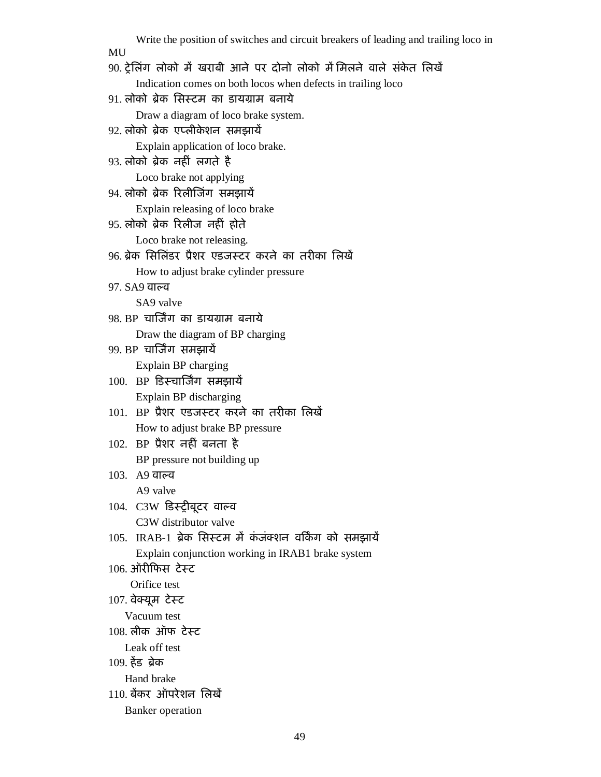| Write the position of switches and circuit breakers of leading and trailing loco in<br>MU               |
|---------------------------------------------------------------------------------------------------------|
| 90. ट्रेलिंग लोको में खराबी आने पर दोनो लोको में मिलने वाले संकेत लिखें                                 |
|                                                                                                         |
| Indication comes on both locos when defects in trailing loco<br>91. लोको ब्रेक सिस्टम का डायग्राम बनाये |
|                                                                                                         |
| Draw a diagram of loco brake system.                                                                    |
| 92. लोको ब्रेक एप्लीकेशन समझायें                                                                        |
| Explain application of loco brake.                                                                      |
| 93. लोको ब्रेक नहीं लगते है                                                                             |
| Loco brake not applying                                                                                 |
| 94. लोको ब्रेक रिलीजिंग समझायें                                                                         |
| Explain releasing of loco brake                                                                         |
| 95. लोको ब्रेक रिलीज नहीं होते                                                                          |
| Loco brake not releasing.                                                                               |
| 96. ब्रेक सिलिंडर प्रैशर एडजस्टर करने का तरीका लिखें                                                    |
| How to adjust brake cylinder pressure                                                                   |
| ९७. SA9 वाल्व                                                                                           |
| SA9 valve                                                                                               |
| 98. BP  चार्जिंग  का डायग्राम  बनाये                                                                    |
| Draw the diagram of BP charging                                                                         |
| 99. BP  चार्जिंग  समझायें                                                                               |
| Explain BP charging                                                                                     |
| 100. BP डिस्चार्जिंग समझायें                                                                            |
| Explain BP discharging                                                                                  |
| 101. BP प्रैशर एडजस्टर करने का तरीका लिखें                                                              |
| How to adjust brake BP pressure                                                                         |
| 102. BP प्रैशर नहीं बनता है                                                                             |
| BP pressure not building up                                                                             |
| 103. A9 वाल्व                                                                                           |
| A9 valve                                                                                                |
| 104. C3W डिस्ट्रीबूटर वाल्व                                                                             |
| C3W distributor valve                                                                                   |
| 105.  IRAB-1 ब्रेक सिस्टम में कंजंक्शन वर्किंग को समझायें                                               |
| Explain conjunction working in IRAB1 brake system                                                       |
| 106. ऑरीफिस टेस्ट                                                                                       |
| Orifice test                                                                                            |
| 107. वेक्यूम टेस्ट                                                                                      |
| Vacuum test                                                                                             |
| 108. लीक ऑफ टेस्ट                                                                                       |
| Leak off test                                                                                           |
| 109. हेड ब्रेक                                                                                          |
| Hand brake                                                                                              |
| 110. बेंकर ऑपरेशन लिखें                                                                                 |
|                                                                                                         |
| <b>Banker</b> operation                                                                                 |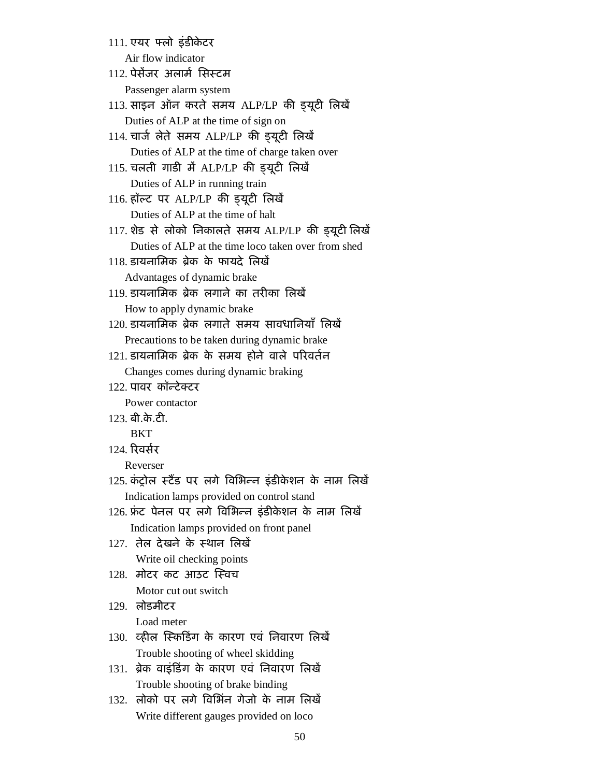111. एयर फ्लो इंडीकेटर Air flow indicator

112. पेसेंजर अलार्म सिस्टम

Passenger alarm system

113. साइन ऑन करते समय ALP/LP की इयूटी लिखें Duties of ALP at the time of sign on

- 114. चार्ज लेते समय ALP/LP की इयूटी लिखें Duties of ALP at the time of charge taken over
- $115.$  चलती गाड़ी में ALP/LP की डयूटी लिखें Duties of ALP in running train
- 116. हॉल्ट पर ALP/LP की इयूटी लिखें Duties of ALP at the time of halt
- 117. शेड से लोको निकालते समय ALP/LP की इयूटी लिखें Duties of ALP at the time loco taken over from shed
- $118.$  डायनामिक ब्रेक के फायदे लिखें Advantages of dynamic brake
- 119. डायनामिक ब्रेक लगाने का तरीका लिखे<mark>ं</mark> How to apply dynamic brake
- 120. डायनामिक ब्रेक लगाते समय सावधानियाँ लिखें Precautions to be taken during dynamic brake
- 121. डायनामिक ब्रेक के समय होने वाले परिवर्तन Changes comes during dynamic braking
- 122. पावर कॉन्टेक्टर

Power contactor

- 123. बी.के.टी.
	- **BKT**
- 124. रिवर्सर

Reverser

- $125$  कंट्रोल स्टैंड पर लगे विभिन्न इंडीकेशन के नाम लिखें Indication lamps provided on control stand
- 126. फ्रंट पेनल पर लगे विभिन्न इंडीकेशन के नाम लिखें Indication lamps provided on front panel
- 127. तेल देखने के स्थान लिखें Write oil checking points
- 128. मोटर कट आउट स्विच Motor cut out switch
- 129. लोडमीटर Load meter
- 130. व्हील स्किडिंग के कारण एवं निवारण लिखें Trouble shooting of wheel skidding
- 131. ब्रेक वाइंडिंग के कारण एवं निवारण लिखें Trouble shooting of brake binding
- 132. लोको पर लगे विभिंत गेजो के नाम लिखें Write different gauges provided on loco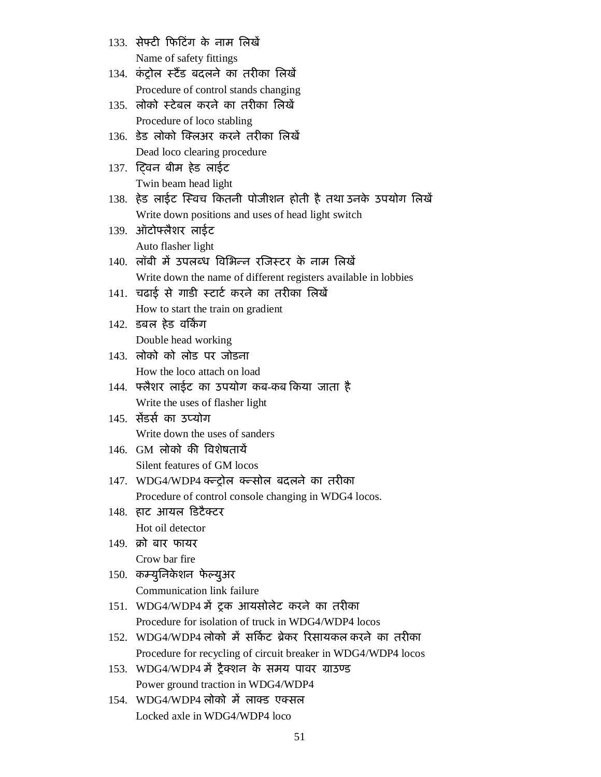- 133. सेफ्टी फिटिंग के नाम लिखें Name of safety fittings
- 134. कंटोल स्टैंड बदलने का तरीका लिखें Procedure of control stands changing
- 135. लोको स्टेबल करने का तरीका लिखें Procedure of loco stabling
- 136. डेड लोको क्लिअर करने तरीका लिखें Dead loco clearing procedure
- 137. टिवन बीम हेड लाईट Twin beam head light
- 138. हेड लाईट स्विच कितनी पोजीशन होती है तथा उनके उपयोग लिखें Write down positions and uses of head light switch
- 139. ऑटोफ्लैशर लाईट Auto flasher light
- 140. लॉबी में उपलब्ध विभिन्न रजिस्टर के नाम लिखें Write down the name of different registers available in lobbies
- 141. चढाई से गाडी स्टार्ट करने का तरीका लिखें How to start the train on gradient
- 142. डबल हेड वर्किंग Double head working
- 143. लोको को लोड पर जोडना How the loco attach on load
- 144. फ्लैशर लाईट का उपयोग कब-कब किया जाता है Write the uses of flasher light
- $145$  सेंदर्स का उपयोग Write down the uses of sanders
- $146.$  GM लोको की विशेषतायें Silent features of GM locos
- 147. WDG4/WDP4 क्ल्ट्रोल क्ल्सोल बदलने का तरीका Procedure of control console changing in WDG4 locos.
- 148. हाट आयल डिटैक्टर Hot oil detector
- 149. क्रो बार फायर Crow bar fire
- 150. कम्युनिकेशन फेल्युअर Communication link failure
- 151. WDG4/WDP4 में टक आयसोलेट करने का तरीका Procedure for isolation of truck in WDG4/WDP4 locos
- 152. WDG4/WDP4 लोको में सर्किट ब्रेकर रिसायकल करने का तरीका Procedure for recycling of circuit breaker in WDG4/WDP4 locos
- 153. WDG4/WDP4 में ट्रैक्शन के समय पावर ग्राउण्ड Power ground traction in WDG4/WDP4
- $154$  WDG4/WDP4 लोको में लाक्ड एक्सल Locked axle in WDG4/WDP4 loco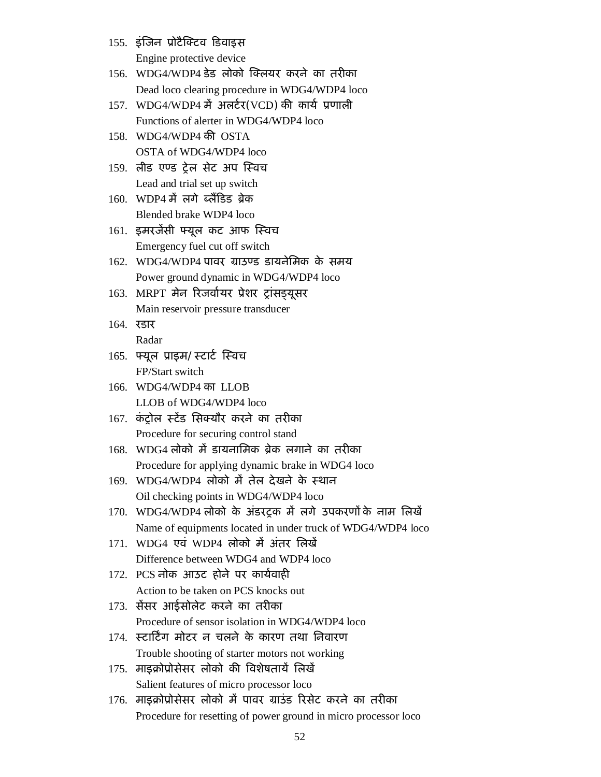- 155. इंजिन प्रोटैक्टिव डिवाइस Engine protective device
- $156.$  WDG4/WDP4 डेड लोको क्लियर करने का तरीका Dead loco clearing procedure in WDG4/WDP4 loco
- 157. WDG4/WDP4 में अलर्टर(VCD) की कार्य प्रणाली Functions of alerter in WDG4/WDP4 loco
- $158$  WDG4/WDP4 की OSTA OSTA of WDG4/WDP4 loco
- 159. लीड एण्ड टेल सेट अप स्विच Lead and trial set up switch
- $160.$  WDP4 में लगे ब्लैंडिड ब्रेक Blended brake WDP4 loco
- 161. इमरजेंसी फ्यूल कट आफ स्विच Emergency fuel cut off switch
- 162. WDG4/WDP4 पावर ग्राउण्ड डायनेमिक के समय Power ground dynamic in WDG4/WDP4 loco
- 163. MRPT मेन रिजर्वायर प्रेशर ट्रांसड़यूसर Main reservoir pressure transducer
- 164. रडार Radar
- 165. फ्यूल प्राइम/स्टार्ट स्विच FP/Start switch
- 166. WDG4/WDP4 का LLOB LLOB of WDG4/WDP4 loco
- 167. कंट्रोल स्टेंड सिक्यौर करने का तरीका Procedure for securing control stand
- 168. WDG4 लोको में डायनामिक ब्रेक लगाने का तरीका Procedure for applying dynamic brake in WDG4 loco
- $169.$  WDG4/WDP4 लोको में तेल देखने के स्थान Oil checking points in WDG4/WDP4 loco
- 170. WDG4/WDP4 लोको के अंडरट्रक में लगे उपकरणों के नाम लिखें Name of equipments located in under truck of WDG4/WDP4 loco
- 171. WDG4 एवं WDP4 लोको में अंतर लिखें Difference between WDG4 and WDP4 loco
- 172. PCS नोक आउट होने पर कार्यवाही Action to be taken on PCS knocks out
- 173. सेंसर आईसोलेट करने का तरीका Procedure of sensor isolation in WDG4/WDP4 loco
- 174. स्टार्टिंग मोटर न चलने के कारण तथा निवारण Trouble shooting of starter motors not working
- 175. माइक्रोप्रोसेसर लोको की विशेषतायें लिखें Salient features of micro processor loco
- 176. माइक्रोप्रोसेसर लोको में पावर ग्राउंड रिसेट करने का तरीका Procedure for resetting of power ground in micro processor loco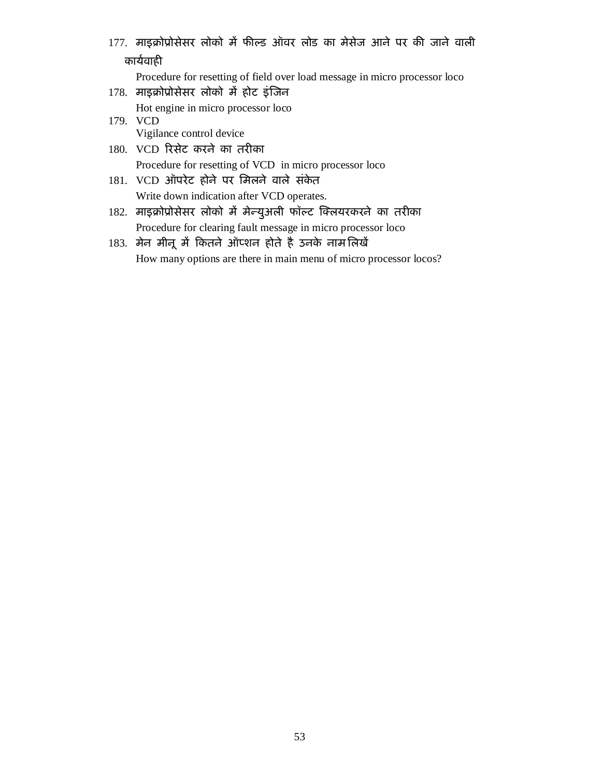177. माइक्रोप्रोसेसर लोको में फील्ड ऑवर लोड का मेसेज आने पर की जाने वाली कार्यवाही

Procedure for resetting of field over load message in micro processor loco

178. माइक्रोप्रोसेसर लोको में होट इंजिन

Hot engine in micro processor loco

- 179. VCD Vigilance control device
- 180. VCD रिसेट करने का तरीका Procedure for resetting of VCD in micro processor loco
- 181. VCD ऑपरेट होने पर मिलने वाले संकेत Write down indication after VCD operates.
- 182. माइक्रोप्रोसेसर लोको में मेन्युअली फॉल्ट क्लियरकरने का तरीका Procedure for clearing fault message in micro processor loco
- 183. मेन मीनू में कितने ऑप्शन होते है उनके नाम लिखें How many options are there in main menu of micro processor locos?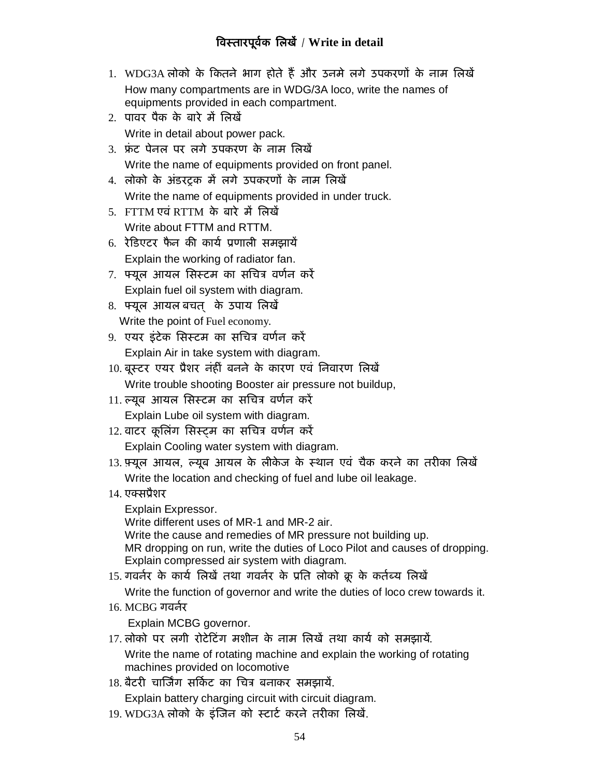# **ǒवèतारपूव[क िलखɅ** / **Write in detail**

- 1. WDG3A लोको के कितने भाग होते हैं और उनमे लगे उपकरणों के नाम लिखें How many compartments are in WDG/3A loco, write the names of equipments provided in each compartment.
- 2. पावर पैक के बारे में लिखें Write in detail about power pack.
- 3. फ्रंट पेनल पर लगे उपकरण के नाम लिखें Write the name of equipments provided on front panel.
- 4. लोको के अंडरट्रक में लगे उपकरणों के नाम लिखें Write the name of equipments provided in under truck.
- 5. FTTM एवं RTTM के बारे में लिखें Write about FTTM and RTTM.
- 6. रेडिएटर फैन की कार्य प्रणाली समझायें Explain the working of radiator fan.
- 7. फ्यूल आयल सिस्टम का सचित्र वर्णन करें Explain fuel oil system with diagram.
- 8. फ्यूल आयल बचत के उपाय लिखें Write the point of Fuel economy.
- 9. एयर इंटेक सिस्टम का सचित्र वर्णन करें Explain Air in take system with diagram.
- 10. बूस्टर एयर प्रैशर नंहीं बनने के कारण एवं निवारण लिखें Write trouble shooting Booster air pressure not buildup,
- 11. ल्यूब आयल सिस्टम का सचित्र वर्णन करें Explain Lube oil system with diagram.
- 12. वाटर कूलिंग सिस्ट्म का सचित्र वर्णन करें Explain Cooling water system with diagram.
- 13. फ़्यूल आयल, ल्यूब आयल के लीकेज के स्थान एवं चैक करने का तरीका लिखें Write the location and checking of fuel and lube oil leakage.
- 14. एक्सप्रैशर

Explain Expressor.

Write different uses of MR-1 and MR-2 air.

Write the cause and remedies of MR pressure not building up. MR dropping on run, write the duties of Loco Pilot and causes of dropping. Explain compressed air system with diagram.

15. गवर्नर के कार्य लिखें तथा गवर्नर के प्रति लोको क्रू के कर्तब्य लिखें

Write the function of governor and write the duties of loco crew towards it.

 $16. MCRG$  गवर्तर

Explain MCBG governor.

- 17. लोको पर लगी रोटेटिंग मशीन के नाम लिखें तथा कार्य को समझायें. Write the name of rotating machine and explain the working of rotating machines provided on locomotive
- 18. बैटरी चार्जिंग सर्किट का चित्र बनाकर समझायें.

Explain battery charging circuit with circuit diagram.

19. WDG3A लोको के इंजिन को स्टार्ट करने तरीका लिखें.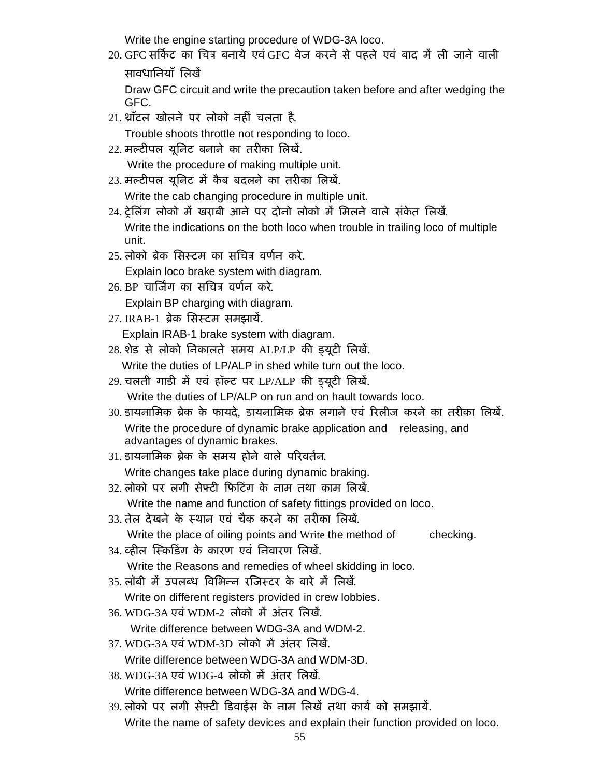Write the engine starting procedure of WDG-3A loco.

20. GFC सर्किट का चित्र बनाये एवं GFC वेज करने से पहले एवं बाद में ली जाने वाली सावधानियाँ लिखें

Draw GFC circuit and write the precaution taken before and after wedging the GFC.

21. थ्राँटल खोलने पर लोको नहीं चलता है.

Trouble shoots throttle not responding to loco.

- 22. मल्टीपल यूनिट बनाने का तरीका लिखें. Write the procedure of making multiple unit.
- 23. मल्टीपल यूनिट में कैब बदलने का तरीका लिखें. Write the cab changing procedure in multiple unit.
- 24. टेलिंग लोको में खराबी आने पर दोनो लोको में मिलने वाले संकेत लिखें. Write the indications on the both loco when trouble in trailing loco of multiple unit.
- 25. लोको बेक सिस्टम का सचित्र वर्णन करे.

Explain loco brake system with diagram.

26. BP चार्जिंग का सचित्र वर्णन करे.

Explain BP charging with diagram.

- 27. IRAB-1 ब्रेक सिस्टम समझायें. Explain IRAB-1 brake system with diagram.
- 28. शेड से लोको निकालते समय ALP/LP की इयूटी लिखें.

Write the duties of LP/ALP in shed while turn out the loco.

- 29. चलती गाडी में एवं हॉल्ट पर LP/ALP की इयूटी लिखें. Write the duties of LP/ALP on run and on hault towards loco.
- 30. डायनामिक ब्रेक के फायदे. डायनामिक ब्रेक लगाने एवं रिलीज करने का तरीका लिखें. Write the procedure of dynamic brake application and releasing, and advantages of dynamic brakes.
- 31. डायनामिक ब्रेक के समय होने वाले परिवर्तन. Write changes take place during dynamic braking.
- 32. लोको पर लगी सेफ्टी फिटिंग के नाम तथा काम लिखें.

Write the name and function of safety fittings provided on loco.

- 33. तेल देखने के स्थान एवं चैक करने का तरीका लिखें. Write the place of oiling points and Write the method of checking.
- 34. व्हील स्किडिंग के कारण एवं निवारण लिखें. Write the Reasons and remedies of wheel skidding in loco.
- 35. लॉबी में उपलब्ध विभिन्न रजिस्टर के बारे में लिखें.
- Write on different registers provided in crew lobbies.
- 36. WDG-3A एवं WDM-2, लोको में अंतर लिखें Write difference between WDG-3A and WDM-2.
- 37. WDG-3A एवं WDM-3D लोको मैं अंतर लिखें. Write difference between WDG-3A and WDM-3D.
- 38. WDG-3A एवं WDG-4 लोको में अंतर लिखें. Write difference between WDG-3A and WDG-4.
- 39. लोको पर लगी सेफ़्टी डिवाईस के नाम लिखें तथा कार्य को समझायें. Write the name of safety devices and explain their function provided on loco.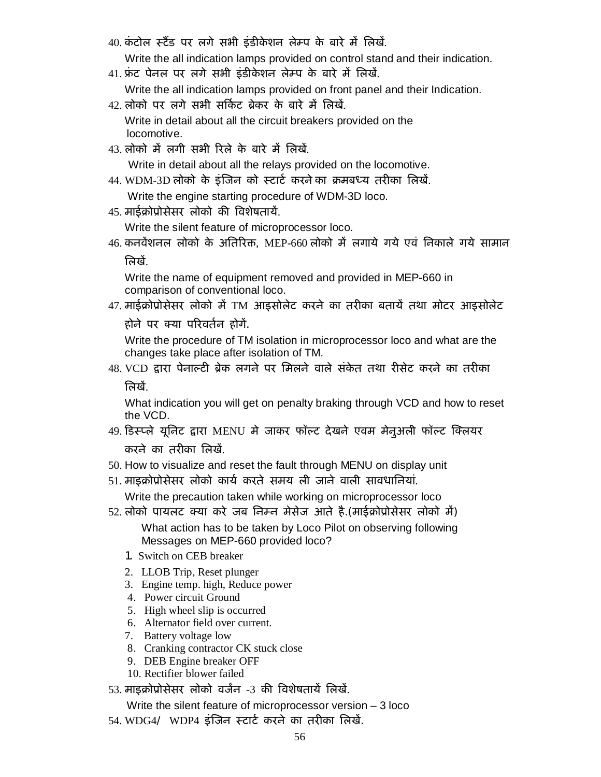40. कंटोल स्टैंड पर लगे सभी इंडीकेशन लेम्प के बारे में लिखें.

Write the all indication lamps provided on control stand and their indication.

- 41. फ्रंट पेनल पर लगे सभी इंडीकेशन लेम्प के बारे में लिखें.
	- Write the all indication lamps provided on front panel and their Indication.
- 42. लोको पर लगे सभी सर्किट ब्रेकर के बारे में लिखें. Write in detail about all the circuit breakers provided on the locomotive.
- 43. लोको में लगी सभी रिले के बारे में लिखें.

Write in detail about all the relays provided on the locomotive.

44. WDM-3D लोको के इंजिन को स्टार्ट करने का क्रमबध्य तरीका लिखें.

Write the engine starting procedure of WDM-3D loco.

45. माईक्रोप्रोसेसर लोको की विशेषतायें.

Write the silent feature of microprocessor loco.

46. कनवेंशनल लोको के अतिरिक्त, MEP-660 लोको में लगाये गये एवं निकाले गये सामान त्रिखें

Write the name of equipment removed and provided in MEP-660 in comparison of conventional loco.

47. माईक्रोप्रोसेसर लोको में TM आइसोलेट करने का तरीका बतायें तथा मोटर आइसोलेट

होने पर क्या परिवर्तन होगें.

Write the procedure of TM isolation in microprocessor loco and what are the changes take place after isolation of TM.

48. VCD द्वारा पेनाल्टी ब्रेक लगने पर मिलने वाले संकेत तथा रीसेट करने का तरीका त्रिखें

What indication you will get on penalty braking through VCD and how to reset the VCD.

- 49. डिस्प्ले यूनिट द्वारा MENU मे जाकर फॉल्ट देखने एवम मेनुअली फॉल्ट क्लियर करने का तरीका लिखें.
- 50. How to visualize and reset the fault through MENU on display unit
- 51. माइक्रोप्रोसेसर लोको कार्य करते समय ली जाने वाली सावधानियां. Write the precaution taken while working on microprocessor loco
- 52. लोको पायलट क्या करे जब निम्न मेसेज आते है.(माईक्रोप्रोसेसर लोको में)

What action has to be taken by Loco Pilot on observing following Messages on MEP-660 provided loco?

- 1. Switch on CEB breaker
- 2. LLOB Trip, Reset plunger
- 3. Engine temp. high, Reduce power
- 4. Power circuit Ground
- 5. High wheel slip is occurred
- 6. Alternator field over current.
- 7. Battery voltage low
- 8. Cranking contractor CK stuck close
- 9. DEB Engine breaker OFF
- 10. Rectifier blower failed
- 53. माइक्रोप्रोसेसर लोको वर्जन -3 की विशेषतायें लिखें.

Write the silent feature of microprocessor version – 3 loco

54. WDG4/ WDP4 इंजिन स्टार्ट करने का तरीका लिखें.